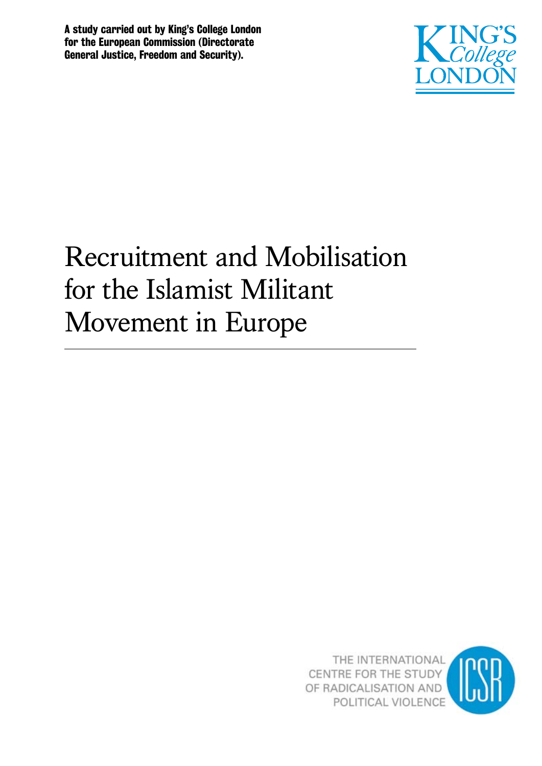A study carried out by King's College London for the European Commission (Directorate General Justice, Freedom and Security).



# Recruitment and Mobilisation for the Islamist Militant Movement in Europe



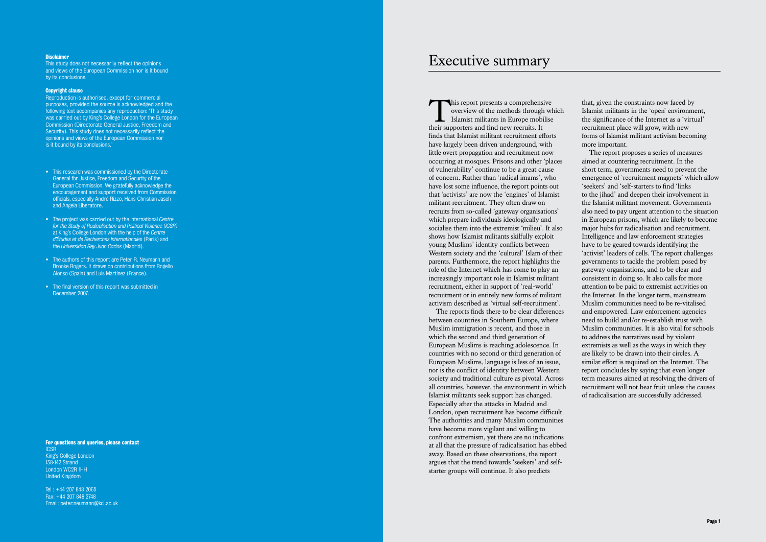This report presents a comprehensive<br>overview of the methods through which<br>Islamist militants in Europe mobilise overview of the methods through which Islamist militants in Europe mobilise their supporters and find new recruits. It finds that Islamist militant recruitment efforts have largely been driven underground, with little overt propagation and recruitment now occurring at mosques. Prisons and other 'places of vulnerability' continue to be a great cause of concern. Rather than 'radical imams', who have lost some influence, the report points out that 'activists' are now the 'engines' of Islamist militant recruitment. They often draw on recruits from so-called 'gateway organisations' which prepare individuals ideologically and socialise them into the extremist 'milieu'. It also shows how Islamist militants skilfully exploit young Muslims' identity conflicts between Western society and the 'cultural' Islam of their parents. Furthermore, the report highlights the role of the Internet which has come to play an increasingly important role in Islamist militant recruitment, either in support of 'real-world' recruitment or in entirely new forms of militant activism described as 'virtual self-recruitment'.

The reports finds there to be clear differences between countries in Southern Europe, where Muslim immigration is recent, and those in which the second and third generation of European Muslims is reaching adolescence. In countries with no second or third generation of European Muslims, language is less of an issue, nor is the conflict of identity between Western society and traditional culture as pivotal. Across all countries, however, the environment in which Islamist militants seek support has changed. Especially after the attacks in Madrid and London, open recruitment has become difficult. The authorities and many Muslim communities have become more vigilant and willing to confront extremism, yet there are no indications at all that the pressure of radicalisation has ebbed away. Based on these observations, the report argues that the trend towards 'seekers' and selfstarter groups will continue. It also predicts

#### **Disclaimer**

This study does not necessarily reflect the opinions and views of the European Commission nor is it bound by its conclusions.

> that, given the constraints now faced by Islamist militants in the 'open' environment, the significance of the Internet as a 'virtual' recruitment place will grow, with new forms of Islamist militant activism becoming more important.

#### For questions and queries, please contact **ICSR**

The report proposes a series of measures aimed at countering recruitment. In the short term, governments need to prevent the emergence of 'recruitment magnets' which allow 'seekers' and 'self-starters to find 'links to the jihad' and deepen their involvement in the Islamist militant movement. Governments also need to pay urgent attention to the situation in European prisons, which are likely to become major hubs for radicalisation and recruitment. Intelligence and law enforcement strategies have to be geared towards identifying the 'activist' leaders of cells. The report challenges governments to tackle the problem posed by gateway organisations, and to be clear and consistent in doing so. It also calls for more attention to be paid to extremist activities on the Internet. In the longer term, mainstream Muslim communities need to be re-vitalised and empowered. Law enforcement agencies need to build and/or re-establish trust with Muslim communities. It is also vital for schools to address the narratives used by violent extremists as well as the ways in which they are likely to be drawn into their circles. A similar effort is required on the Internet. The report concludes by saying that even longer term measures aimed at resolving the drivers of recruitment will not bear fruit unless the causes of radicalisation are successfully addressed.

#### Copyright clause

Reproduction is authorised, except for commercial purposes, provided the source is acknowledged and the following text accompanies any reproduction: 'This study was carried out by King's College London for the European Commission (Directorate General Justice, Freedom and Security). This study does not necessarily reflect the opinions and views of the European Commission nor is it bound by its conclusions.'

- This research was commissioned by the Directorate General for Justice, Freedom and Security of the European Commission. We gratefully acknowledge the encouragement and support received from Commission officials, especially André Rizzo, Hans-Christian Jasch and Angela Liberatore.
- The project was carried out by the International *Centre for the Study of Radicalisation and Political Violence (ICSR)* at King's College London with the help of the *Centre d'Études et de Recherches Internationales* (Paris) and the *Universidad Rey Juan Carlos* (Madrid).
- The authors of this report are Peter R. Neumann and Brooke Rogers. It draws on contributions from Rogelio Alonso (Spain) and Luis Martinez (France).
- The final version of this report was submitted in December 2007.

King's College London 138-142 Strand London WC2R 1HH United Kingdom

Tel : +44 207 848 2065 Fax: +44 207 848 2748 Email: peter.neumann@kcl.ac.uk

# Executive summary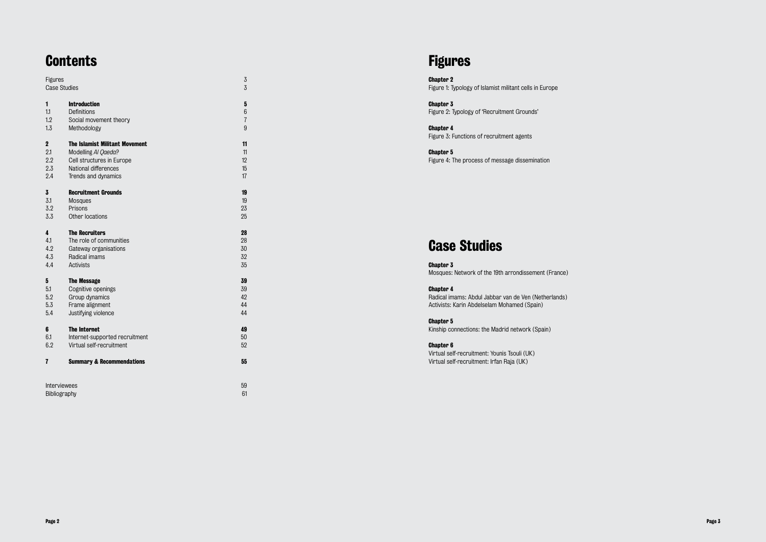# **Contents**

| Figures                 |                                       | $\mathfrak{Z}% _{C}=\mathfrak{Z}_{C}^{C}$ |
|-------------------------|---------------------------------------|-------------------------------------------|
| <b>Case Studies</b>     |                                       | $\overline{3}$                            |
| 1                       | <b>Introduction</b>                   | ${\bf 5}$                                 |
| 1.1                     | Definitions                           | 6                                         |
| 1.2                     | Social movement theory                | $\overline{7}$                            |
| 1.3                     | Methodology                           | 9                                         |
| $\boldsymbol{2}$        | <b>The Islamist Militant Movement</b> | 11                                        |
| 2.1                     | Modelling Al Qaeda?                   | 11                                        |
| 2.2                     | Cell structures in Europe             | 12                                        |
| 2.3                     | National differences                  | 15                                        |
| 2.4                     | Trends and dynamics                   | 17                                        |
| $\overline{\mathbf{3}}$ | <b>Recruitment Grounds</b>            | 19                                        |
| 3.1                     | <b>Mosques</b>                        | 19                                        |
| 3.2                     | Prisons                               | 23                                        |
| 3.3                     | Other locations                       | 25                                        |
| 4                       | <b>The Recruiters</b>                 | 28                                        |
| 4.1                     | The role of communities               | 28                                        |
| 4.2                     | Gateway organisations                 | 30                                        |
| 4.3                     | Radical imams                         | 32                                        |
| 4.4                     | Activists                             | 35                                        |
| 5                       | <b>The Message</b>                    | 39                                        |
| 5.1                     | Cognitive openings                    | 39                                        |
| 5.2                     | Group dynamics                        | 42                                        |
| 5.3                     | Frame alignment                       | 44                                        |
| 5.4                     | Justifying violence                   | 44                                        |
| 6                       | <b>The Internet</b>                   | 49                                        |
| 6.1                     | Internet-supported recruitment        | 50                                        |
| 6.2                     | Virtual self-recruitment              | 52                                        |
| 7                       | <b>Summary &amp; Recommendations</b>  | 55                                        |
|                         | Interviewees<br>Bibliography          | 59<br>61                                  |

# Figures

Chapter 2 Figure 1: Typology of Islamist militant cells in Europe

#### Chapter 3 Figure 2: Typology of 'Recruitment Grounds'

Chapter 4 Figure 3: Functions of recruitment agents

#### Chapter 5

Figure 4: The process of message dissemination

# Case Studies

Chapter 3 Mosques: Network of the 19th arrondissement (France)

#### Chapter 4

Radical imams: Abdul Jabbar van de Ven (Netherlands) Activists: Karin Abdelselam Mohamed (Spain)

#### Chapter 5

Kinship connections: the Madrid network (Spain)

#### Chapter 6

Virtual self-recruitment: Younis Tsouli (UK) Virtual self-recruitment: Irfan Raja (UK)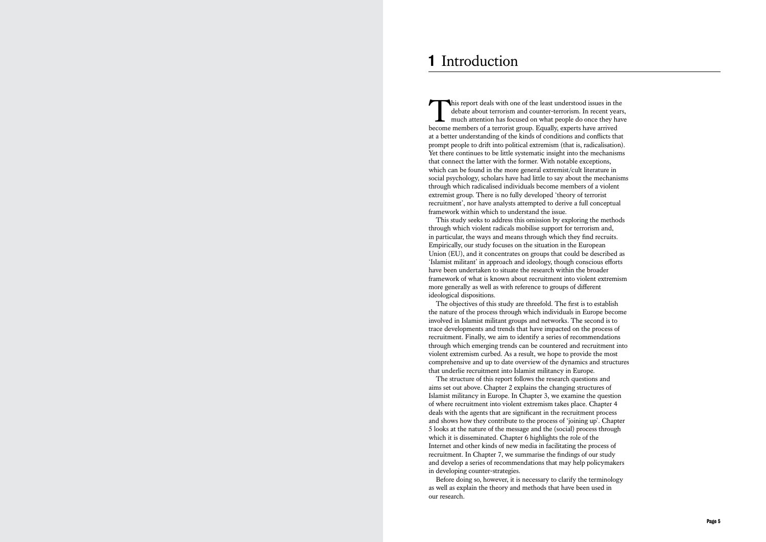This report deals with one of the least understood issues in the debate about terrorism and counter-terrorism. In recent years, much attention has focused on what people do once they have become members of a terrorist group. Equally, experts have arrived at a better understanding of the kinds of conditions and conflicts that prompt people to drift into political extremism (that is, radicalisation). Yet there continues to be little systematic insight into the mechanisms that connect the latter with the former. With notable exceptions, which can be found in the more general extremist/cult literature in social psychology, scholars have had little to say about the mechanisms through which radicalised individuals become members of a violent extremist group. There is no fully developed 'theory of terrorist recruitment', nor have analysts attempted to derive a full conceptual framework within which to understand the issue.

The objectives of this study are threefold. The first is to establish the nature of the process through which individuals in Europe become involved in Islamist militant groups and networks. The second is to trace developments and trends that have impacted on the process of recruitment. Finally, we aim to identify a series of recommendations through which emerging trends can be countered and recruitment into violent extremism curbed. As a result, we hope to provide the most comprehensive and up to date overview of the dynamics and structures that underlie recruitment into Islamist militancy in Europe. The structure of this report follows the research questions and aims set out above. Chapter 2 explains the changing structures of Islamist militancy in Europe. In Chapter 3, we examine the question of where recruitment into violent extremism takes place. Chapter 4 deals with the agents that are significant in the recruitment process and shows how they contribute to the process of 'joining up'. Chapter 5 looks at the nature of the message and the (social) process through which it is disseminated. Chapter 6 highlights the role of the Internet and other kinds of new media in facilitating the process of recruitment. In Chapter 7, we summarise the findings of our study and develop a series of recommendations that may help policymakers in developing counter-strategies. **Than Introduction**<br>
This report deals with one debate about terrorism a<br>
much attention has focure<br>
at a better understanding of the<br>
prompt people to drift into polit<br>
Yet there continues to be little s<br>
that connect t

This study seeks to address this omission by exploring the methods through which violent radicals mobilise support for terrorism and, in particular, the ways and means through which they find recruits. Empirically, our study focuses on the situation in the European Union (EU), and it concentrates on groups that could be described as 'Islamist militant' in approach and ideology, though conscious efforts have been undertaken to situate the research within the broader framework of what is known about recruitment into violent extremism more generally as well as with reference to groups of different ideological dispositions.

Before doing so, however, it is necessary to clarify the terminology as well as explain the theory and methods that have been used in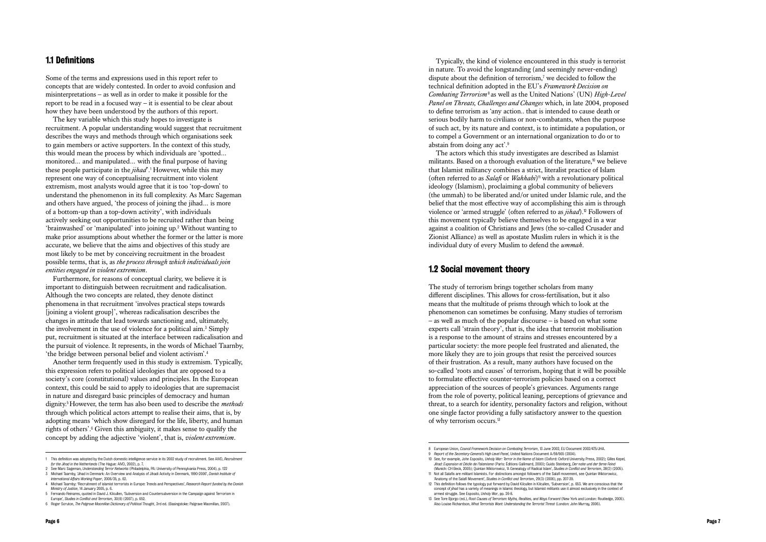## 1.1 Definitions

Some of the terms and expressions used in this report refer to concepts that are widely contested. In order to avoid confusion and misinterpretations – as well as in order to make it possible for the report to be read in a focused way – it is essential to be clear about how they have been understood by the authors of this report.

The key variable which this study hopes to investigate is recruitment. A popular understanding would suggest that recruitment describes the ways and methods through which organisations seek to gain members or active supporters. In the context of this study, this would mean the process by which individuals are 'spotted… monitored… and manipulated… with the final purpose of having these people participate in the *jihad*'. 1 However, while this may represent one way of conceptualising recruitment into violent extremism, most analysts would agree that it is too 'top-down' to understand the phenomenon in its full complexity. As Marc Sageman and others have argued, 'the process of joining the jihad… is more of a bottom-up than a top-down activity', with individuals actively seeking out opportunities to be recruited rather than being 'brainwashed' or 'manipulated' into joining up. 2 Without wanting to make prior assumptions about whether the former or the latter is more accurate, we believe that the aims and objectives of this study are most likely to be met by conceiving recruitment in the broadest possible terms, that is, as *the process through which individuals join entities engaged in violent extremism*.

Furthermore, for reasons of conceptual clarity, we believe it is important to distinguish between recruitment and radicalisation. Although the two concepts are related, they denote distinct phenomena in that recruitment 'involves practical steps towards [joining a violent group]', whereas radicalisation describes the changes in attitude that lead towards sanctioning and, ultimately, the involvement in the use of violence for a political aim. 3 Simply put, recruitment is situated at the interface between radicalisation and the pursuit of violence. It represents, in the words of Michael Taarnby, 'the bridge between personal belief and violent activism'. 4

Another term frequently used in this study is extremism. Typically, this expression refers to political ideologies that are opposed to a society's core (constitutional) values and principles. In the European context, this could be said to apply to ideologies that are supremacist in nature and disregard basic principles of democracy and human dignity. <sup>5</sup>However, the term has also been used to describe the *methods* through which political actors attempt to realise their aims, that is, by adopting means 'which show disregard for the life, liberty, and human rights of others'. 6 Given this ambiguity, it makes sense to qualify the concept by adding the adjective 'violent', that is, *violent extremism*.

Typically, the kind of violence encountered in this study is terrorist in nature. To avoid the longstanding (and seemingly never-ending) dispute about the definition of terrorism, 7 we decided to follow the technical definition adopted in the EU's *Framework Decision on Combating Terrorism* <sup>8</sup> as well as the United Nations' (UN) *High-Level Panel on Threats, Challenges and Changes* which, in late 2004, proposed to define terrorism as 'any action.. that is intended to cause death or serious bodily harm to civilians or non-combatants, when the purpose of such act, by its nature and context, is to intimidate a population, or to compel a Government or an international organization to do or to abstain from doing any act'. 9

The actors which this study investigates are described as Islamist militants. Based on a thorough evaluation of the literature, $\mathfrak{v}_0$  we believe that Islamist militancy combines a strict, literalist practice of Islam (often referred to as *Salafi* or *Wahhabi*)<sup>1</sup> with a revolutionary political ideology (Islamism), proclaiming a global community of believers (the ummah) to be liberated and/or united under Islamic rule, and the belief that the most effective way of accomplishing this aim is through violence or 'armed struggle' (often referred to as *jihad*).12 Followers of this movement typically believe themselves to be engaged in a war against a coalition of Christians and Jews (the so-called Crusader and Zionist Alliance) as well as apostate Muslim rulers in which it is the individual duty of every Muslim to defend the *ummah*.

### 1.2 Social movement theory

The study of terrorism brings together scholars from many different disciplines. This allows for cross-fertilisation, but it also means that the multitude of prisms through which to look at the phenomenon can sometimes be confusing. Many studies of terrorism – as well as much of the popular discourse – is based on what some experts call 'strain theory', that is, the idea that terrorist mobilisation is a response to the amount of strains and stresses encountered by a particular society: the more people feel frustrated and alienated, the more likely they are to join groups that resist the perceived sources of their frustration. As a result, many authors have focused on the so-called 'roots and causes' of terrorism, hoping that it will be possible to formulate effective counter-terrorism policies based on a correct appreciation of the sources of people's grievances. Arguments range from the role of poverty, political leaning, perceptions of grievance and threat, to a search for identity, personality factors and religion, without one single factor providing a fully satisfactory answer to the question of why terrorism occurs.<sup>13</sup>

<sup>3</sup> Michael Taarnby, 'Jihad in Denmark: An Overview and Analysis of Jihadi Activity in Denmark, 1990-2006', *Danish Institute of* 4 Michael Taarnby: 'Recruitment of islamist terrorists in Europe: Trends and Perspectives', Research Report funded by the Danish

<sup>8</sup> European Union, Council Framework Decision on Combating Terrorism, 13 June 2002, EU Document 2002/475/JHA.<br>9 Report of the Secretary-General's High Level Panel. United Nations Document A/59/665 (2004).

<sup>1</sup> This definition was adopted by the Dutch domestic intelligence service in its 2002 study of recruitment. See AIVD, *Recruitment for the Jihad in the Netherlands* (The Hague: AIVD, 2002), p. 7.

<sup>2</sup> See Marc Sageman, *Understanding Terror Networks* (Philadelphia, PA: University of Pennsylvania Press, 2004), p. 122

*Ministry of Justice*, 14 January 2005, p. 6. 5 Fernando Reinares, quoted in David J. Kilcullen, 'Subversion and Countersubversion in the Campaign against Terrorism in

Europe', *Studies in Conflict and Terrorism*, 30(8) (2007), p. 652. 6 Roger Scruton, *The Palgrave Macmillan Dictionary of Political Thought*, 3rd ed. (Basingstoke: Palgrave Macmillan, 2007).

<sup>10</sup> See, for example, John Esposito, *Unholy War: Terror in the Name of Islam* (Oxford: Oxford University Press, 2002); Gilles Kepel, *Jihad: Expansion et Déclin de l'Islamisme* (Paris: Éditions Gallimard, 2000); Guido Steinberg, *Der nahe und der ferne Feind* (Munich: CH Beck, 2005); Quintan Wiktorowicz, 'A Genealogy of Radical Islam', *Studies in Conflict and Terrorism*, 28(2) (2005).

<sup>11</sup> Not all Salafis are militant Islamists. For distinctions amongst followers of the Salafi movement, see Quintan Wiktorowicz, 'Anatomy of the Salafi Movement', *Studies in Conflict and Terrorism*, 29(3) (2006), pp. 207-39.

<sup>12</sup> This definition follows the typology put forward by David Kilcullen in Kilcullen, 'Subversion', p. 653. We are conscious that the concept of *jihad* has a variety of meanings in Islamic theology, but Islamist militants use it almost exclusively in the context of armed struggle. See Esposito, *Unholy War*, pp. 26-8.

<sup>13</sup> See Tore Bjorgo (ed.), *Root Causes of Terrorism: Myths, Realities, and Ways Forward* (New York and London: Routledge, 2005). Also Louise Richardson, *What Terrorists Want: Understanding the Terrorist Threat* (London: John Murray, 2006).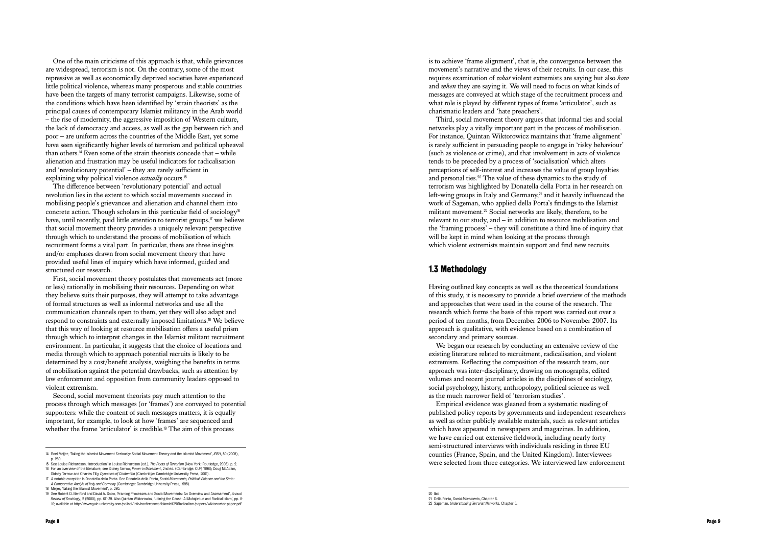One of the main criticisms of this approach is that, while grievances are widespread, terrorism is not. On the contrary, some of the most repressive as well as economically deprived societies have experienced little political violence, whereas many prosperous and stable countries have been the targets of many terrorist campaigns. Likewise, some of the conditions which have been identified by 'strain theorists' as the principal causes of contemporary Islamist militancy in the Arab world – the rise of modernity, the aggressive imposition of Western culture, the lack of democracy and access, as well as the gap between rich and poor – are uniform across the countries of the Middle East, yet some have seen significantly higher levels of terrorism and political upheaval than others.<sup>14</sup> Even some of the strain theorists concede that – while alienation and frustration may be useful indicators for radicalisation and 'revolutionary potential' – they are rarely sufficient in explaining why political violence *actually* occurs.<sup>15</sup>

Second, social movement theorists pay much attention to the process through which messages (or 'frames') are conveyed to potential supporters: while the content of such messages matters, it is equally important, for example, to look at how 'frames' are sequenced and whether the frame 'articulator' is credible.<sup>19</sup> The aim of this process

The difference between 'revolutionary potential' and actual revolution lies in the extent to which social movements succeed in mobilising people's grievances and alienation and channel them into concrete action. Though scholars in this particular field of sociology<sup>16</sup> have, until recently, paid little attention to terrorist groups, $\pi$  we believe that social movement theory provides a uniquely relevant perspective through which to understand the process of mobilisation of which recruitment forms a vital part. In particular, there are three insights and/or emphases drawn from social movement theory that have provided useful lines of inquiry which have informed, guided and structured our research.

First, social movement theory postulates that movements act (more or less) rationally in mobilising their resources. Depending on what they believe suits their purposes, they will attempt to take advantage of formal structures as well as informal networks and use all the communication channels open to them, yet they will also adapt and respond to constraints and externally imposed limitations.18 We believe that this way of looking at resource mobilisation offers a useful prism through which to interpret changes in the Islamist militant recruitment environment. In particular, it suggests that the choice of locations and media through which to approach potential recruits is likely to be determined by a cost/benefit analysis, weighing the benefits in terms of mobilisation against the potential drawbacks, such as attention by law enforcement and opposition from community leaders opposed to violent extremism.

is to achieve 'frame alignment', that is, the convergence between the movement's narrative and the views of their recruits. In our case, this requires examination of *what* violent extremists are saying but also *how* and *when* they are saying it. We will need to focus on what kinds of messages are conveyed at which stage of the recruitment process and what role is played by different types of frame 'articulator', such as charismatic leaders and 'hate preachers'.

Third, social movement theory argues that informal ties and social networks play a vitally important part in the process of mobilisation. For instance, Quintan Wiktorowicz maintains that 'frame alignment' is rarely sufficient in persuading people to engage in 'risky behaviour' (such as violence or crime), and that involvement in acts of violence tends to be preceded by a process of 'socialisation' which alters perceptions of self-interest and increases the value of group loyalties and personal ties.20 The value of these dynamics to the study of terrorism was highlighted by Donatella della Porta in her research on left-wing groups in Italy and Germany.<sup>21</sup> and it heavily influenced the work of Sageman, who applied della Porta's findings to the Islamist militant movement.<sup>22</sup> Social networks are likely, therefore, to be relevant to our study, and – in addition to resource mobilisation and the 'framing process' – they will constitute a third line of inquiry that will be kept in mind when looking at the process through which violent extremists maintain support and find new recruits.

#### 1.3 Methodology

Having outlined key concepts as well as the theoretical foundations of this study, it is necessary to provide a brief overview of the methods and approaches that were used in the course of the research. The research which forms the basis of this report was carried out over a period of ten months, from December 2006 to November 2007. Its approach is qualitative, with evidence based on a combination of secondary and primary sources.

We began our research by conducting an extensive review of the existing literature related to recruitment, radicalisation, and violent extremism. Reflecting the composition of the research team, our approach was inter-disciplinary, drawing on monographs, edited volumes and recent journal articles in the disciplines of sociology, social psychology, history, anthropology, political science as well as the much narrower field of 'terrorism studies'.

Empirical evidence was gleaned from a systematic reading of published policy reports by governments and independent researchers as well as other publicly available materials, such as relevant articles which have appeared in newspapers and magazines. In addition, we have carried out extensive fieldwork, including nearly forty semi-structured interviews with individuals residing in three EU counties (France, Spain, and the United Kingdom). Interviewees were selected from three categories. We interviewed law enforcement

*A Comparative Analyis of Italy and Germany* (Cambridge: Cambridge University Press, 1995). 18 Meijer, 'Taking the Islamist Movement', p. 280.

<sup>19</sup> See Robert D. Benford and David A. Snow, 'Framing Processes and Social Movements: An Overview and Assessment', Annual<br>6 . *Review of Sociology*, 2 (2000), pp. 611-39. Also Quintan Wiktorowicz, 'Joining the Cause: Al Muh 10; available at http://www.yale-university.com/polisci/info/conferences/Islamic%20Radicalism/papers/wiktorowicz-paper.pdf

<sup>14</sup> Roel Meijer, 'Taking the Islamist Movement Seriously: Social Movement Theory and the Islamist Movement', *IRSH*, 50 (2005), p. 280.

<sup>15</sup> See Louise Richardson, 'Introduction' in Louise Richardson (ed.), *The Roots of Terrorism* (New York: Routledge, 2006), p. 2. 16 For an overview of the literature, see Sidney Tarrow, *Power in Movement*, 2nd ed. (Cambridge: CUP, 1998); Doug McAdam,

Sidney Tarrow and Charles Tilly, *Dynamics of Contention* (Cambridge: Cambridge University Press, 2001). 17 A notable exception is Donatella della Porta. See Donatella della Porta, *Social Movements, Political Violence and the State:*

<sup>20</sup> Ibid.

<sup>21</sup> Della Porta, *Social Movements*, Chapter 6.

<sup>22</sup> Sageman, *Understanding Terrorist Networks*, Chapter 5.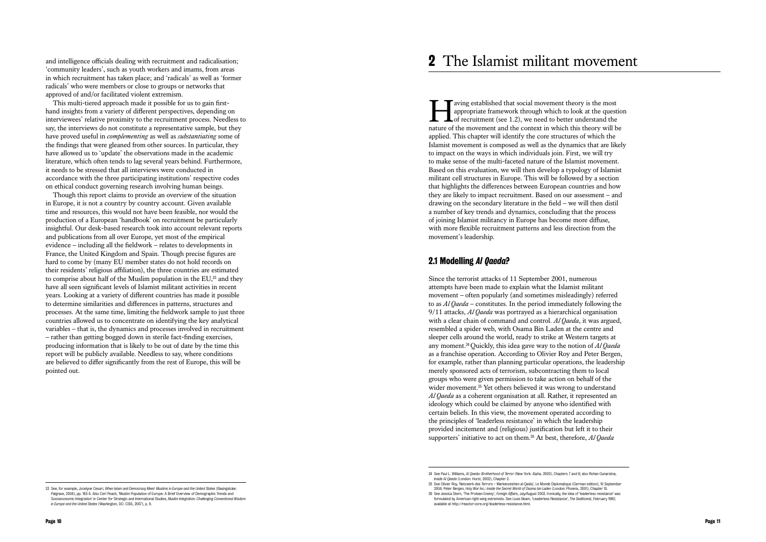and intelligence officials dealing with recruitment and radicalisation; 'community leaders', such as youth workers and imams, from areas in which recruitment has taken place; and 'radicals' as well as 'former radicals' who were members or close to groups or networks that approved of and/or facilitated violent extremism.

This multi-tiered approach made it possible for us to gain firsthand insights from a variety of different perspectives, depending on interviewees' relative proximity to the recruitment process. Needless to say, the interviews do not constitute a representative sample, but they have proved useful in *complementing* as well as *substantiating* some of the findings that were gleaned from other sources. In particular, they have allowed us to 'update' the observations made in the academic literature, which often tends to lag several years behind. Furthermore, it needs to be stressed that all interviews were conducted in accordance with the three participating institutions' respective codes on ethical conduct governing research involving human beings.

Though this report claims to provide an overview of the situation in Europe, it is not a country by country account. Given available time and resources, this would not have been feasible, nor would the production of a European 'handbook' on recruitment be particularly insightful. Our desk-based research took into account relevant reports and publications from all over Europe, yet most of the empirical evidence – including all the fieldwork – relates to developments in France, the United Kingdom and Spain. Though precise figures are hard to come by (many EU member states do not hold records on their residents' religious affiliation), the three countries are estimated to comprise about half of the Muslim population in the EU,23 and they have all seen significant levels of Islamist militant activities in recent years. Looking at a variety of different countries has made it possible to determine similarities and differences in patterns, structures and processes. At the same time, limiting the fieldwork sample to just three countries allowed us to concentrate on identifying the key analytical variables – that is, the dynamics and processes involved in recruitment – rather than getting bogged down in sterile fact-finding exercises, producing information that is likely to be out of date by the time this report will be publicly available. Needless to say, where conditions are believed to differ significantly from the rest of Europe, this will be pointed out.

Faving established that social movement theory is the most<br>appropriate framework through which to look at the quest<br>of recruitment (see 1.2), we need to better understand the<br>nature of the movement and the context in which appropriate framework through which to look at the question  $\blacktriangle$  of recruitment (see 1.2), we need to better understand the nature of the movement and the context in which this theory will be applied. This chapter will identify the core structures of which the Islamist movement is composed as well as the dynamics that are likely to impact on the ways in which individuals join. First, we will try to make sense of the multi-faceted nature of the Islamist movement. Based on this evaluation, we will then develop a typology of Islamist militant cell structures in Europe. This will be followed by a section that highlights the differences between European countries and how they are likely to impact recruitment. Based on our assessment – and drawing on the secondary literature in the field – we will then distil a number of key trends and dynamics, concluding that the process of joining Islamist militancy in Europe has become more diffuse, with more flexible recruitment patterns and less direction from the movement's leadership.

Since the terrorist attacks of 11 September 2001, numerous attempts have been made to explain what the Islamist militant movement – often popularly (and sometimes misleadingly) referred to as *Al Qaeda* – constitutes. In the period immediately following the 9/11 attacks, *Al Qaeda* was portrayed as a hierarchical organisation with a clear chain of command and control. *Al Qaeda*, it was argued, resembled a spider web, with Osama Bin Laden at the centre and sleeper cells around the world, ready to strike at Western targets at any moment.24Quickly, this idea gave way to the notion of *Al Qaeda* as a franchise operation. According to Olivier Roy and Peter Bergen, for example, rather than planning particular operations, the leadership merely sponsored acts of terrorism, subcontracting them to local groups who were given permission to take action on behalf of the wider movement.<sup>25</sup> Yet others believed it was wrong to understand *Al Qaeda* as a coherent organisation at all. Rather, it represented an ideology which could be claimed by anyone who identified with certain beliefs. In this view, the movement operated according to the principles of 'leaderless resistance' in which the leadership provided incitement and (religious) justification but left it to their **21 The Islamist militant movement theory is the most<br>
<b>T** arong established that social movement theory is the most<br>
appropriate framework through which to look at the question<br>
nature of the movement and the context in

### 2.1 Modelling *Al Qaeda* ?

23 See, for example, Jocelyne Cesari, *When Islam and Democracy Meet: Muslims in Europe and the United States* (Basingstoke:

available at http://reactor-core.org/leaderless-resistance.html.

Palgrave, 2004), pp. 183-4. Also Ceri Peach, 'Muslim Population of Europe: A Brief Overview of Demographic Trends and Socioeconomic Integration' in Center for Strategic and International Studies, *Muslim Integration: Challenging Conventional Wisdom in Europe and the United States* (Washington, DC: CSIS, 2007), p. 9.

<sup>24</sup> See Paul L. Williams, *Al Qaeda: Brotherhood of Terror* (New York: Alpha, 2002), Chapters 7 and 8; also Rohan Gunaratna, *Inside Al Qaeda* (London: Hurst, 2002), Chapter 2.

<sup>25</sup> See Olivier Roy, 'Netzwerk des Terrors – Markenzeichen al-Qaida', Le Monde Diplomatique (German edition), 10 September 2004; Peter Bergen, *Holy War Inc.: Inside the Secret World of Osama bin Laden* (London: Phoenix, 2001), Chapter 10. 26 See Jessica Stern, 'The Protean Enemy', *Foreign Affairs*, July/August 2003. Ironically, the idea of 'leaderless resistance' was formulated by American right-wing extremists. See Louis Beam, 'Leaderless Resistance', *The Seditionist*, February 1992;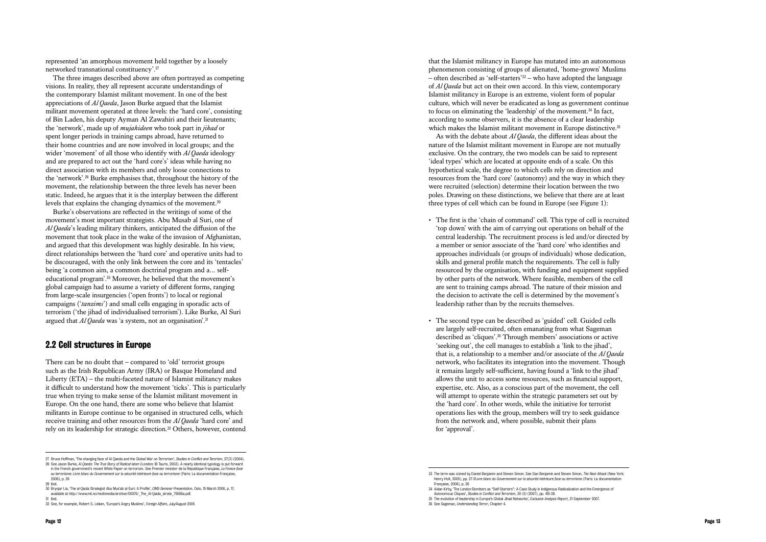represented 'an amorphous movement held together by a loosely networked transnational constituency'.<sup>27</sup>

The three images described above are often portrayed as competing visions. In reality, they all represent accurate understandings of the contemporary Islamist militant movement. In one of the best appreciations of *Al Qaeda*, Jason Burke argued that the Islamist militant movement operated at three levels: the 'hard core', consisting of Bin Laden, his deputy Ayman Al Zawahiri and their lieutenants; the 'network', made up of *mujahideen* who took part in *jihad* or spent longer periods in training camps abroad, have returned to their home countries and are now involved in local groups; and the wider 'movement' of all those who identify with *Al Qaeda* ideology and are prepared to act out the 'hard core's' ideas while having no direct association with its members and only loose connections to the 'network'.28 Burke emphasises that, throughout the history of the movement, the relationship between the three levels has never been static. Indeed, he argues that it is the interplay between the different levels that explains the changing dynamics of the movement.<sup>29</sup>

There can be no doubt that – compared to 'old' terrorist groups such as the Irish Republican Army (IRA) or Basque Homeland and Liberty (ETA) – the multi-faceted nature of Islamist militancy makes it difficult to understand how the movement 'ticks'. This is particularly true when trying to make sense of the Islamist militant movement in Europe. On the one hand, there are some who believe that Islamist militants in Europe continue to be organised in structured cells, which receive training and other resources from the *Al Qaeda* 'hard core' and rely on its leadership for strategic direction.<sup>32</sup> Others, however, contend

Burke's observations are reflected in the writings of some of the movement's most important strategists. Abu Musab al Suri, one of *Al Qaeda*'s leading military thinkers, anticipated the diffusion of the movement that took place in the wake of the invasion of Afghanistan, and argued that this development was highly desirable. In his view, direct relationships between the 'hard core' and operative units had to be discouraged, with the only link between the core and its 'tentacles' being 'a common aim, a common doctrinal program and a… selfeducational program'.30 Moreover, he believed that the movement's global campaign had to assume a variety of different forms, ranging from large-scale insurgencies ('open fronts') to local or regional campaigns ('*tanzims*') and small cells engaging in sporadic acts of terrorism ('the jihad of individualised terrorism'). Like Burke, Al Suri argued that *Al Qaeda* was 'a system, not an organisation'.<sup>31</sup>

### 2.2 Cell structures in Europe

that the Islamist militancy in Europe has mutated into an autonomous phenomenon consisting of groups of alienated, 'home-grown' Muslims – often described as 'self-starters'33 – who have adopted the language of *Al Qaeda* but act on their own accord. In this view, contemporary Islamist militancy in Europe is an extreme, violent form of popular culture, which will never be eradicated as long as government continue to focus on eliminating the 'leadership' of the movement.34 In fact, according to some observers, it is the absence of a clear leadership which makes the Islamist militant movement in Europe distinctive.<sup>35</sup> As with the debate about *Al Qaeda*, the different ideas about the nature of the Islamist militant movement in Europe are not mutually exclusive. On the contrary, the two models can be said to represent 'ideal types' which are located at opposite ends of a scale. On this hypothetical scale, the degree to which cells rely on direction and resources from the 'hard core' (autonomy) and the way in which they were recruited (selection) determine their location between the two poles. Drawing on these distinctions, we believe that there are at least three types of cell which can be found in Europe (see Figure 1):

- The first is the 'chain of command' cell. This type of cell is recruited 'top down' with the aim of carrying out operations on behalf of the central leadership. The recruitment process is led and/or directed by a member or senior associate of the 'hard core' who identifies and approaches individuals (or groups of individuals) whose dedication, skills and general profile match the requirements. The cell is fully resourced by the organisation, with funding and equipment supplied by other parts of the network. Where feasible, members of the cell are sent to training camps abroad. The nature of their mission and the decision to activate the cell is determined by the movement's leadership rather than by the recruits themselves.
- The second type can be described as 'guided' cell. Guided cells are largely self-recruited, often emanating from what Sageman described as 'cliques'.36 Through members' associations or active 'seeking out', the cell manages to establish a 'link to the jihad', that is, a relationship to a member and/or associate of the *Al Qaeda* network, who facilitates its integration into the movement. Though it remains largely self-sufficient, having found a 'link to the jihad' allows the unit to access some resources, such as financial support, expertise, etc. Also, as a conscious part of the movement, the cell will attempt to operate within the strategic parameters set out by the 'hard core'. In other words, while the initiative for terrorist operations lies with the group, members will try to seek guidance from the network and, where possible, submit their plans for 'approval'.

<sup>27</sup> Bruce Hoffman, 'The changing face of Al Qaeda and the Global War on Terrorism', *Studies in Conflict and Terorism*, 27(3) (2004).

<sup>28</sup> See Jason Burke, *Al Qaeda: The True Story of Radical Islam* (London: IB Tauris, 2003). A nearly identical typology is put forward in the French government's recent White Paper on terrorism. See Premier minister de la République Française, *La France face au terrorisme: Livre blanc du Governement sur la sécurité intérieure face au terrorisme* (Paris: La documentation Française,

<sup>2006),</sup> p. 26 29 Ibid.

<sup>30</sup> Brynjar Lia, 'The al-Qaida Strategist Abu Mus'ab al-Suri: A Profile', *OMS-Seminar Presentation*, Oslo, 15 March 2006, p. 17; available at http://www.mil.no/multimedia/archive/00076/\_The\_Al-Qaida\_strate\_76568a.pdf.

<sup>31</sup> Ibid.

<sup>32</sup> See, for example, Robert S. Leiken, 'Europe's Angry Muslims', *Foreign Affairs*, July/August 2005

<sup>33</sup> The term was coined by Daniel Benjamin and Steven Simon. See Dan Benjamin and Steven Simon, *The Next Attack* (New York: Henry Holt, 2005), pp. 27-31.*ivre blanc du Governement sur la sécurité intérieure face au terrorisme* (Paris: La documentation Française, 2006), p. 26

<sup>34</sup> Aidan Kirby, 'The London Bombers as "Self-Starters": A Case Study in Indigenous Radicalization and the Emergence of Autonomous Cliques', *Studies in Conflict and Terrorism*, 30 (5) (2007), pp. 415-28.

<sup>35</sup> The evolution of leadership in Europe's Global Jihad Networks', *Exclusive Analysis Report*, 21 September 2007. 36 See Sageman, *Understanding Terror*, Chapter 4.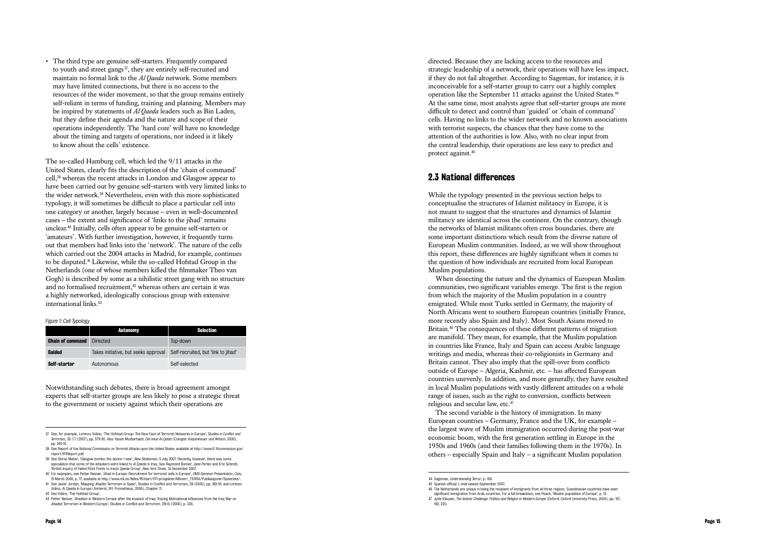• The third type are genuine self-starters. Frequently compared to youth and street gangs $37$ , they are entirely self-recruited and maintain no formal link to the *Al Qaeda* network. Some members may have limited connections, but there is no access to the resources of the wider movement, so that the group remains entirely self-reliant in terms of funding, training and planning. Members may be inspired by statements of *Al Qaeda* leaders such as Bin Laden, but they define their agenda and the nature and scope of their operations independently. The 'hard core' will have no knowledge about the timing and targets of operations, nor indeed is it likely to know about the cells' existence.

The so-called Hamburg cell, which led the 9/11 attacks in the United States, clearly fits the description of the 'chain of command' cell,38 whereas the recent attacks in London and Glasgow appear to have been carried out by genuine self-starters with very limited links to the wider network.39 Nevertheless, even with this more sophisticated typology, it will sometimes be difficult to place a particular cell into one category or another, largely because – even in well-documented cases – the extent and significance of 'links to the jihad' remains unclear.40 Initially, cells often appear to be genuine self-starters or 'amateurs'. With further investigation, however, it frequently turns out that members had links into the 'network'. The nature of the cells which carried out the 2004 attacks in Madrid, for example, continues to be disputed.41 Likewise, while the so-called Hofstad Group in the Netherlands (one of whose members killed the filmmaker Theo van Gogh) is described by some as a nihilistic street gang with no structure and no formalised recruitment. $42$  whereas others are certain it was a highly networked, ideologically conscious group with extensive international links.<sup>43</sup>

When dissecting the nature and the dynamics of European Muslim communities, two significant variables emerge. The first is the region from which the majority of the Muslim population in a country emigrated. While most Turks settled in Germany, the majority of North Africans went to southern European countries (initially France, more recently also Spain and Italy). Most South Asians moved to Britain.<sup>46</sup> The consequences of these different patterns of migration are manifold. They mean, for example, that the Muslim population in countries like France, Italy and Spain can access Arabic language writings and media, whereas their co-religionists in Germany and Britain cannot. They also imply that the spill-over from conflicts outside of Europe – Algeria, Kashmir, etc. – has affected European countries unevenly. In addition, and more generally, they have resulted in local Muslim populations with vastly different attitudes on a whole range of issues, such as the right to conversion, conflicts between religious and secular law, etc.<sup>47</sup>

|                         | <b>Autonomy</b>                      | <b>Selection</b>                    |
|-------------------------|--------------------------------------|-------------------------------------|
| <b>Chain of command</b> | Directed                             | Top-down                            |
| Guided                  | Takes initiative, but seeks approval | Self-recruited, but 'link to jihad' |
| Self-starter            | Autonomous                           | Self-selected                       |

Notwithstanding such debates, there is broad agreement amongst experts that self-starter groups are less likely to pose a strategic threat to the government or society against which their operations are

directed. Because they are lacking access to the resources and strategic leadership of a network, their operations will have less impact, if they do not fail altogether. According to Sageman, for instance, it is inconceivable for a self-starter group to carry out a highly complex operation like the September 11 attacks against the United States.<sup>44</sup> At the same time, most analysts agree that self-starter groups are more difficult to detect and control than 'guided' or 'chain of command' cells. Having no links to the wider network and no known associations with terrorist suspects, the chances that they have come to the attention of the authorities is low. Also, with no clear input from the central leadership, their operations are less easy to predict and protect against.<sup>45</sup>

# 2.3 National differences

While the typology presented in the previous section helps to conceptualise the structures of Islamist militancy in Europe, it is not meant to suggest that the structures and dynamics of Islamist militancy are identical across the continent. On the contrary, though the networks of Islamist militants often cross boundaries, there are some important distinctions which result from the diverse nature of European Muslim communities. Indeed, as we will show throughout this report, these differences are highly significant when it comes to the question of how individuals are recruited from local European Muslim populations.

The second variable is the history of immigration. In many European countries – Germany, France and the UK, for example – the largest wave of Muslim immigration occurred during the post-war economic boom, with the first generation settling in Europe in the 1950s and 1960s (and their families following them in the 1970s). In others – especially Spain and Italy – a significant Muslim population

- 37 See, for example, Lorenzo Vidino, 'The Hofstad Group: The New Face of Terrorist Networks in Europe', *Studies in Conflict and Terrorism*, 30 (7) (2007), pp. 579-92. Also Yassin Musharbash, *Die neue Al-Qaida* (Cologne: Kiepenheuer und Witsch, 2006), pp. 245-51.
- 38 See Report of the *National Commission on Terrorist Attacks upon the United States*; available at http://www.9 11commission.gov/ report/911Report.pdf.
- 39 See Shiraz Maher, 'Glasgow bombs: the doctor I new', *New Statesman*, 5 July 2007. Recently, however, there was some speculation that some of the attackers were linked to *Al Qaeda* in Iraq. See Raymond Bonner, Jane Perlez and Eric Schmitt, 'British Inquiry of Failed Plots Points to Iraq's Qaeda Group', *New York Times*, 14 December 2007.
- 40 For examples, see Petter Nesser, 'Jihad in Europe: Recruitment for terrorist cells in Europe', *OMS-Seminar Presentation*, Oslo, 15 March 2006, p. 17; available at http://www.mil.no/felles/ffi/start/FFI-prosjekter/Alfover/\_TERRA/Publikasjoner/Speeches/. 41 See Javier Jordan, 'Mapping Jihadist Terrorism in Spain', Studies in Conflict and Terrorism, 28 (2005), pp. 169-91; and Lorenzo
- Vidino, Al Qaeda in Europe (Amherst, NY: Prometheus, 2006), Chapter 11.

42 See Vidino, 'The Hofstad Group'.

43 Petter Nesser, 'Jihadism in Western Europe after the Invasion of Iraq: Tracing Motivational Influences from the Iraq War on Jihadist Terrorism in Western Europe', Studies in Conflict and Terrorism, 29(4) (2006), p. 336.

#### *Figure 1: Cell Typology*

<sup>44</sup> Sageman, *Understanding Terror*, p. 160.

<sup>45</sup> Spanish official 1, interviewed September 2007.

<sup>46</sup> The Netherlands are unique in being the recipient of immigrants from all three regions. Scandinavian countries have seen significant immigration from Arab countries. For a full breakdown, see Peach, 'Muslim population of Europe', p. 12. 47 Jytte Klausen, *The Islamic Challenge: Politics and Religion in Western Europe* (Oxford: Oxford University Press, 2005), pp. 157, 192, 220.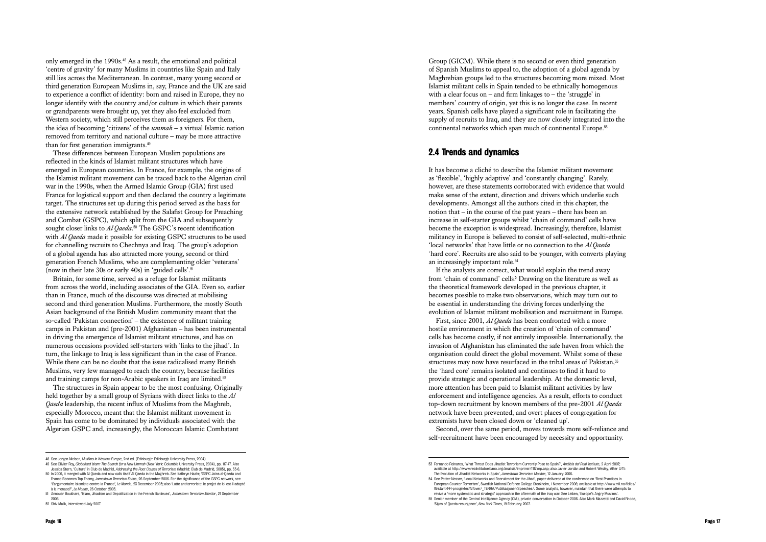only emerged in the 1990s.48 As a result, the emotional and political 'centre of gravity' for many Muslims in countries like Spain and Italy still lies across the Mediterranean. In contrast, many young second or third generation European Muslims in, say, France and the UK are said to experience a conflict of identity: born and raised in Europe, they no longer identify with the country and/or culture in which their parents or grandparents were brought up, yet they also feel excluded from Western society, which still perceives them as foreigners. For them, the idea of becoming 'citizens' of the *ummah* – a virtual Islamic nation removed from territory and national culture – may be more attractive than for first generation immigrants.<sup>49</sup>

Britain, for some time, served as a refuge for Islamist militants from across the world, including associates of the GIA. Even so, earlier than in France, much of the discourse was directed at mobilising second and third generation Muslims. Furthermore, the mostly South Asian background of the British Muslim community meant that the so-called 'Pakistan connection' – the existence of militant training camps in Pakistan and (pre-2001) Afghanistan – has been instrumental in driving the emergence of Islamist militant structures, and has on numerous occasions provided self-starters with 'links to the jihad'. In turn, the linkage to Iraq is less significant than in the case of France. While there can be no doubt that the issue radicalised many British Muslims, very few managed to reach the country, because facilities and training camps for non-Arabic speakers in Iraq are limited.<sup>52</sup>

These differences between European Muslim populations are reflected in the kinds of Islamist militant structures which have emerged in European countries. In France, for example, the origins of the Islamist militant movement can be traced back to the Algerian civil war in the 1990s, when the Armed Islamic Group (GIA) first used France for logistical support and then declared the country a legitimate target. The structures set up during this period served as the basis for the extensive network established by the Salafist Group for Preaching and Combat (GSPC), which split from the GIA and subsequently sought closer links to *Al Qaeda*.<sup>50</sup> The GSPC's recent identification with *Al Qaeda* made it possible for existing GSPC structures to be used for channelling recruits to Chechnya and Iraq. The group's adoption of a global agenda has also attracted more young, second or third generation French Muslims, who are complementing older 'veterans' (now in their late 30s or early 40s) in 'guided cells'.<sup>51</sup>

Group (GICM). While there is no second or even third generation of Spanish Muslims to appeal to, the adoption of a global agenda by Maghrebian groups led to the structures becoming more mixed. Most Islamist militant cells in Spain tended to be ethnically homogenous with a clear focus on – and firm linkages to – the 'struggle' in members' country of origin, yet this is no longer the case. In recent years, Spanish cells have played a significant role in facilitating the supply of recruits to Iraq, and they are now closely integrated into the continental networks which span much of continental Europe.<sup>53</sup>

The structures in Spain appear to be the most confusing. Originally held together by a small group of Syrians with direct links to the *Al Qaeda* leadership, the recent influx of Muslims from the Maghreb, especially Morocco, meant that the Islamist militant movement in Spain has come to be dominated by individuals associated with the Algerian GSPC and, increasingly, the Moroccan Islamic Combatant

# 2.4 Trends and dynamics

It has become a cliché to describe the Islamist militant movement as 'flexible', 'highly adaptive' and 'constantly changing'. Rarely, however, are these statements corroborated with evidence that would make sense of the extent, direction and drivers which underlie such developments. Amongst all the authors cited in this chapter, the notion that – in the course of the past years – there has been an increase in self-starter groups whilst 'chain of command' cells have become the exception is widespread. Increasingly, therefore, Islamist militancy in Europe is believed to consist of self-selected, multi-ethnic 'local networks' that have little or no connection to the *Al Qaeda* 'hard core'. Recruits are also said to be younger, with converts playing an increasingly important role.<sup>54</sup>

If the analysts are correct, what would explain the trend away from 'chain of command' cells? Drawing on the literature as well as the theoretical framework developed in the previous chapter, it becomes possible to make two observations, which may turn out to be essential in understanding the driving forces underlying the evolution of Islamist militant mobilisation and recruitment in Europe. First, since 2001, *Al Qaeda* has been confronted with a more hostile environment in which the creation of 'chain of command' cells has become costly, if not entirely impossible. Internationally, the invasion of Afghanistan has eliminated the safe haven from which the organisation could direct the global movement. Whilst some of these structures may now have resurfaced in the tribal areas of Pakistan,<sup>55</sup> the 'hard core' remains isolated and continues to find it hard to provide strategic and operational leadership. At the domestic level, more attention has been paid to Islamist militant activities by law enforcement and intelligence agencies. As a result, efforts to conduct top-down recruitment by known members of the pre-2001 *Al Qaeda* network have been prevented, and overt places of congregation for extremists have been closed down or 'cleaned up'.

Second, over the same period, moves towards more self-reliance and self-recruitment have been encouraged by necessity and opportunity.

<sup>48</sup> See Jorgen Nielsen, *Muslims in Western Europe*, 2nd ed. (Edinburgh: Edinburgh University Press, 2004).

<sup>49</sup> See Olivier Roy, *Globalized Islam: The Search for a New Ummah* (New York: Columbia University Press, 2004), pp. 117-47. Also Jessica Stern, 'Culture' in Club de Madrid, *Addressing the Root Causes of Terrorism* (Madrid: Club de Madrid, 2005), pp. 35-6.

<sup>50</sup> In 2006, it merged with Al Qaeda and now calls itself Al Qaeda in the Maghreb. See Kathryn Haahr, 'GSPC Joins al-Qaeda and France Becomes Top Enemy, *Jamestown Terrorism Focus*, 26 September 2006. For the significance of the GSPC network, see 'L'argumentaire islamiste contre la France', *Le Monde*, 23 December 2005; also 'Lutte antiterroriste: le projet de loi est-il adapté à la menace?', *Le Monde*, 26 October 2005.

<sup>51</sup> Annouar Boukhars, 'Islam, Jihadism and Depolitization in the French Banlieues', *Jamestown Terrorism Monitor*, 21 September 2006.

<sup>52</sup> Shiv Malik, interviewed July 2007.

<sup>53</sup> Fernando Reinares, 'What Threat Does Jihadist Terrorism Currently Pose to Spain?', *Análisis del Real Instituto*, 2 April 2007; available at http://www.realintitutoelcano.org/analisis/imprimir/1117imp.asp; also Javier Jordán and Robert Wesley, 'After 3/11: The Evolution of Jihadist Networks in Spain', *Jamestown Terrorism Monitor*, 12 January 2006.

<sup>54</sup> See Petter Nesser, 'Local Networks and Recruitment for the Jihad', paper delivered at the conference on 'Best Practices in European Counter Terrorism', Swedish National Defence College Stockholm, 1 November 2006; available at http://www.mil.no/felles/ ffi/start/FFI-prosjekter/Alfover/\_TERRA/Publikasjoner/Speeches/. Some analysts, however, maintain that there were attempts to revive a 'more systematic and strategic' approach in the aftermath of the Iraq war. See Leiken, 'Europe's Angry Muslims'. 55 Senior member of the Central Intelligence Agency (CIA), private conversation in October 2006. Also Mark Mazzetti and David Rhode, 'Signs of Qaeda resurgence', *New York Times*, 19 February 2007.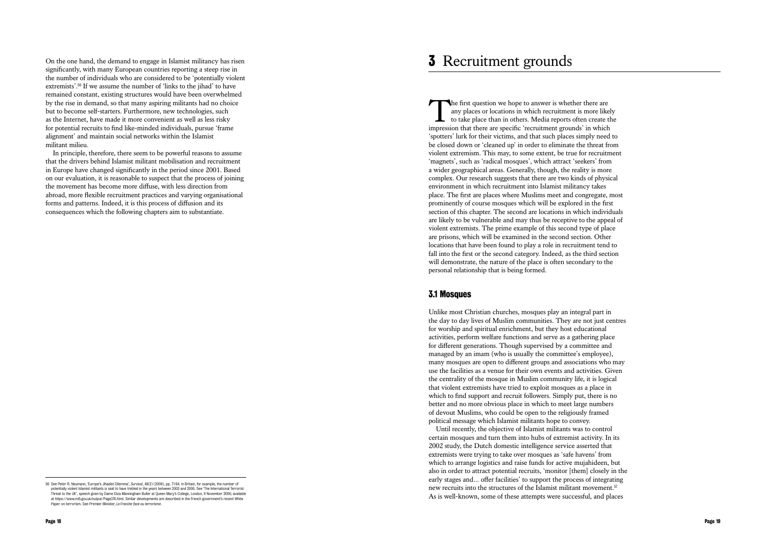On the one hand, the demand to engage in Islamist militancy has risen significantly, with many European countries reporting a steep rise in the number of individuals who are considered to be 'potentially violent extremists'.56 If we assume the number of 'links to the jihad' to have remained constant, existing structures would have been overwhelmed by the rise in demand, so that many aspiring militants had no choice but to become self-starters. Furthermore, new technologies, such as the Internet, have made it more convenient as well as less risky for potential recruits to find like-minded individuals, pursue 'frame alignment' and maintain social networks within the Islamist militant milieu.

In principle, therefore, there seem to be powerful reasons to assume that the drivers behind Islamist militant mobilisation and recruitment in Europe have changed significantly in the period since 2001. Based on our evaluation, it is reasonable to suspect that the process of joining the movement has become more diffuse, with less direction from abroad, more flexible recruitment practices and varying organisational forms and patterns. Indeed, it is this process of diffusion and its consequences which the following chapters aim to substantiate.

The first question we hope to answer is whether there are<br>any places or locations in which recruitment is more like<br>to take place than in others. Media reports often create t<br>impression that there are specific 'recruitment any places or locations in which recruitment is more likely to take place than in others. Media reports often create the impression that there are specific 'recruitment grounds' in which 'spotters' lurk for their victims, and that such places simply need to be closed down or 'cleaned up' in order to eliminate the threat from violent extremism. This may, to some extent, be true for recruitment 'magnets', such as 'radical mosques', which attract 'seekers' from a wider geographical areas. Generally, though, the reality is more complex. Our research suggests that there are two kinds of physical environment in which recruitment into Islamist militancy takes place. The first are places where Muslims meet and congregate, most prominently of course mosques which will be explored in the first section of this chapter. The second are locations in which individuals are likely to be vulnerable and may thus be receptive to the appeal of violent extremists. The prime example of this second type of place are prisons, which will be examined in the second section. Other locations that have been found to play a role in recruitment tend to fall into the first or the second category. Indeed, as the third section will demonstrate, the nature of the place is often secondary to the personal relationship that is being formed.

Unlike most Christian churches, mosques play an integral part in the day to day lives of Muslim communities. They are not just centres for worship and spiritual enrichment, but they host educational activities, perform welfare functions and serve as a gathering place for different generations. Though supervised by a committee and managed by an imam (who is usually the committee's employee), many mosques are open to different groups and associations who may use the facilities as a venue for their own events and activities. Given the centrality of the mosque in Muslim community life, it is logical that violent extremists have tried to exploit mosques as a place in which to find support and recruit followers. Simply put, there is no better and no more obvious place in which to meet large numbers of devout Muslims, who could be open to the religiously framed political message which Islamist militants hope to convey. Until recently, the objective of Islamist militants was to control certain mosques and turn them into hubs of extremist activity. In its 2002 study, the Dutch domestic intelligence service asserted that extremists were trying to take over mosques as 'safe havens' from which to arrange logistics and raise funds for active mujahideen, but also in order to attract potential recruits, 'monitor [them] closely in the early stages and… offer facilities' to support the process of integrating new recruits into the structures of the Islamist militant movement.<sup>57</sup> **3 Recruitment grounds**<br> **As interaction** we hope to answer is whether there are any any places or locations in which recruitment is more likely impression that there is consided the change of these at the place of inputs

# 3.1 Mosques

<sup>56</sup> See Peter R. Neumann, 'Europe's Jihadist Dilemma', *Survival*, 48(2) (2006), pp. 71-84. In Britain, for example, the number of potentially violent Islamist militants is said to have trebled in the years between 2003 and 2006. See 'The International Terrorist Threat to the UK', speech given by Dame Eliza Manningham Buller at Queen Mary's College, London, 9 November 2006; available at https://www.mi5.gov.uk/output/Page374.html. Similar developments are described in the French government's recent White Paper on terrorism. See Premier Minister, *La Franche face au terrorisme* .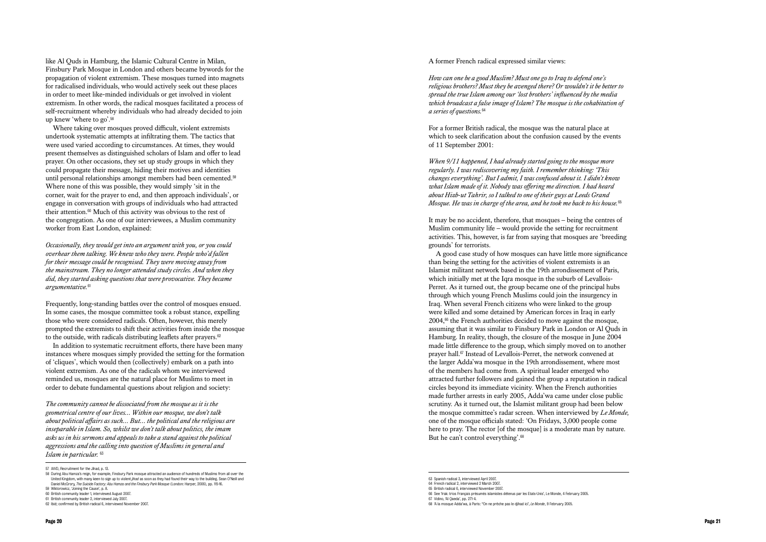like Al Quds in Hamburg, the Islamic Cultural Centre in Milan, Finsbury Park Mosque in London and others became bywords for the propagation of violent extremism. These mosques turned into magnets for radicalised individuals, who would actively seek out these places in order to meet like-minded individuals or get involved in violent extremism. In other words, the radical mosques facilitated a process of self-recruitment whereby individuals who had already decided to join up knew 'where to go'.<sup>58</sup>

Frequently, long-standing battles over the control of mosques ensued. In some cases, the mosque committee took a robust stance, expelling those who were considered radicals. Often, however, this merely prompted the extremists to shift their activities from inside the mosque to the outside, with radicals distributing leaflets after prayers.<sup>62</sup>

Where taking over mosques proved difficult, violent extremists undertook systematic attempts at infiltrating them. The tactics that were used varied according to circumstances. At times, they would present themselves as distinguished scholars of Islam and offer to lead prayer. On other occasions, they set up study groups in which they could propagate their message, hiding their motives and identities until personal relationships amongst members had been cemented.<sup>59</sup> Where none of this was possible, they would simply 'sit in the corner, wait for the prayer to end, and then approach individuals', or engage in conversation with groups of individuals who had attracted their attention.<sup>60</sup> Much of this activity was obvious to the rest of the congregation. As one of our interviewees, a Muslim community worker from East London, explained:

*Occasionally, they would get into an argument with you, or you could overhear them talking. We knew who they were. People who'd fallen for their message could be recognised. They were moving away from the mainstream. They no longer attended study circles. And when they did, they started asking questions that were provocative. They became argumentative.*<sup>61</sup>

A good case study of how mosques can have little more significance than being the setting for the activities of violent extremists is an Islamist militant network based in the 19th arrondissement of Paris, which initially met at the Iqra mosque in the suburb of Levallois-Perret. As it turned out, the group became one of the principal hubs through which young French Muslims could join the insurgency in Iraq. When several French citizens who were linked to the group were killed and some detained by American forces in Iraq in early 2004,<sup>66</sup> the French authorities decided to move against the mosque. assuming that it was similar to Finsbury Park in London or Al Quds in Hamburg. In reality, though, the closure of the mosque in June 2004 made little difference to the group, which simply moved on to another prayer hall.67 Instead of Levallois-Perret, the network convened at the larger Adda'wa mosque in the 19th arrondissement, where most of the members had come from. A spiritual leader emerged who attracted further followers and gained the group a reputation in radical circles beyond its immediate vicinity. When the French authorities made further arrests in early 2005, Adda'wa came under close public scrutiny. As it turned out, the Islamist militant group had been below the mosque committee's radar screen. When interviewed by *Le Monde,* one of the mosque officials stated: 'On Fridays, 3,000 people come here to pray. The rector [of the mosque] is a moderate man by nature. But he can't control everything'.<sup>68</sup>

In addition to systematic recruitment efforts, there have been many instances where mosques simply provided the setting for the formation of 'cliques', which would then (collectively) embark on a path into violent extremism. As one of the radicals whom we interviewed reminded us, mosques are the natural place for Muslims to meet in order to debate fundamental questions about religion and society:

*The community cannot be dissociated from the mosque as it is the geometrical centre of our lives… Within our mosque, we don't talk about political affairs as such… But… the political and the religious are inseparable in Islam. So, whilst we don't talk about politics, the imam asks us in his sermons and appeals to take a stand against the political aggressions and the calling into question of Muslims in general and Islam in particular.* <sup>63</sup>

#### A former French radical expressed similar views:

*How can one be a good Muslim? Must one go to Iraq to defend one's religious brothers? Must they be avenged there? Or wouldn't it be better to spread the true Islam among our 'lost brothers' influenced by the media which broadcast a false image of Islam? The mosque is the cohabitation of a series of questions.*<sup>64</sup>

For a former British radical, the mosque was the natural place at which to seek clarification about the confusion caused by the events of 11 September 2001:

*When 9/11 happened, I had already started going to the mosque more regularly. I was rediscovering my faith. I remember thinking: 'This changes everything'. But I admit, I was confused about it. I didn't know what Islam made of it. Nobody was offering me direction. I had heard about Hizb-ut Tahrir, so I talked to one of their guys at Leeds Grand Mosque. He was in charge of the area, and he took me back to his house.*<sup>65</sup>

It may be no accident, therefore, that mosques – being the centres of Muslim community life – would provide the setting for recruitment activities. This, however, is far from saying that mosques are 'breeding grounds' for terrorists.

<sup>57</sup> AIVD, Recruitment for the Jihad, p. 13.

<sup>58</sup> During Abu Hamza's reign, for example, Finsbury Park mosque attracted an audience of hundreds of Muslims from all over the United Kingdom, with many keen to sign up to violent *jihad* as soon as they had found their way to the building. Sean O'Neill and Daniel McGrory, *The Suicide Factory: Abu Hamza and the Finsbury Park Mosque* (London: Harper, 2006), pp. 115-16.

<sup>59</sup> Wiktorowicz, 'Joining the Cause', p. 8. 60 British community leader 1, interviewed August 2007.

<sup>61</sup> British community leader 2, interviewed July 2007.

<sup>62</sup> Ibid; confirmed by British radical 6, interviewed November 2007.

<sup>63</sup> Spanish radical 3, interviewed April 2007.

<sup>64</sup> French radical 2, interviewed 2 March 2007. 65 British radical 6, interviewed November 2007.

<sup>66</sup> See 'Irak: trios Français présumés islamistes détenus par les Etats-Unis', Le Monde, 4 February 2005. 67 Vidino, 'Al Qaeda', pp. 271-4.

<sup>68</sup> 'A la mosque Adda'wa, à Paris: "On ne prêche pas le djihad ici', *Le Monde*, 9 February 2005.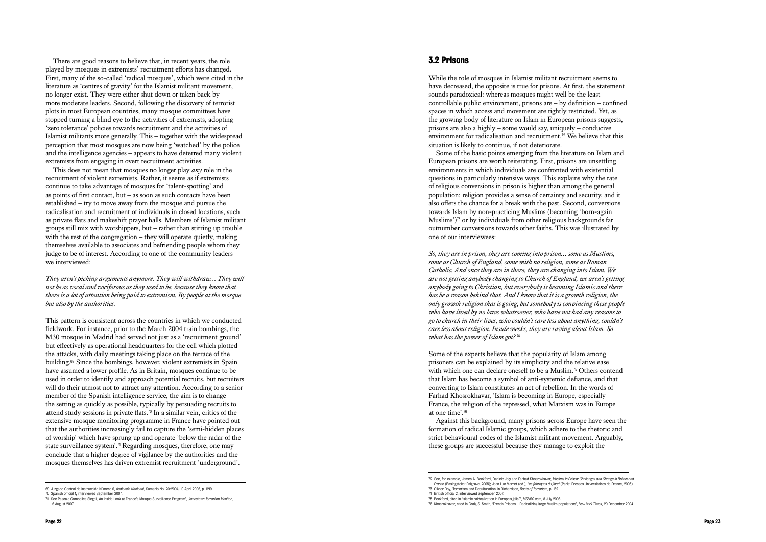There are good reasons to believe that, in recent years, the role played by mosques in extremists' recruitment efforts has changed. First, many of the so-called 'radical mosques', which were cited in the literature as 'centres of gravity' for the Islamist militant movement, no longer exist. They were either shut down or taken back by more moderate leaders. Second, following the discovery of terrorist plots in most European countries, many mosque committees have stopped turning a blind eye to the activities of extremists, adopting 'zero tolerance' policies towards recruitment and the activities of Islamist militants more generally. This – together with the widespread perception that most mosques are now being 'watched' by the police and the intelligence agencies – appears to have deterred many violent extremists from engaging in overt recruitment activities.

This does not mean that mosques no longer play *any* role in the recruitment of violent extremists. Rather, it seems as if extremists continue to take advantage of mosques for 'talent-spotting' and as points of first contact, but – as soon as such contacts have been established – try to move away from the mosque and pursue the radicalisation and recruitment of individuals in closed locations, such as private flats and makeshift prayer halls. Members of Islamist militant groups still mix with worshippers, but – rather than stirring up trouble with the rest of the congregation – they will operate quietly, making themselves available to associates and befriending people whom they judge to be of interest. According to one of the community leaders we interviewed:

*They aren't picking arguments anymore. They will withdraw… They will not be as vocal and vociferous as they used to be, because they know that there is a lot of attention being paid to extremism. By people at the mosque but also by the authorities.*

This pattern is consistent across the countries in which we conducted fieldwork. For instance, prior to the March 2004 train bombings, the M30 mosque in Madrid had served not just as a 'recruitment ground' but effectively as operational headquarters for the cell which plotted the attacks, with daily meetings taking place on the terrace of the building.69 Since the bombings, however, violent extremists in Spain have assumed a lower profile. As in Britain, mosques continue to be used in order to identify and approach potential recruits, but recruiters will do their utmost not to attract any attention. According to a senior member of the Spanish intelligence service, the aim is to change the setting as quickly as possible, typically by persuading recruits to attend study sessions in private flats.<sup>70</sup> In a similar vein, critics of the extensive mosque monitoring programme in France have pointed out that the authorities increasingly fail to capture the 'semi-hidden places of worship' which have sprung up and operate 'below the radar of the state surveillance system'.<sup>71</sup> Regarding mosques, therefore, one may conclude that a higher degree of vigilance by the authorities and the mosques themselves has driven extremist recruitment 'underground'.

While the role of mosques in Islamist militant recruitment seems to have decreased, the opposite is true for prisons. At first, the statement sounds paradoxical: whereas mosques might well be the least controllable public environment, prisons are – by definition – confined spaces in which access and movement are tightly restricted. Yet, as the growing body of literature on Islam in European prisons suggests, prisons are also a highly – some would say, uniquely – conducive environment for radicalisation and recruitment.<sup>72</sup> We believe that this situation is likely to continue, if not deteriorate.

Some of the basic points emerging from the literature on Islam and European prisons are worth reiterating. First, prisons are unsettling environments in which individuals are confronted with existential questions in particularly intensive ways. This explains why the rate of religious conversions in prison is higher than among the general population: religion provides a sense of certainty and security, and it also offers the chance for a break with the past. Second, conversions towards Islam by non-practicing Muslims (becoming 'born-again Muslims')<sup>73</sup> or by individuals from other religious backgrounds far outnumber conversions towards other faiths. This was illustrated by one of our interviewees:

*So, they are in prison, they are coming into prison… some as Muslims, some as Church of England, some with no religion, some as Roman Catholic. And once they are in there, they are changing into Islam. We are not getting anybody changing to Church of England, we aren't getting anybody going to Christian, but everybody is becoming Islamic and there has be a reason behind that. And I know that it is a growth religion, the only growth religion that is going, but somebody is convincing these people who have lived by no laws whatsoever, who have not had any reasons to go to church in their lives, who couldn't care less about anything, couldn't care less about religion. Inside weeks, they are raving about Islam. So what has the power of Islam got?* <sup>74</sup>

Some of the experts believe that the popularity of Islam among prisoners can be explained by its simplicity and the relative ease with which one can declare oneself to be a Muslim.<sup>75</sup> Others contend that Islam has become a symbol of anti-systemic defiance, and that converting to Islam constitutes an act of rebellion. In the words of Farhad Khosrokhavar, 'Islam is becoming in Europe, especially France, the religion of the repressed, what Marxism was in Europe at one time'.<sup>76</sup>

Against this background, many prisons across Europe have seen the formation of radical Islamic groups, which adhere to the rhetoric and strict behavioural codes of the Islamist militant movement. Arguably, these groups are successful because they manage to exploit the

<sup>69</sup> Juzgado Central de Instrucción Número 6, *Audiencia Nacional*, Sumario No. 20/2004, 10 April 2006, p. 1219. .

<sup>70</sup> Spanish official 1, interviewed September 2007.

<sup>71</sup> See Pascale Combelles Siegel, 'An Inside Look at France's Mosque Surveillance Program', *Jamestown Terrorism Monitor*, 16 August 2007.

<sup>72</sup> See, for example, James A. Beckford, Daniele Joly and Farhad Khosrokhavar, *Muslims in Prison: Challenges and Change in Britain and France* (Basingstoke: Palgrave, 2005); Jean-Luc Marret (ed.), *Les fabriques du jihad* (Paris: Presses Universitaires de France, 2005). 73 Olivier Roy, 'Terrorism and Deculturation' in Richardson, *Roots of Terrorism*, p. 162

<sup>74</sup> British official 2, interviewed September 2007.

<sup>75</sup> Beckford, cited in 'Islamic raidcalization in Europe's jails?', *MSNBC.com*, 8 July 2006.

<sup>76</sup> Khosrokhavar, cited in Craig S. Smith, 'French Prisons – Radicalizing large Muslim populations', *New York Times*, 20 December 2004.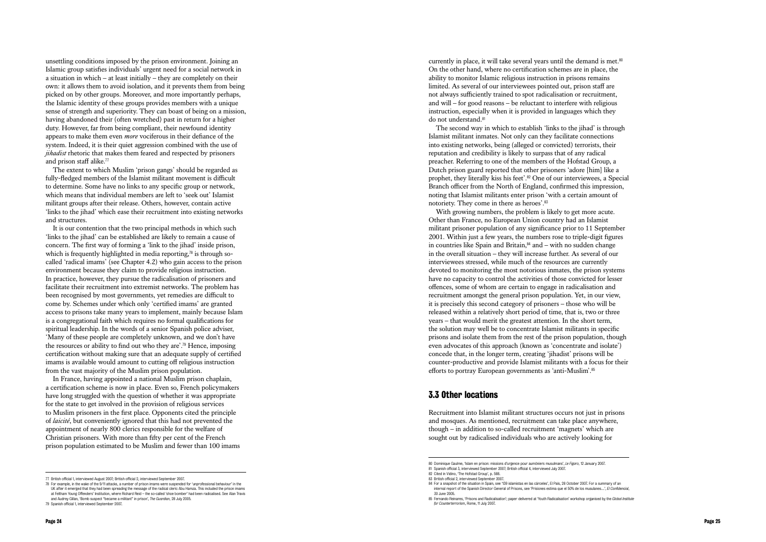unsettling conditions imposed by the prison environment. Joining an Islamic group satisfies individuals' urgent need for a social network in a situation in which – at least initially – they are completely on their own: it allows them to avoid isolation, and it prevents them from being picked on by other groups. Moreover, and more importantly perhaps, the Islamic identity of these groups provides members with a unique sense of strength and superiority. They can boast of being on a mission, having abandoned their (often wretched) past in return for a higher duty. However, far from being compliant, their newfound identity appears to make them even *more* vociferous in their defiance of the system. Indeed, it is their quiet aggression combined with the use of *jihadist* rhetoric that makes them feared and respected by prisoners and prison staff alike.<sup>77</sup>

The extent to which Muslim 'prison gangs' should be regarded as fully-fledged members of the Islamist militant movement is difficult to determine. Some have no links to any specific group or network, which means that individual members are left to 'seek out' Islamist militant groups after their release. Others, however, contain active 'links to the jihad' which ease their recruitment into existing networks and structures.

currently in place, it will take several years until the demand is met.<sup>80</sup> On the other hand, where no certification schemes are in place, the ability to monitor Islamic religious instruction in prisons remains limited. As several of our interviewees pointed out, prison staff are not always sufficiently trained to spot radicalisation or recruitment, and will – for good reasons – be reluctant to interfere with religious instruction, especially when it is provided in languages which they do not understand.<sup>81</sup>

It is our contention that the two principal methods in which such 'links to the jihad' can be established are likely to remain a cause of concern. The first way of forming a 'link to the jihad' inside prison, which is frequently highlighted in media reporting, $78$  is through socalled 'radical imams' (see Chapter 4.2) who gain access to the prison environment because they claim to provide religious instruction. In practice, however, they pursue the radicalisation of prisoners and facilitate their recruitment into extremist networks. The problem has been recognised by most governments, yet remedies are difficult to come by. Schemes under which only 'certified imams' are granted access to prisons take many years to implement, mainly because Islam is a congregational faith which requires no formal qualifications for spiritual leadership. In the words of a senior Spanish police adviser, 'Many of these people are completely unknown, and we don't have the resources or ability to find out who they are'.79 Hence, imposing certification without making sure that an adequate supply of certified imams is available would amount to cutting off religious instruction from the vast majority of the Muslim prison population.

The second way in which to establish 'links to the jihad' is through Islamist militant inmates. Not only can they facilitate connections into existing networks, being (alleged or convicted) terrorists, their reputation and credibility is likely to surpass that of any radical preacher. Referring to one of the members of the Hofstad Group, a Dutch prison guard reported that other prisoners 'adore [him] like a prophet, they literally kiss his feet'.82 One of our interviewees, a Special Branch officer from the North of England, confirmed this impression, noting that Islamist militants enter prison 'with a certain amount of notoriety. They come in there as heroes'.<sup>83</sup>

In France, having appointed a national Muslim prison chaplain, a certification scheme is now in place. Even so, French policymakers have long struggled with the question of whether it was appropriate for the state to get involved in the provision of religious services to Muslim prisoners in the first place. Opponents cited the principle of *laicité*, but conveniently ignored that this had not prevented the appointment of nearly 800 clerics responsible for the welfare of Christian prisoners. With more than fifty per cent of the French prison population estimated to be Muslim and fewer than 100 imams

With growing numbers, the problem is likely to get more acute. Other than France, no European Union country had an Islamist militant prisoner population of any significance prior to 11 September 2001. Within just a few years, the numbers rose to triple-digit figures in countries like Spain and Britain, $84$  and – with no sudden change in the overall situation – they will increase further. As several of our interviewees stressed, while much of the resources are currently devoted to monitoring the most notorious inmates, the prison systems have no capacity to control the activities of those convicted for lesser offences, some of whom are certain to engage in radicalisation and recruitment amongst the general prison population. Yet, in our view, it is precisely this second category of prisoners – those who will be released within a relatively short period of time, that is, two or three years – that would merit the greatest attention. In the short term, the solution may well be to concentrate Islamist militants in specific prisons and isolate them from the rest of the prison population, though even advocates of this approach (known as 'concentrate and isolate') concede that, in the longer term, creating 'jihadist' prisons will be counter-productive and provide Islamist militants with a focus for their efforts to portray European governments as 'anti-Muslim'.<sup>85</sup>

## 3.3 Other locations

Recruitment into Islamist militant structures occurs not just in prisons and mosques. As mentioned, recruitment can take place anywhere, though – in addition to so-called recruitment 'magnets' which are sought out by radicalised individuals who are actively looking for

<sup>77</sup> British official 1, interviewed August 2007; British official 2, interviewed September 2007.

<sup>78</sup> For example, in the wake of the 9/11 attacks, a number of prison imams were suspended for 'unprofessional behaviour' in the UK after it emerged that they had been spreading the message of the radical cleric Abu Hamza. This included the prison imams at Feltham Young Offenders' Institution, where Richard Reid – the so-called 'shoe bomber' had been radicalised. See Alan Travis and Audrey Gillan, 'Bomb suspect "became a militant" in prison', *The Guardian*, 28 July 2005.

<sup>79</sup> Spanish official 1, interviewed September 2007.

<sup>80</sup> Dominique Gaulme, 'Islam en prison: missions d'urgence pour aumôniers musulmans', *Le Figaro*, 12 January 2007. 81 Spanish official 3, interviewed September 2007; British official 4, interviewed July 2007.

<sup>82</sup> Cited in Vidino, 'The Hofstad Group', p. 588.

<sup>83</sup> British official 2, interviewed September 2007.

<sup>84</sup> For a snapshot of the situation in Spain, see '139 islamistas en las cárceles', El País, 28 October 2007. For a summary of an internal report of the Spanish Director General of Prisons, see 'Prisiones estima que el 50% de los musulanes…', *El Confidencial*, 30 June 2005.

<sup>85</sup> Fernando Reinares, 'Prisons and Radicalisation'; paper delivered at 'Youth Radicalisation' workshop organised by the *Global Institute for Counterterrorism*, Rome, 11 July 2007.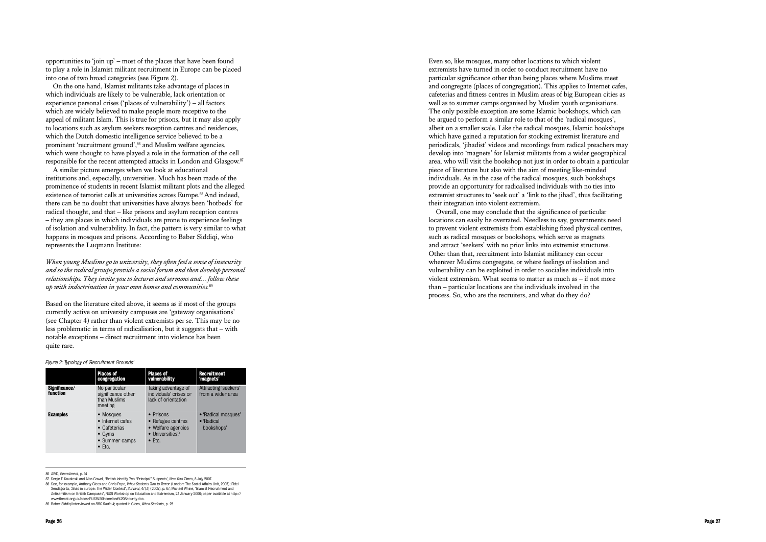opportunities to 'join up' – most of the places that have been found to play a role in Islamist militant recruitment in Europe can be placed into one of two broad categories (see Figure 2).

On the one hand, Islamist militants take advantage of places in which individuals are likely to be vulnerable, lack orientation or experience personal crises ('places of vulnerability') – all factors which are widely believed to make people more receptive to the appeal of militant Islam. This is true for prisons, but it may also apply to locations such as asylum seekers reception centres and residences, which the Dutch domestic intelligence service believed to be a prominent 'recruitment ground',<sup>86</sup> and Muslim welfare agencies, which were thought to have played a role in the formation of the cell responsible for the recent attempted attacks in London and Glasgow.<sup>87</sup>

A similar picture emerges when we look at educational institutions and, especially, universities. Much has been made of the prominence of students in recent Islamist militant plots and the alleged existence of terrorist cells at universities across Europe.<sup>88</sup> And indeed, there can be no doubt that universities have always been 'hotbeds' for radical thought, and that – like prisons and asylum reception centres – they are places in which individuals are prone to experience feelings of isolation and vulnerability. In fact, the pattern is very similar to what happens in mosques and prisons. According to Baber Siddiqi, who represents the Luqmann Institute:

*When young Muslims go to university, they often feel a sense of insecurity and so the radical groups provide a social forum and then develop personal relationships. They invite you to lectures and sermons and… follow these up with indoctrination in your own homes and communities.*<sup>89</sup>

Based on the literature cited above, it seems as if most of the groups currently active on university campuses are 'gateway organisations' (see Chapter 4) rather than violent extremists per se. This may be no less problematic in terms of radicalisation, but it suggests that – with notable exceptions – direct recruitment into violence has been quite rare.

Even so, like mosques, many other locations to which violent extremists have turned in order to conduct recruitment have no particular significance other than being places where Muslims meet and congregate (places of congregation). This applies to Internet cafes, cafeterias and fitness centres in Muslim areas of big European cities as well as to summer camps organised by Muslim youth organisations. The only possible exception are some Islamic bookshops, which can be argued to perform a similar role to that of the 'radical mosques', albeit on a smaller scale. Like the radical mosques, Islamic bookshops which have gained a reputation for stocking extremist literature and periodicals, 'jihadist' videos and recordings from radical preachers may develop into 'magnets' for Islamist militants from a wider geographical area, who will visit the bookshop not just in order to obtain a particular piece of literature but also with the aim of meeting like-minded individuals. As in the case of the radical mosques, such bookshops provide an opportunity for radicalised individuals with no ties into extremist structures to 'seek out' a 'link to the jihad', thus facilitating their integration into violent extremism.

|                           | <b>Places of</b><br>congregation                                                                    | <b>Places of</b><br>vulnerability                                                         | <b>Recruitment</b><br>'magnets'                 |
|---------------------------|-----------------------------------------------------------------------------------------------------|-------------------------------------------------------------------------------------------|-------------------------------------------------|
| Significance/<br>function | No particular<br>significance other<br>than Muslims<br>meeting                                      | Taking advantage of<br>individuals' crises or<br>lack of orientation                      | Attracting 'seekers'<br>from a wider area       |
| <b>Examples</b>           | • Mosques<br>• Internet cafes<br>• Cafeterias<br>$\bullet$ Gyms<br>• Summer camps<br>$\bullet$ Etc. | • Prisons<br>• Refugee centres<br>• Welfare agencies<br>• Universities?<br>$\bullet$ Ftc. | • 'Radical mosques'<br>• 'Radical<br>bookshops' |

<sup>86</sup> AIVD, *Recruitment*, p. 14

Overall, one may conclude that the significance of particular locations can easily be overrated. Needless to say, governments need to prevent violent extremists from establishing fixed physical centres, such as radical mosques or bookshops, which serve as magnets and attract 'seekers' with no prior links into extremist structures. Other than that, recruitment into Islamist militancy can occur wherever Muslims congregate, or where feelings of isolation and vulnerability can be exploited in order to socialise individuals into violent extremism. What seems to matter as much as – if not more than – particular locations are the individuals involved in the process. So, who are the recruiters, and what do they do?

#### *Figure 2: Typology of 'Recruitment Grounds'*

<sup>87</sup> Serge F. Kovaleski and Alan Cowell, 'British Identify Two "Principal" Suspects', *New York Times*, 8 July 2007. 88 See, for example, Anthony Glees and Chris Pope, *When Students Turn to Terror* (London: The Social Affairs Unit, 2005); Fidel Sendagorta, 'Jihad in Europe: The Wider Context', *Survival*, 47(3) (2005), p. 67; Michael Whine, 'Islamist Recruitment and Antisemitism on British Campuses', RUSI Workshop on Education and Extremism, 23 January 2006; paper available at http:// www.thecst.org.uk/docs/RUSI%20Homeland%20Security.doc.

<sup>89</sup> Baber Siddiqi interviewed on *BBC Radio 4*; quoted in Glees, *When Students*, p. 25.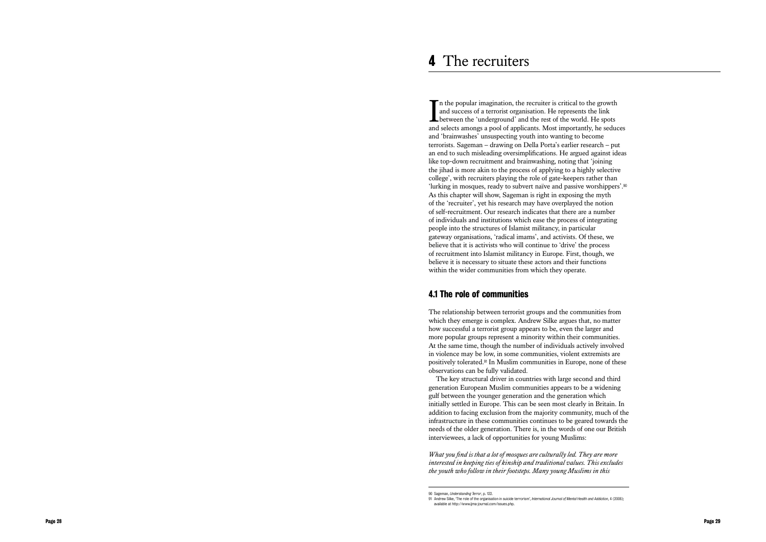The propose of the state of the state of the state of the state of the state of the state of the state of the state of the state of the state of the state of the state of the state of the state of the state of the state o  $\blacksquare$  in the popular imagination, the recruiter is critical to the growth and success of a terrorist organisation. He represents the link between the 'underground' and the rest of the world. He spots and selects amongs a pool of applicants. Most importantly, he seduces and 'brainwashes' unsuspecting youth into wanting to become terrorists. Sageman – drawing on Della Porta's earlier research – put an end to such misleading oversimplifications. He argued against ideas like top-down recruitment and brainwashing, noting that 'joining the jihad is more akin to the process of applying to a highly selective college', with recruiters playing the role of gate-keepers rather than 'lurking in mosques, ready to subvert naïve and passive worshippers'.<sup>90</sup> As this chapter will show, Sageman is right in exposing the myth of the 'recruiter', yet his research may have overplayed the notion of self-recruitment. Our research indicates that there are a number of individuals and institutions which ease the process of integrating people into the structures of Islamist militancy, in particular gateway organisations, 'radical imams', and activists. Of these, we believe that it is activists who will continue to 'drive' the process of recruitment into Islamist militancy in Europe. First, though, we believe it is necessary to situate these actors and their functions within the wider communities from which they operate. **4 The recruiters**<br> **T** are the popular imagination, the recruiter is critical to the grown<br>
and success of a terrorist organisation. He represents the link<br>
and success anongs a pool of applicants. Most importantly, th

# 4.1 The role of communities

The relationship between terrorist groups and the communities from which they emerge is complex. Andrew Silke argues that, no matter how successful a terrorist group appears to be, even the larger and more popular groups represent a minority within their communities. At the same time, though the number of individuals actively involved in violence may be low, in some communities, violent extremists are positively tolerated.91 In Muslim communities in Europe, none of these observations can be fully validated.

The key structural driver in countries with large second and third generation European Muslim communities appears to be a widening gulf between the younger generation and the generation which initially settled in Europe. This can be seen most clearly in Britain. In addition to facing exclusion from the majority community, much of the infrastructure in these communities continues to be geared towards the needs of the older generation. There is, in the words of one our British interviewees, a lack of opportunities for young Muslims:

*What you find is that a lot of mosques are culturally led. They are more interested in keeping ties of kinship and traditional values. This excludes* 

<sup>90</sup> Sageman, *Understanding Terror*, p. 122.

<sup>91</sup> Andrew Silke, 'The role of the organisation in suicide terrorism', *International Journal of Mental Health and Addiction*, 4 (2006); available at http://www.ijma-journal.com/issues.php.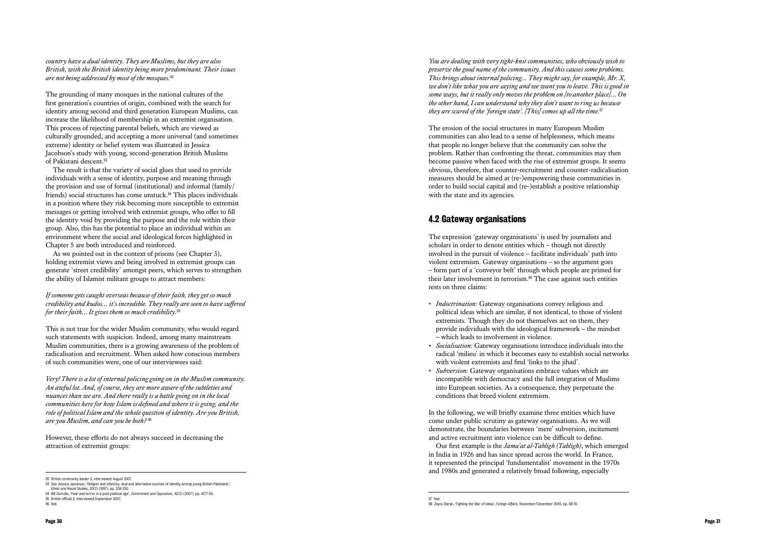*country have a dual identity. They are Muslims, but they are also British, with the British identity being more predominant. Their issues are not being addressed by most of the mosques.*<sup>92</sup>

The grounding of many mosques in the national cultures of the first generation's countries of origin, combined with the search for identity among second and third generation European Muslims, can increase the likelihood of membership in an extremist organisation. This process of rejecting parental beliefs, which are viewed as culturally grounded, and accepting a more universal (and sometimes extreme) identity or belief system was illustrated in Jessica Jacobson's study with young, second-generation British Muslims of Pakistani descent.<sup>93</sup>

As we pointed out in the context of prisons (see Chapter 3). holding extremist views and being involved in extremist groups can generate 'street credibility' amongst peers, which serves to strengthen the ability of Islamist militant groups to attract members:

The result is that the variety of social glues that used to provide individuals with a sense of identity, purpose and meaning through the provision and use of formal (institutional) and informal (family/ friends) social structures has come unstuck.94 This places individuals in a position where they risk becoming more susceptible to extremist messages or getting involved with extremist groups, who offer to fill the identity void by providing the purpose and the role within their group. Also, this has the potential to place an individual within an environment where the social and ideological forces highlighted in Chapter 5 are both introduced and reinforced.

The erosion of the social structures in many European Muslim communities can also lead to a sense of helplessness, which means that people no longer believe that the community can solve the problem. Rather than confronting the threat, communities may then become passive when faced with the rise of extremist groups. It seems obvious, therefore, that counter-recruitment and counter-radicalisation measures should be aimed at (re-)empowering these communities in order to build social capital and (re-)establish a positive relationship with the state and its agencies.

*If someone gets caught overseas because of their faith, they get so much credibility and kudos… it's incredible. They really are seen to have suffered for their faith… It gives them so much credibility.*<sup>95</sup>

This is not true for the wider Muslim community, who would regard such statements with suspicion. Indeed, among many mainstream Muslim communities, there is a growing awareness of the problem of radicalisation and recruitment. When asked how conscious members of such communities were, one of our interviewees said:

*Very! There is a lot of internal policing going on in the Muslim community. An awful lot. And, of course, they are more aware of the subtleties and nuances than we are. And there really is a battle going on in the local communities here for how Islam is defined and where it is going, and the role of political Islam and the whole question of identity. Are you British, are you Muslim, and can you be both?* <sup>96</sup>

However, these efforts do not always succeed in decreasing the attraction of extremist groups:

*You are dealing with very tight-knit communities, who obviously wish to preserve the good name of the community. And this causes some problems. This brings about internal policing… They might say, for example, Mr. X, we don't like what you are saying and we want you to leave. This is good in some ways, but it really only moves the problem on [to another place]… On the other hand, I can understand why they don't want to ring us because they are scared of the 'foreign state'. [This] comes up all the time.*<sup>97</sup>

# 4.2 Gateway organisations

The expression 'gateway organisations' is used by journalists and scholars in order to denote entities which – though not directly involved in the pursuit of violence – facilitate individuals' path into violent extremism. Gateway organisations – so the argument goes – form part of a 'conveyor belt' through which people are primed for their later involvement in terrorism.98 The case against such entities rests on three claims:

- *Indoctrination:* Gateway organisations convey religious and political ideas which are similar, if not identical, to those of violent extremists. Though they do not themselves act on them, they provide individuals with the ideological framework – the mindset – which leads to involvement in violence.
- *Socialisation:* Gateway organisations introduce individuals into the radical 'milieu' in which it becomes easy to establish social networks with violent extremists and find 'links to the jihad'.
- *Subversion:* Gateway organisations embrace values which are incompatible with democracy and the full integration of Muslims into European societies. As a consequence, they perpetuate the conditions that breed violent extremism.

In the following, we will briefly examine three entities which have come under public scrutiny as gateway organisations. As we will demonstrate, the boundaries between 'mere' subversion, incitement and active recruitment into violence can be difficult to define.

Our first example is the *Jama'at al-Tabligh (Tabligh)*, which emerged in India in 1926 and has since spread across the world. In France, it represented the principal 'fundamentalist' movement in the 1970s and 1980s and generated a relatively broad following, especially

<sup>97</sup> Ibid. 98 Zeyno Baran, 'Fighting the War of Ideas', *Foreign Affairs*, November/December 2005, pp. 68-78.

<sup>92</sup> British community leader 3, interviewed August 2007.

<sup>93</sup> See Jessica Jacobson, 'Religion and ethnicity: dual and alternative sources of identity among young British Pakistanis', *Ethnic and Racial Studies*, 20(2) (1997), pp. 238-250.

<sup>94</sup> Bill Durodie, 'Fear and terror in a post-political age', *Government and Opposition*, 42(3) (2007), pp. 4277-50. 95 British official 2, interviewed September 2007.

<sup>96</sup> Ibid.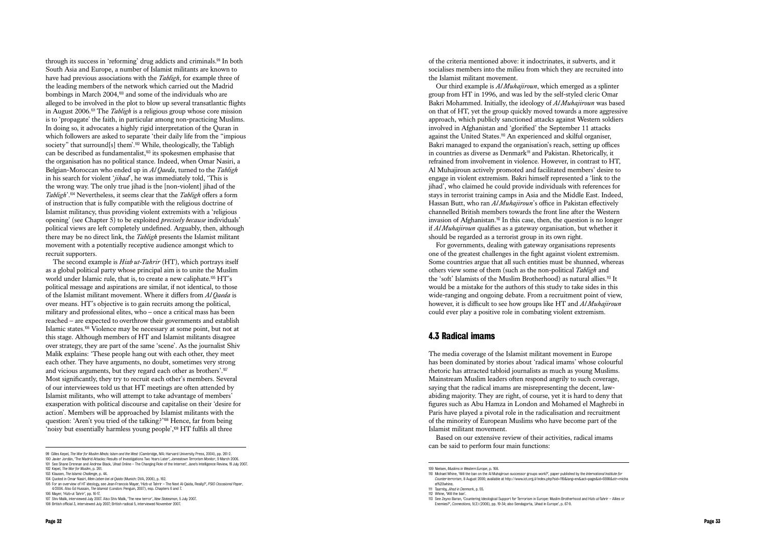through its success in 'reforming' drug addicts and criminals.99 In both South Asia and Europe, a number of Islamist militants are known to have had previous associations with the *Tabligh*, for example three of the leading members of the network which carried out the Madrid bombings in March 2004,100 and some of the individuals who are alleged to be involved in the plot to blow up several transatlantic flights in August 2006.101 The *Tabligh* is a religious group whose core mission is to 'propagate' the faith, in particular among non-practicing Muslims. In doing so, it advocates a highly rigid interpretation of the Quran in which followers are asked to separate 'their daily life from the "impious society" that surround[s] them'.<sup>102</sup> While, theologically, the Tabligh can be described as fundamentalist,103 its spokesmen emphasise that the organisation has no political stance. Indeed, when Omar Nasiri, a Belgian-Moroccan who ended up in *Al Qaeda*, turned to the *Tabligh* in his search for violent '*jihad*', he was immediately told, 'This is the wrong way. The only true jihad is the [non-violent] jihad of the *Tabligh*'.104 Nevertheless, it seems clear that the *Tabligh* offers a form of instruction that is fully compatible with the religious doctrine of Islamist militancy, thus providing violent extremists with a 'religious opening' (see Chapter 5) to be exploited *precisely because* individuals' political views are left completely undefined. Arguably, then, although there may be no direct link, the *Tabligh* presents the Islamist militant movement with a potentially receptive audience amongst which to recruit supporters.

The second example is *Hizb ut-Tahrir* (HT), which portrays itself as a global political party whose principal aim is to unite the Muslim world under Islamic rule, that is, to create a new caliphate.<sup>105</sup> HT's political message and aspirations are similar, if not identical, to those of the Islamist militant movement. Where it differs from *Al Qaeda* is over means. HT's objective is to gain recruits among the political, military and professional elites, who – once a critical mass has been reached – are expected to overthrow their governments and establish Islamic states.106 Violence may be necessary at some point, but not at this stage. Although members of HT and Islamist militants disagree over strategy, they are part of the same 'scene'. As the journalist Shiv Malik explains: 'These people hang out with each other, they meet each other. They have arguments, no doubt, sometimes very strong and vicious arguments, but they regard each other as brothers'.<sup>107</sup> Most significantly, they try to recruit each other's members. Several of our interviewees told us that HT meetings are often attended by Islamist militants, who will attempt to take advantage of members' exasperation with political discourse and capitalise on their 'desire for action'. Members will be approached by Islamist militants with the question: 'Aren't you tried of the talking?'108 Hence, far from being 'noisy but essentially harmless young people',109 HT fulfils all three

Our third example is *Al Muhajiroun*, which emerged as a splinter group from HT in 1996, and was led by the self-styled cleric Omar Bakri Mohammed. Initially, the ideology of *Al Muhajiroun* was based on that of HT, yet the group quickly moved towards a more aggressive approach, which publicly sanctioned attacks against Western soldiers involved in Afghanistan and 'glorified' the September 11 attacks against the United States.110 An experienced and skilful organiser, Bakri managed to expand the organisation's reach, setting up offices in countries as diverse as Denmark<sup>111</sup> and Pakistan. Rhetorically, it refrained from involvement in violence. However, in contrast to HT, Al Muhajiroun actively promoted and facilitated members' desire to engage in violent extremism. Bakri himself represented a 'link to the jihad', who claimed he could provide individuals with references for stays in terrorist training camps in Asia and the Middle East. Indeed, Hassan Butt, who ran *Al Muhajiroun*'s office in Pakistan effectively channelled British members towards the front line after the Western invasion of Afghanistan.<sup>112</sup> In this case, then, the question is no longer if *Al Muhajiroun* qualifies as a gateway organisation, but whether it should be regarded as a terrorist group in its own right. For governments, dealing with gateway organisations represents

one of the greatest challenges in the fight against violent extremism. Some countries argue that all such entities must be shunned, whereas others view some of them (such as the non-political *Tabligh* and the 'soft' Islamists of the Muslim Brotherhood) as natural allies.113 It would be a mistake for the authors of this study to take sides in this wide-ranging and ongoing debate. From a recruitment point of view, however, it is difficult to see how groups like HT and *Al Muhajiroun* could ever play a positive role in combating violent extremism.

# 4.3 Radical imams

The media coverage of the Islamist militant movement in Europe has been dominated by stories about 'radical imams' whose colourful rhetoric has attracted tabloid journalists as much as young Muslims. Mainstream Muslim leaders often respond angrily to such coverage, saying that the radical imams are misrepresenting the decent, lawabiding majority. They are right, of course, yet it is hard to deny that figures such as Abu Hamza in London and Mohamed el Maghrebi in Paris have played a pivotal role in the radicalisation and recruitment of the minority of European Muslims who have become part of the Islamist militant movement.

Based on our extensive review of their activities, radical imams can be said to perform four main functions:

108 British official 3, interviewed July 2007; British radical 5, interviewed November 2007.

<sup>102</sup> Kepel, *The War for Muslim*, p. 261. 103 Klausen, *The Islamic Challenge*, p. 44.

<sup>109</sup> Nielsen, *Muslims in Western Europe*, p. 168.

<sup>110</sup> Michael Whine, 'Will the ban on the Al Muhajiroun successor groups work?', paper published by the *International Institute for Counter-terrorism*, 8 August 2006; available at http://www.ict.org.il/index.php?sid=119&lang=en&act=page&id=6598&str=micha el%20whine.

<sup>111</sup> Taarnby, *Jihad in Denmark*, p. 55.

<sup>112</sup> Whine, 'Will the ban'.

<sup>113</sup> See Zeyno Baran, 'Countering Ideological Support for Terrorism in Europe: Muslim Brotherhood and Hizb ut-Tahrir – Allies or Enemies?', *Connections*, 5(3) (2006), pp. 19-34; also Sendagorta, 'Jihad in Europe', p. 67-9.

<sup>99</sup> Gilles Kepel, *The War for Muslim Minds: Islam and the West* (Cambridge, MA: Harvard University Press, 2004), pp. 261-2.

<sup>100</sup> Javier Jordán, 'The Madrid Attacks: Results of Investigations Two Years Later', *Jamestown Terrorism Monitor*, 9 March 2006. 101 See Shane Drennan and Andrew Black, 'Jihad Online – The Changing Role of the Internet', Jane's Intelligence Review, 19 July 2007.

<sup>104</sup> Quoted in Omar Nasiri, *Mein Leben bei al-Qaida* (Munich: DVA, 2006), p. 162.

<sup>105</sup> For an overview of HT ideology, see Jean-Francois Mayer, 'Hizb-ut Tahrir – The Next Al-Qaida, Really?', *PSIO Occasional Paper*, 4/2004. Also Ed Hussain, *The Islamist* (London: Penguin, 2007), esp. Chapters 6 and 7.

<sup>106</sup> Mayer, 'Hizb-ut Tahrir', pp. 16-17.

<sup>107</sup> Shiv Malik, interviewed July 2007. Also Shiv Malik, 'The new terror', *New Statesman*, 5 July 2007.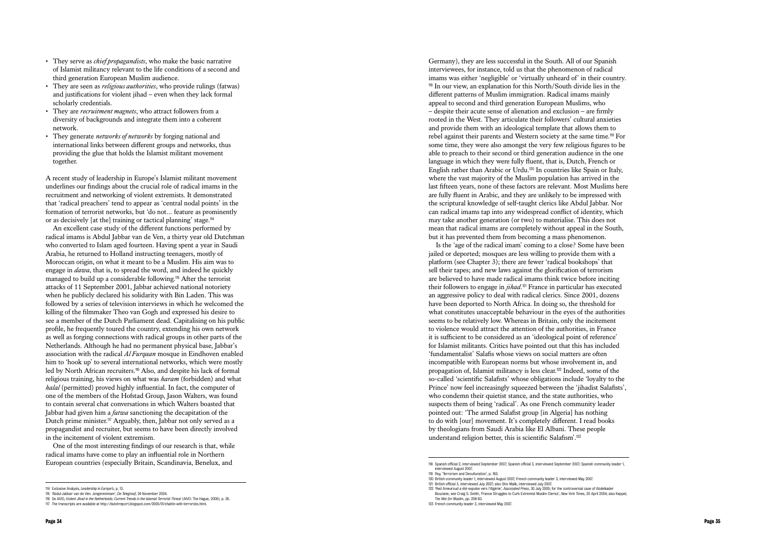- of Islamist militancy relevant to the life conditions of a second and third generation European Muslim audience.
- They are seen as *religious authorities*, who provide rulings (fatwas) and justifications for violent jihad – even when they lack formal scholarly credentials.
- They are *recruitment magnets*, who attract followers from a diversity of backgrounds and integrate them into a coherent network.
- They generate *networks of networks* by forging national and international links between different groups and networks, thus providing the glue that holds the Islamist militant movement together.

A recent study of leadership in Europe's Islamist militant movement underlines our findings about the crucial role of radical imams in the recruitment and networking of violent extremists. It demonstrated that 'radical preachers' tend to appear as 'central nodal points' in the formation of terrorist networks, but 'do not… feature as prominently or as decisively [at the] training or tactical planning' stage.<sup>114</sup>

Page 34 Page 34 Page 34 Page 34 Page 34 Page 34 Page 34 Page 34 Page 34 Page 34 Page 34 Page 34 Page 34 Page 34 Page 34 Page 34 Page 34 Page 34 Page 34 Page 34 Page 34 Page 34 Page 34 Page 34 Page 34 Page 34 Page 34 Pa An excellent case study of the different functions performed by radical imams is Abdul Jabbar van de Ven, a thirty year old Dutchman who converted to Islam aged fourteen. Having spent a year in Saudi Arabia, he returned to Holland instructing teenagers, mostly of Moroccan origin, on what it meant to be a Muslim. His aim was to engage in *dawa*, that is, to spread the word, and indeed he quickly managed to build up a considerable following.115 After the terrorist attacks of 11 September 2001, Jabbar achieved national notoriety when he publicly declared his solidarity with Bin Laden. This was followed by a series of television interviews in which he welcomed the killing of the filmmaker Theo van Gogh and expressed his desire to see a member of the Dutch Parliament dead. Capitalising on his public profile, he frequently toured the country, extending his own network as well as forging connections with radical groups in other parts of the Netherlands. Although he had no permanent physical base, Jabbar's association with the radical *Al Furqaan* mosque in Eindhoven enabled him to 'hook up' to several international networks, which were mostly led by North African recruiters.116 Also, and despite his lack of formal religious training, his views on what was *haram* (forbidden) and what *halal* (permitted) proved highly influential. In fact, the computer of one of the members of the Hofstad Group, Jason Walters, was found to contain several chat conversations in which Walters boasted that Jabbar had given him a *fatwa* sanctioning the decapitation of the Dutch prime minister.<sup>117</sup> Arguably, then, Jabbar not only served as a propagandist and recruiter, but seems to have been directly involved in the incitement of violent extremism.

One of the most interesting findings of our research is that, while radical imams have come to play an influential role in Northern European countries (especially Britain, Scandinavia, Benelux, and

Germany), they are less successful in the South. All of our Spanish interviewees, for instance, told us that the phenomenon of radical imams was either 'negligible' or 'virtually unheard of' in their country. <sup>118</sup> In our view, an explanation for this North/South divide lies in the different patterns of Muslim immigration. Radical imams mainly appeal to second and third generation European Muslims, who – despite their acute sense of alienation and exclusion – are firmly rooted in the West. They articulate their followers' cultural anxieties and provide them with an ideological template that allows them to rebel against their parents and Western society at the same time.119 For some time, they were also amongst the very few religious figures to be able to preach to their second or third generation audience in the one language in which they were fully fluent, that is, Dutch, French or English rather than Arabic or Urdu.120 In countries like Spain or Italy, where the vast majority of the Muslim population has arrived in the last fifteen years, none of these factors are relevant. Most Muslims here are fully fluent in Arabic, and they are unlikely to be impressed with the scriptural knowledge of self-taught clerics like Abdul Jabbar. Nor can radical imams tap into any widespread conflict of identity, which may take another generation (or two) to materialise. This does not mean that radical imams are completely without appeal in the South, but it has prevented them from becoming a mass phenomenon.

Is the 'age of the radical imam' coming to a close? Some have been jailed or deported; mosques are less willing to provide them with a platform (see Chapter 3); there are fewer 'radical bookshops' that sell their tapes; and new laws against the glorification of terrorism are believed to have made radical imams think twice before inciting their followers to engage in *jihad*. <sup>121</sup> France in particular has executed an aggressive policy to deal with radical clerics. Since 2001, dozens have been deported to North Africa. In doing so, the threshold for what constitutes unacceptable behaviour in the eyes of the authorities seems to be relatively low. Whereas in Britain, only the incitement to violence would attract the attention of the authorities, in France it is sufficient to be considered as an 'ideological point of reference' for Islamist militants. Critics have pointed out that this has included 'fundamentalist' Salafis whose views on social matters are often incompatible with European norms but whose involvement in, and propagation of, Islamist militancy is less clear.122 Indeed, some of the so-called 'scientific Salafists' whose obligations include 'loyalty to the Prince' now feel increasingly squeezed between the 'jihadist Salafists', who condemn their quietist stance, and the state authorities, who suspects them of being 'radical'. As one French community leader pointed out: 'The armed Salafist group [in Algeria] has nothing to do with [our] movement. It's completely different. I read books by theologians from Saudi Arabia like El Albani. These people understand religion better, this is scientific Salafism'.<sup>123</sup>

<sup>118</sup> Spanish official 2, interviewed September 2007; Spanish official 3, interviewed September 2007; Spanish community leader 1, interviewed August 2007.

<sup>119</sup> Roy, 'Terrorism and Deculturation', p. 160.

<sup>120</sup> British community leader 1, interviewed August 2007; French community leader 3, interviewed May 2007. 121 British official 3, interviewed July 2007; also Shiv Malik, interviewed July 2007. 122 'Red Ameuroud a été expulse vers l'Algérie', *Associated Press*, 30 July 2005; for the controversial case of Abdelkader

Bouziane, see Craig S. Smith, 'France Struggles to Curb Extremist Muslim Clerics', *New York Times*, 30 April 2004; also Keppel, *The War for Muslim*, pp. 258-60.

<sup>123</sup> French community leader 3, interviewed May 2007.

<sup>114</sup> Exclusive Analysis, *Leadership in Europe's*, p. 13.

<sup>115</sup> 'Abdul-Jabbar van de Ven: Jongerenimam', *De Telegraaf*, 24 November 2004.

<sup>116</sup> Se AIVD, *Violent Jihad in the Netherlands: Current Trends in the Islamist Terrorist Threat* (AIVD: The Hague, 2006), p. 26.

<sup>117</sup> The transcripts are available at http://dutchreport.blogspot.com/2005/01/chattin-with-terrorists.html.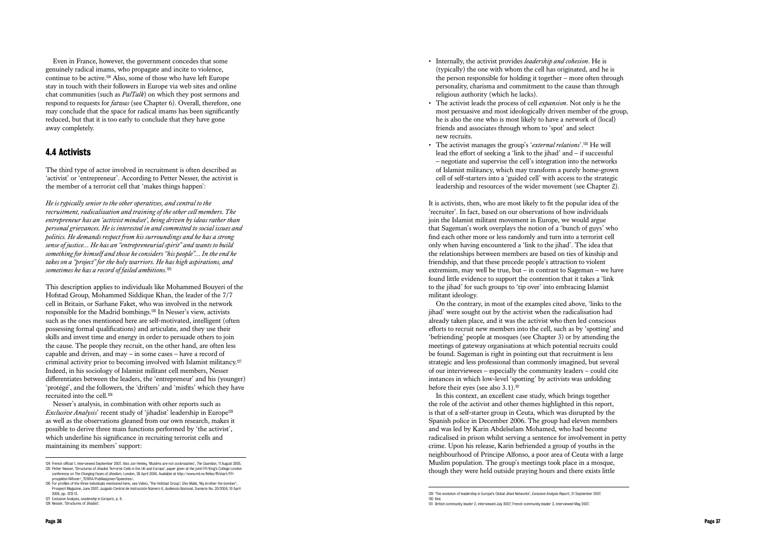Even in France, however, the government concedes that some genuinely radical imams, who propagate and incite to violence, continue to be active.124 Also, some of those who have left Europe stay in touch with their followers in Europe via web sites and online chat communities (such as *PalTalk*) on which they post sermons and respond to requests for *fatwas* (see Chapter 6). Overall, therefore, one may conclude that the space for radical imams has been significantly reduced, but that it is too early to conclude that they have gone away completely.

# 4.4 Activists

The third type of actor involved in recruitment is often described as 'activist' or 'entrepreneur'. According to Petter Nesser, the activist is the member of a terrorist cell that 'makes things happen':

*He is typically senior to the other operatives, and central to the recruitment, radicalization and training of the other cell members. The entrepreneur has an 'activist mindset', being driven by ideas rather than personal grievances. He is interested in and committed to social issues and politics. He demands respect from his surroundings and he has a strong sense of justice… He has an "entrepreneurial spirit" and wants to build something for himself and those he considers "his people"… In the end he takes on a "project" for the holy warriors. He has high aspirations, and sometimes he has a record of failed ambitions.*<sup>125</sup>

This description applies to individuals like Mohammed Bouyeri of the Hofstad Group, Mohammed Siddique Khan, the leader of the 7/7 cell in Britain, or Sarhane Faket, who was involved in the network responsible for the Madrid bombings.126 In Nesser's view, activists such as the ones mentioned here are self-motivated, intelligent (often possessing formal qualifications) and articulate, and they use their skills and invest time and energy in order to persuade others to join the cause. The people they recruit, on the other hand, are often less capable and driven, and may – in some cases – have a record of criminal activity prior to becoming involved with Islamist militancy.<sup>127</sup> Indeed, in his sociology of Islamist militant cell members, Nesser differentiates between the leaders, the 'entrepreneur' and his (younger) 'protégé', and the followers, the 'drifters' and 'misfits' which they have recruited into the cell.<sup>128</sup>

On the contrary, in most of the examples cited above, 'links to the jihad' were sought out by the activist when the radicalisation had already taken place, and it was the activist who then led conscious efforts to recruit new members into the cell, such as by 'spotting' and 'befriending' people at mosques (see Chapter 3) or by attending the meetings of gateway organisations at which potential recruits could be found. Sageman is right in pointing out that recruitment is less strategic and less professional than commonly imagined, but several of our interviewees – especially the community leaders – could cite instances in which low-level 'spotting' by activists was unfolding before their eyes (see also 3.1).<sup>131</sup>

Nesser's analysis, in combination with other reports such as *Exclusive Analysis*' recent study of 'jihadist' leadership in Europe<sup>129</sup> as well as the observations gleaned from our own research, makes it possible to derive three main functions performed by 'the activist', which underline his significance in recruiting terrorist cells and maintaining its members' support:

- Internally, the activist provides *leadership and cohesion*. He is (typically) the one with whom the cell has originated, and he is the person responsible for holding it together – more often through personality, charisma and commitment to the cause than through religious authority (which he lacks).
- The activist leads the process of cell *expansion*. Not only is he the most persuasive and most ideologically driven member of the group, he is also the one who is most likely to have a network of (local) friends and associates through whom to 'spot' and select new recruits.
- The activist manages the group's '*external relations*'.130 He will lead the effort of seeking a 'link to the jihad' and  $-$  if successful – negotiate and supervise the cell's integration into the networks of Islamist militancy, which may transform a purely home-grown cell of self-starters into a 'guided cell' with access to the strategic leadership and resources of the wider movement (see Chapter 2).

It is activists, then, who are most likely to fit the popular idea of the 'recruiter'. In fact, based on our observations of how individuals join the Islamist militant movement in Europe, we would argue that Sageman's work overplays the notion of a 'bunch of guys' who find each other more or less randomly and turn into a terrorist cell only when having encountered a 'link to the jihad'. The idea that the relationships between members are based on ties of kinship and friendship, and that these precede people's attraction to violent extremism, may well be true, but – in contrast to Sageman – we have found little evidence to support the contention that it takes a 'link to the jihad' for such groups to 'tip over' into embracing Islamist militant ideology.

In this context, an excellent case study, which brings together the role of the activist and other themes highlighted in this report, is that of a self-starter group in Ceuta, which was disrupted by the Spanish police in December 2006. The group had eleven members and was led by Karin Abdelselam Mohamed, who had become radicalised in prison whilst serving a sentence for involvement in petty crime. Upon his release, Karin befriended a group of youths in the neighbourhood of Principe Alfonso, a poor area of Ceuta with a large Muslim population. The group's meetings took place in a mosque, though they were held outside praying hours and there exists little

<sup>129</sup> 'The evolution of leadership in Europe's Global Jihad Networks', *Exclusive Analysis Report*, 21 September 2007. 130 Ibid. 131 British community leader 2, interviewed July 2007; French community leader 3, interviewed May 2007.

<sup>124</sup> French official 1, interviewed September 2007. Also Jon Henley, 'Muslims are not cockroaches', *The Guardian*, 11 August 2005. 125 Petter Nesser, 'Structures of Jihadist Terrorist Cells in the UK and Europe', paper given at the joint FFI/King's College London conference on *The Changing Faces of Jihadism*, London, 28 April 2006. Available at http://www.mil.no/felles/ffi/start/FFI-

prosjekter/Alfover/\_TERRA/Publikasjoner/Speeches/. 126 For profiles of the three individuals mentioned here, see Vidino, 'The Hofstad Group'; Shiv Malik, 'My brother the bomber',

Prospect Magazine, June 2007; Juzgado Central de Instrucción Número 6, *Audiencia Nacional*, Sumario No. 20/2004, 10 April 2006, pp. 1212-13. 127 Exclusive Analysis, *Leadership in Europe's*, p. 8.

<sup>128</sup> Nesser, 'Structures of Jihadist'.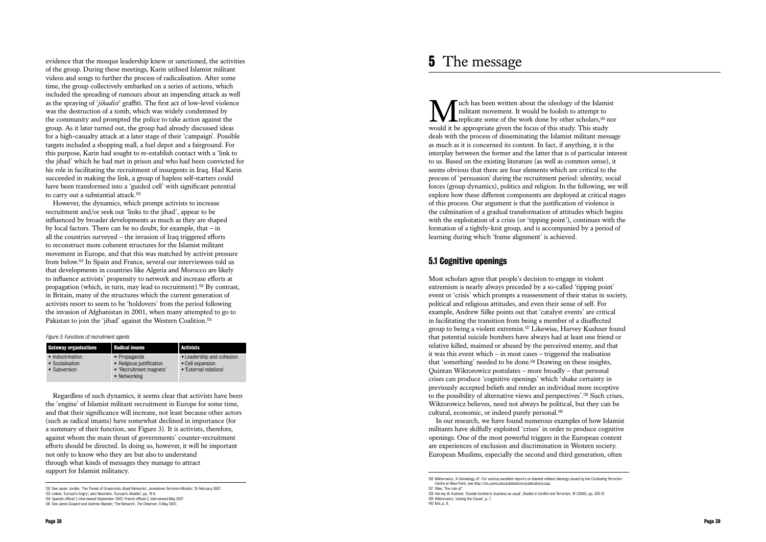However, the dynamics, which prompt activists to increase recruitment and/or seek out 'links to the jihad', appear to be influenced by broader developments as much as they are shaped by local factors. There can be no doubt, for example, that – in all the countries surveyed – the invasion of Iraq triggered efforts to reconstruct more coherent structures for the Islamist militant movement in Europe, and that this was matched by activist pressure from below.133 In Spain and France, several our interviewees told us that developments in countries like Algeria and Morocco are likely to influence activists' propensity to network and increase efforts at propagation (which, in turn, may lead to recruitment).134 By contrast, in Britain, many of the structures which the current generation of activists resort to seem to be 'holdovers' from the period following the invasion of Afghanistan in 2001, when many attempted to go to Pakistan to join the 'jihad' against the Western Coalition.<sup>135</sup>

evidence that the mosque leadership knew or sanctioned, the activities of the group. During these meetings, Karin utilised Islamist militant videos and songs to further the process of radicalisation. After some time, the group collectively embarked on a series of actions, which included the spreading of rumours about an impending attack as well as the spraying of '*jihadist*' graffiti. The first act of low-level violence was the destruction of a tomb, which was widely condemned by the community and prompted the police to take action against the group. As it later turned out, the group had already discussed ideas for a high-casualty attack at a later stage of their 'campaign'. Possible targets included a shopping mall, a fuel depot and a fairground. For this purpose, Karin had sought to re-establish contact with a 'link to the jihad' which he had met in prison and who had been convicted for his role in facilitating the recruitment of insurgents in Iraq. Had Karin succeeded in making the link, a group of hapless self-starters could have been transformed into a 'guided cell' with significant potential to carry out a substantial attack.<sup>132</sup>

We uch has been written about the ideology of the Islamist<br>militant movement. It would be foolish to attempt to<br>would it be appropriate given the focus of this study. This study militant movement. It would be foolish to attempt to replicate some of the work done by other scholars,136 nor would it be appropriate given the focus of this study. This study deals with the process of disseminating the Islamist militant message as much as it is concerned its content. In fact, if anything, it is the interplay between the former and the latter that is of particular interest to us. Based on the existing literature (as well as common sense), it seems obvious that there are four elements which are critical to the process of 'persuasion' during the recruitment period: identity, social forces (group dynamics), politics and religion. In the following, we will explore how these different components are deployed at critical stages of this process. Our argument is that the justification of violence is the culmination of a gradual transformation of attitudes which begins with the exploitation of a crisis (or 'tipping point'), continues with the formation of a tightly-knit group, and is accompanied by a period of learning during which 'frame alignment' is achieved.

| <b>Gateway organisations</b>                        | <b>Radical imams</b>                                                                 | <b>Activists</b>                                                        |
|-----------------------------------------------------|--------------------------------------------------------------------------------------|-------------------------------------------------------------------------|
| • Indoctrination<br>• Socialisation<br>• Subversion | • Propaganda<br>• Religious justification<br>• 'Recruitment magnets'<br>• Networking | • Leadership and cohesion<br>• Cell expansion<br>• 'External relations' |

Regardless of such dynamics, it seems clear that activists have been the 'engine' of Islamist militant recruitment in Europe for some time, and that their significance will increase, not least because other actors (such as radical imams) have somewhat declined in importance (for a summary of their function, see Figure 3). It is activists, therefore, against whom the main thrust of governments' counter-recruitment efforts should be directed. In doing so, however, it will be important not only to know who they are but also to understand through what kinds of messages they manage to attract support for Islamist militancy.

# 5.1 Cognitive openings

Most scholars agree that people's decision to engage in violent extremism is nearly always preceded by a so-called 'tipping point' event or 'crisis' which prompts a reassessment of their status in society, political and religious attitudes, and even their sense of self. For example, Andrew Silke points out that 'catalyst events' are critical in facilitating the transition from being a member of a disaffected group to being a violent extremist.137 Likewise, Harvey Kushner found that potential suicide bombers have always had at least one friend or relative killed, maimed or abused by the perceived enemy, and that it was this event which – in most cases – triggered the realisation that 'something' needed to be done.138 Drawing on these insights, Quintan Wiktorowicz postulates – more broadly – that personal crises can produce 'cognitive openings' which 'shake certainty in previously accepted beliefs and render an individual more receptive to the possibility of alternative views and perspectives'.139 Such crises, Wiktorowicz believes, need not always be political, but they can be cultural, economic, or indeed purely personal.<sup>140</sup>

In our research, we have found numerous examples of how Islamist militants have skilfully exploited 'crises' in order to produce cognitive openings. One of the most powerful triggers in the European context are experiences of exclusion and discrimination in Western society. European Muslims, especially the second and third generation, often

*Figure 3: Functions of recruitment agents*

<sup>136</sup> Wiktorowicz, 'A Genealogy of'. For various excellent reports on Islamist militant ideology issued by the *Combating Terrorism Centre* at West Point, see http://ctc.usma.edu/publications/publications.asp. 137 Silke, 'The role of'.

<sup>138</sup> Harvey W. Kushner, 'Suicide bombers: business as usual', *Studies in Conflict and Terrorism*, 19 (2006), pp. 329-37. 139 Wiktorowicz, 'Joining the Cause', p. 7. 140 Ibid, p. 8.

<sup>132</sup> See Javier Jordán, 'The Threat of Grassroots Jihadi Networks', *Jamestown Terrorism Monitor*, 15 February 2007. 133 Leiken, 'Europe's Angry'; also Neumann, 'Europe's Jihadist', pp. 74-8.

<sup>134</sup> Spanish official 1, interviewed September 2007; French official 2, interviewed May 2007 135 See Jamie Doward and Andrew Wander, 'The Network', *The Observer*, 6 May 2007.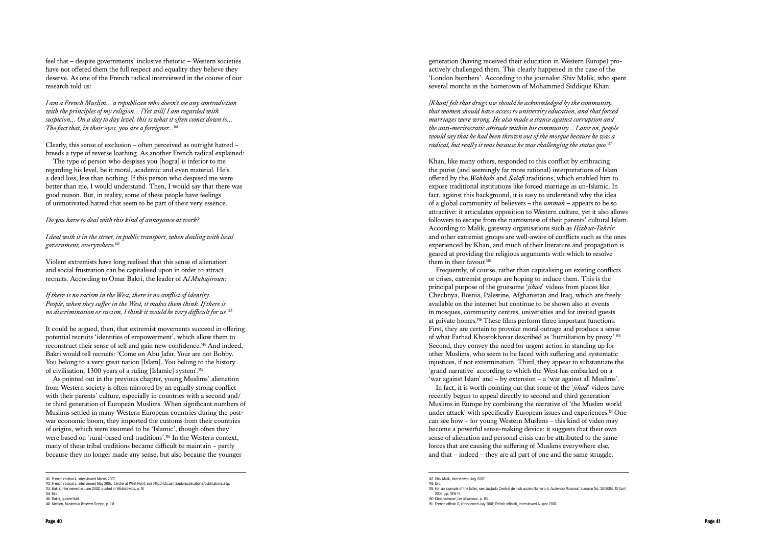feel that – despite governments' inclusive rhetoric – Western societies have not offered them the full respect and equality they believe they deserve. As one of the French radical interviewed in the course of our research told us:

*I am a French Muslim… a republican who doesn't see any contradiction with the principles of my religion… [Yet still] I am regarded with suspicion… On a day to day level, this is what it often comes down to... The fact that, in their eyes, you are a foreigner...*<sup>141</sup>

Clearly, this sense of exclusion – often perceived as outright hatred – breeds a type of reverse loathing. As another French radical explained:

The type of person who despises you [hogra] is inferior to me regarding his level, be it moral, academic and even material. He's a dead loss, less than nothing. If this person who despised me were better than me, I would understand. Then, I would say that there was good reason. But, in reality, some of these people have feelings of unmotivated hatred that seem to be part of their very essence.

*Do you have to deal with this kind of annoyance at work?*

*I deal with it in the street, in public transport, when dealing with local government, everywhere.*<sup>142</sup>

Violent extremists have long realised that this sense of alienation and social frustration can be capitalised upon in order to attract recruits. According to Omar Bakri, the leader of A*l Muhajiroun* :

*If there is no racism in the West, there is no conflict of identity. People, when they suffer in the West, it makes them think. If there is no discrimination or racism, I think it would be very difficult for us.*<sup>143</sup>

It could be argued, then, that extremist movements succeed in offering potential recruits 'identities of empowerment', which allow them to reconstruct their sense of self and gain new confidence.144 And indeed, Bakri would tell recruits: 'Come on Abu Jafar. Your are not Bobby. You belong to a very great nation [Islam]. You belong to the history of civilisation, 1300 years of a ruling [Islamic] system'.<sup>145</sup>

As pointed out in the previous chapter, young Muslims' alienation from Western society is often mirrored by an equally strong conflict with their parents' culture, especially in countries with a second and/ or third generation of European Muslims. When significant numbers of Muslims settled in many Western European countries during the postwar economic boom, they imported the customs from their countries of origins, which were assumed to be 'Islamic', though often they were based on 'rural-based oral traditions'.146 In the Western context, many of these tribal traditions became difficult to maintain – partly because they no longer made any sense, but also because the younger

generation (having received their education in Western Europe) proactively challenged them. This clearly happened in the case of the 'London bombers'. According to the journalist Shiv Malik, who spent several months in the hometown of Mohammed Siddique Khan:

*[Khan] felt that drugs use should be acknowledged by the community, that women should have access to university education, and that forced marriages were wrong. He also made a stance against corruption and the anti-meritocratic attitude within his community… Later on, people would say that he had been thrown out of the mosque because he was a radical, but really it was because he was challenging the status quo.*<sup>147</sup>

Khan, like many others, responded to this conflict by embracing the purist (and seemingly far more rational) interpretations of Islam offered by the *Wahhabi* and *Salafi* traditions, which enabled him to expose traditional institutions like forced marriage as un-Islamic. In fact, against this background, it is easy to understand why the idea of a global community of believers – the *ummah* – appears to be so attractive: it articulates opposition to Western culture, yet it also allows followers to escape from the narrowness of their parents' cultural Islam. According to Malik, gateway organisations such as *Hizb ut-Tahrir* and other extremist groups are well-aware of conflicts such as the ones experienced by Khan, and much of their literature and propagation is geared at providing the religious arguments with which to resolve them in their favour.<sup>148</sup>

Frequently, of course, rather than capitalising on existing conflicts or crises, extremist groups are hoping to induce them. This is the principal purpose of the gruesome '*jihad*' videos from places like Chechnya, Bosnia, Palestine, Afghanistan and Iraq, which are freely available on the internet but continue to be shown also at events in mosques, community centres, universities and for invited guests at private homes.149 These films perform three important functions. First, they are certain to provoke moral outrage and produce a sense of what Farhad Khosrokhavar described as 'humiliation by proxy'.<sup>150</sup> Second, they convey the need for urgent action in standing up for other Muslims, who seem to be faced with suffering and systematic injustices, if not extermination. Third, they appear to substantiate the 'grand narrative' according to which the West has embarked on a 'war against Islam' and – by extension – a 'war against all Muslims'.

In fact, it is worth pointing out that some of the '*jihad*' videos have recently begun to appeal directly to second and third generation Muslims in Europe by combining the narrative of 'the Muslim world under attack' with specifically European issues and experiences.<sup>151</sup> One can see how – for young Western Muslims – this kind of video may become a powerful sense-making device: it suggests that their own sense of alienation and personal crisis can be attributed to the same forces that are causing the suffering of Muslims everywhere else, and that – indeed – they are all part of one and the same struggle.

<sup>141</sup> French radical 4, interviewed March 2007.

<sup>142</sup> French radical 3, interviewed May 2007. *Centre* at West Point, see http://ctc.usma.edu/publications/publications.asp. 143 Bakri, interviewed in June 2002; quoted in Wiktorowicz, p. 16

<sup>144</sup> Ibid.

<sup>145</sup> Bakri, quoted ibid.

<sup>146</sup> Nielsen, *Muslims in Western Europe*, p. 118.

<sup>147</sup> Shiv Malik, interviewed July 2007. 148 Ibid.

<sup>149</sup> For an example of the latter, see Juzgado Central de Instrucción Número 6, *Audiencia Nacional*, Sumario No. 20/2004, 10 April 2006, pp. 1216-17.

<sup>150</sup> Khosrokhavar, *Les Nouveaux*, p. 152.

<sup>151</sup> French official 3, interviewed July 2007; British official1, interviewed August 2007.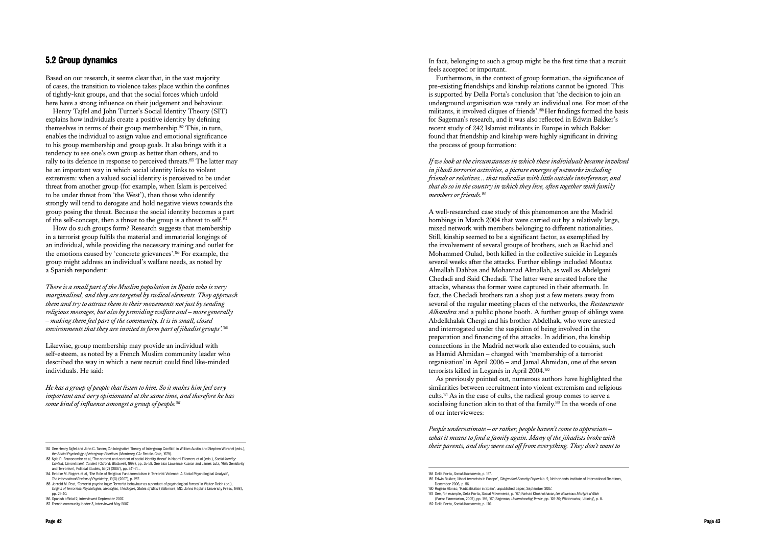# 5.2 Group dynamics

Based on our research, it seems clear that, in the vast majority of cases, the transition to violence takes place within the confines of tightly-knit groups, and that the social forces which unfold here have a strong influence on their judgement and behaviour.

Henry Tajfel and John Turner's Social Identity Theory (SIT) explains how individuals create a positive identity by defining themselves in terms of their group membership.152 This, in turn, enables the individual to assign value and emotional significance to his group membership and group goals. It also brings with it a tendency to see one's own group as better than others, and to rally to its defence in response to perceived threats.153 The latter may be an important way in which social identity links to violent extremism: when a valued social identity is perceived to be under threat from another group (for example, when Islam is perceived to be under threat from 'the West'), then those who identify strongly will tend to derogate and hold negative views towards the group posing the threat. Because the social identity becomes a part of the self-concept, then a threat to the group is a threat to self.<sup>154</sup>

How do such groups form? Research suggests that membership in a terrorist group fulfils the material and immaterial longings of an individual, while providing the necessary training and outlet for the emotions caused by 'concrete grievances'.155 For example, the group might address an individual's welfare needs, as noted by a Spanish respondent:

*There is a small part of the Muslim population in Spain who is very marginalised, and they are targeted by radical elements. They approach them and try to attract them to their movements not just by sending religious messages, but also by providing welfare and – more generally – making them feel part of the community. It is in small, closed environments that they are invited to form part of jihadist groups'.*<sup>156</sup>

Likewise, group membership may provide an individual with self-esteem, as noted by a French Muslim community leader who described the way in which a new recruit could find like-minded individuals. He said:

*He has a group of people that listen to him. So it makes him feel very important and very opinionated at the same time, and therefore he has some kind of influence amongst a group of people.*<sup>157</sup>

In fact, belonging to such a group might be the first time that a recruit feels accepted or important.

*People underestimate – or rather, people haven't come to appreciate – what it means to find a family again. Many of the jihadists broke with*  The See Henry Tajfel and John C. Turner, 'An Integrative Theory of Integrative Theory of Integrative Theory of Integrative Theory of Integrative Theory of Integrative Theory of Integrative Theory of Integrative Theory of I

Furthermore, in the context of group formation, the significance of pre-existing friendships and kinship relations cannot be ignored. This is supported by Della Porta's conclusion that 'the decision to join an underground organisation was rarely an individual one. For most of the militants, it involved cliques of friends'.158 Her findings formed the basis for Sageman's research, and it was also reflected in Edwin Bakker's recent study of 242 Islamist militants in Europe in which Bakker found that friendship and kinship were highly significant in driving the process of group formation:

*If we look at the circumstances in which these individuals became involved in jihadi terrorist activities, a picture emerges of networks including friends or relatives… that radicalise with little outside interference; and that do so in the country in which they live, often together with family members or friends.*<sup>159</sup>

A well-researched case study of this phenomenon are the Madrid bombings in March 2004 that were carried out by a relatively large, mixed network with members belonging to different nationalities. Still, kinship seemed to be a significant factor, as exemplified by the involvement of several groups of brothers, such as Rachid and Mohammed Oulad, both killed in the collective suicide in Leganés several weeks after the attacks. Further siblings included Moutaz Almallah Dabbas and Mohannad Almallah, as well as Abdelgani Chedadi and Said Chedadi. The latter were arrested before the attacks, whereas the former were captured in their aftermath. In fact, the Chedadi brothers ran a shop just a few meters away from several of the regular meeting places of the networks, the *Restaurante Alhambra* and a public phone booth. A further group of siblings were Abdelkhalak Chergi and his brother Abdelhak, who were arrested and interrogated under the suspicion of being involved in the preparation and financing of the attacks. In addition, the kinship connections in the Madrid network also extended to cousins, such as Hamid Ahmidan – charged with 'membership of a terrorist organisation' in April 2006 – and Jamal Ahmidan, one of the seven terrorists killed in Leganés in April 2004.<sup>160</sup>

As previously pointed out, numerous authors have highlighted the similarities between recruitment into violent extremism and religious cults.161 As in the case of cults, the radical group comes to serve a socialising function akin to that of the family.<sup>162</sup> In the words of one of our interviewees:

- 153 Nyla R. Branscombe et al, 'The context and content of social identity threat' in Naomi Ellemers et al (eds.), *Social Identity: Context, Commitment, Content* (Oxford: Blackwell, 1999), pp. 35-58. See also Lawrence Kuznar and James Lutz, 'Risk Sensitivity and Terrorism', Political Studies, 55(2) (2007), pp. 341-61. .
- 154 Brooke M. Rogers et al, 'The Role of Religious Fundamentalism in Terrorist Violence: A Social Psychological Analysis', *The International Review of Psychiatry*, 19(3) (2007), p. 257.
- 155 Jerrold M. Post, 'Terrorist psycho-logic: Terrorist behaviour as a product of psychological forces' in Walter Reich (ed.), *Origins of Terrorism: Psychologies, Ideologies, Theologies, States of Mind* (Baltimore, MD: Johns Hopkins University Press, 1998), pp. 25-40.
- 156 Spanish official 2, interviewed September 2007.
- 157 French community leader 3, interviewed May 2007.

*the Social Psychology of Intergroup Relations* (Monterey, CA: Brooks Cole, 1979).

<sup>158</sup> Della Porta, *Social Movements*, p. 167.

<sup>159</sup> Edwin Bakker, 'Jihadi terrorists in Europe', *Clingendael Security Paper* No. 2, Netherlands Institute of International Relations, December 2006, p. 56.

<sup>160</sup> Rogelio Alonso, 'Radicalisation in Spain', unpublished paper, September 2007.

<sup>161</sup> See, for example, Della Porta, Social Movements, p. 167; Farhad Khosrokhavar, *Les Nouveaux Martyrs d'Allah* (Paris: Flammarion, 2002), pp. 156, 167; Sageman, *Understanding Terror*, pp. 126-30; Wiktorowicz, 'Joining', p. 8. 162 Della Porta, *Social Movements*, p. 170.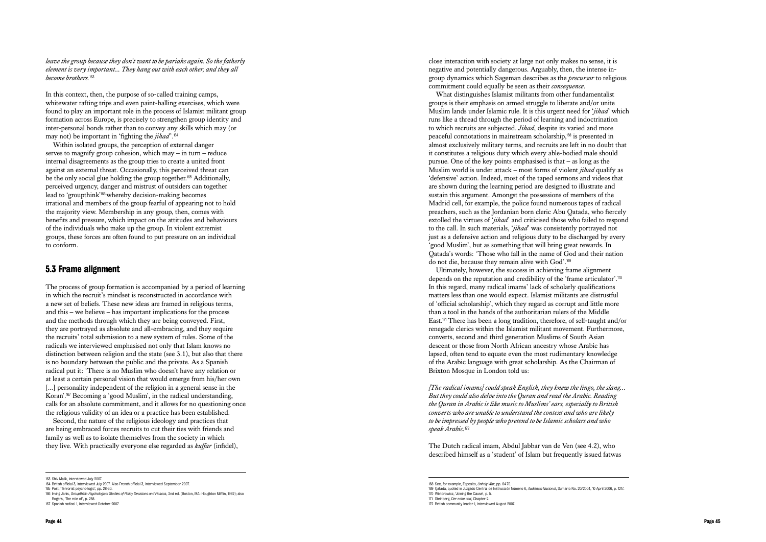*leave the group because they don't want to be pariahs again. So the fatherly element is very important... They hang out with each other, and they all become brothers.*<sup>163</sup>

In this context, then, the purpose of so-called training camps, whitewater rafting trips and even paint-balling exercises, which were found to play an important role in the process of Islamist militant group formation across Europe, is precisely to strengthen group identity and inter-personal bonds rather than to convey any skills which may (or may not) be important in 'fighting the *jihad*'.<sup>164</sup>

Within isolated groups, the perception of external danger serves to magnify group cohesion, which may – in turn – reduce internal disagreements as the group tries to create a united front against an external threat. Occasionally, this perceived threat can be the only social glue holding the group together.<sup>165</sup> Additionally, perceived urgency, danger and mistrust of outsiders can together lead to 'groupthink'166 whereby decision-making becomes irrational and members of the group fearful of appearing not to hold the majority view. Membership in any group, then, comes with benefits and pressure, which impact on the attitudes and behaviours of the individuals who make up the group. In violent extremist groups, these forces are often found to put pressure on an individual to conform.

## 5.3 Frame alignment

The process of group formation is accompanied by a period of learning in which the recruit's mindset is reconstructed in accordance with a new set of beliefs. These new ideas are framed in religious terms, and this – we believe – has important implications for the process and the methods through which they are being conveyed. First, they are portrayed as absolute and all-embracing, and they require the recruits' total submission to a new system of rules. Some of the radicals we interviewed emphasised not only that Islam knows no distinction between religion and the state (see 3.1), but also that there is no boundary between the public and the private. As a Spanish radical put it: 'There is no Muslim who doesn't have any relation or at least a certain personal vision that would emerge from his/her own [...] personality independent of the religion in a general sense in the Koran'.167 Becoming a 'good Muslim', in the radical understanding, calls for an absolute commitment, and it allows for no questioning once the religious validity of an idea or a practice has been established.

Second, the nature of the religious ideology and practices that are being embraced forces recruits to cut their ties with friends and family as well as to isolate themselves from the society in which they live. With practically everyone else regarded as *kuffar* (infidel),

close interaction with society at large not only makes no sense, it is negative and potentially dangerous. Arguably, then, the intense ingroup dynamics which Sageman describes as the *precursor* to religious commitment could equally be seen as their *consequence* . What distinguishes Islamist militants from other fundamentalist groups is their emphasis on armed struggle to liberate and/or unite Muslim lands under Islamic rule. It is this urgent need for '*jihad*' which runs like a thread through the period of learning and indoctrination to which recruits are subjected. *Jihad*, despite its varied and more peaceful connotations in mainstream scholarship,168 is presented in almost exclusively military terms, and recruits are left in no doubt that it constitutes a religious duty which every able-bodied male should pursue. One of the key points emphasised is that – as long as the Muslim world is under attack – most forms of violent *jihad* qualify as 'defensive' action. Indeed, most of the taped sermons and videos that are shown during the learning period are designed to illustrate and sustain this argument. Amongst the possessions of members of the Madrid cell, for example, the police found numerous tapes of radical preachers, such as the Jordanian born cleric Abu Qatada, who fiercely extolled the virtues of '*jihad*' and criticised those who failed to respond to the call. In such materials, '*jihad*' was consistently portrayed not just as a defensive action and religious duty to be discharged by every 'good Muslim', but as something that will bring great rewards. In Qatada's words: 'Those who fall in the name of God and their nation do not die, because they remain alive with God'.<sup>169</sup> Ultimately, however, the success in achieving frame alignment depends on the reputation and credibility of the 'frame articulator'.<sup>170</sup> In this regard, many radical imams' lack of scholarly qualifications

matters less than one would expect. Islamist militants are distrustful of 'official scholarship', which they regard as corrupt and little more than a tool in the hands of the authoritarian rulers of the Middle East.171 There has been a long tradition, therefore, of self-taught and/or renegade clerics within the Islamist militant movement. Furthermore, converts, second and third generation Muslims of South Asian descent or those from North African ancestry whose Arabic has lapsed, often tend to equate even the most rudimentary knowledge of the Arabic language with great scholarship. As the Chairman of Brixton Mosque in London told us:

*[The radical imams] could speak English, they knew the lingo, the slang… But they could also delve into the Quran and read the Arabic. Reading the Quran in Arabic is like music to Muslims' ears, especially to British converts who are unable to understand the context and who are likely to be impressed by people who pretend to be Islamic scholars and who speak Arabic.*<sup>172</sup>

The Dutch radical imam, Abdul Jabbar van de Ven (see 4.2), who described himself as a 'student' of Islam but frequently issued fatwas

<sup>169</sup> Qatada, quoted in Juzgado Central de Instrucción Número 6, *Audiencia Nacional*, Sumario No. 20/2004, 10 April 2006, p. 1217. 170 Wiktorowicz, 'Joining the Cause', p. 5.

<sup>163</sup> Shiv Malik, interviewed July 2007.

<sup>164</sup> British official 3, interviewed July 2007. Also French official 3, interviewed September 2007.

<sup>165</sup> Post, 'Terrorist psycho-logic', pp. 28-30.

<sup>166</sup> Irving Janis, *Groupthink: Psychological Studies of Policy Decisions and Fiascos*, 2nd ed. (Boston, MA: Houghton Mifflin, 1982); also Rogers, 'The role of', p. 258.

<sup>167</sup> Spanish radical 1, interviewed October 2007.

<sup>168</sup> See, for example, Esposito, *Unholy War*, pp. 64-70.

<sup>171</sup> Steinberg, *Der nahe und*, Chapter 2.

<sup>172</sup> British community leader 1, interviewed August 2007.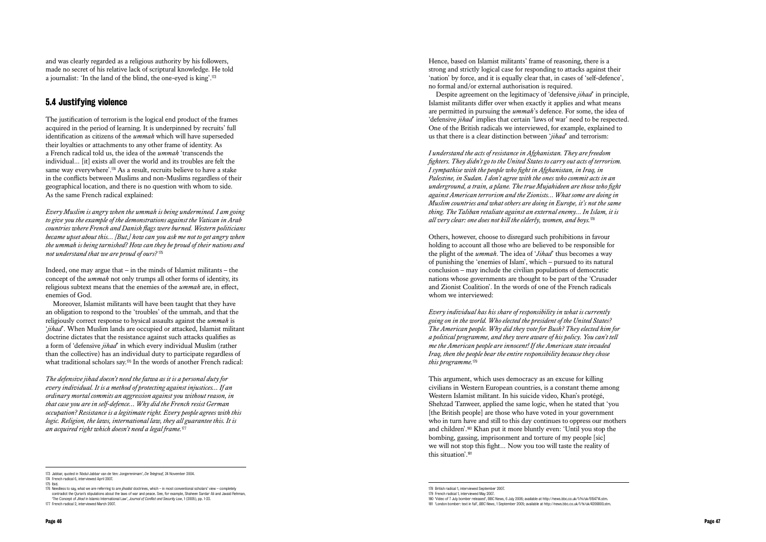and was clearly regarded as a religious authority by his followers, made no secret of his relative lack of scriptural knowledge. He told a journalist: 'In the land of the blind, the one-eyed is king'.<sup>173</sup>

## 5.4 Justifying violence

The justification of terrorism is the logical end product of the frames acquired in the period of learning. It is underpinned by recruits' full identification as citizens of the *ummah* which will have superseded their loyalties or attachments to any other frame of identity. As a French radical told us, the idea of the *ummah* 'transcends the individual… [it] exists all over the world and its troubles are felt the same way everywhere'.174 As a result, recruits believe to have a stake in the conflicts between Muslims and non-Muslims regardless of their geographical location, and there is no question with whom to side. As the same French radical explained:

Moreover, Islamist militants will have been taught that they have an obligation to respond to the 'troubles' of the ummah, and that the religiously correct response to hysical assaults against the *ummah* is '*jihad*'. When Muslim lands are occupied or attacked, Islamist militant doctrine dictates that the resistance against such attacks qualifies as a form of 'defensive *jihad*' in which every individual Muslim (rather than the collective) has an individual duty to participate regardless of what traditional scholars say.<sup>176</sup> In the words of another French radical:

*Every Muslim is angry when the ummah is being undermined. I am going to give you the example of the demonstrations against the Vatican in Arab countries where French and Danish flags were burned. Western politicians became upset about this… [But,] how can you ask me not to get angry when the ummah is being tarnished? How can they be proud of their nations and not understand that we are proud of ours?* <sup>175</sup>

Indeed, one may argue that – in the minds of Islamist militants – the concept of the *ummah* not only trumps all other forms of identity, its religious subtext means that the enemies of the *ummah* are, in effect, enemies of God.

*The defensive jihad doesn't need the fatwa as it is a personal duty for every individual. It is a method of protecting against injustices… If an ordinary mortal commits an aggression against you without reason, in that case you are in self-defence… Why did the French resist German occupation? Resistance is a legitimate right. Every people agrees with this logic. Religion, the laws, international law, they all guarantee this. It is an acquired right which doesn't need a legal frame.*<sup>177</sup>

Hence, based on Islamist militants' frame of reasoning, there is a strong and strictly logical case for responding to attacks against their 'nation' by force, and it is equally clear that, in cases of 'self-defence', no formal and/or external authorisation is required.

Despite agreement on the legitimacy of 'defensive *jihad*' in principle, Islamist militants differ over when exactly it applies and what means are permitted in pursuing the *ummah*'s defence. For some, the idea of 'defensive *jihad*' implies that certain 'laws of war' need to be respected. One of the British radicals we interviewed, for example, explained to us that there is a clear distinction between '*jihad*' and terrorism:

*I understand the acts of resistance in Afghanistan. They are freedom fighters. They didn't go to the United States to carry out acts of terrorism. I sympathise with the people who fight in Afghanistan, in Iraq, in Palestine, in Sudan. I don't agree with the ones who commit acts in an underground, a train, a plane. The true Mujahideen are those who fight against American terrorism and the Zionists… What some are doing in Muslim countries and what others are doing in Europe, it's not the same thing. The Taliban retaliate against an external enemy… In Islam, it is all very clear: one does not kill the elderly, women, and boys.*<sup>178</sup>

Others, however, choose to disregard such prohibitions in favour holding to account all those who are believed to be responsible for the plight of the *ummah*. The idea of '*Jihad*' thus becomes a way of punishing the 'enemies of Islam', which – pursued to its natural conclusion – may include the civilian populations of democratic nations whose governments are thought to be part of the 'Crusader and Zionist Coalition'. In the words of one of the French radicals whom we interviewed:

*Every individual has his share of responsibility in what is currently going on in the world. Who elected the president of the United States? The American people. Why did they vote for Bush? They elected him for a political programme, and they were aware of his policy. You can't tell me the American people are innocent! If the American state invaded Iraq, then the people bear the entire responsibility because they chose this programme.*<sup>179</sup>

This argument, which uses democracy as an excuse for killing civilians in Western European countries, is a constant theme among Western Islamist militant. In his suicide video, Khan's protégé, Shehzad Tanweer, applied the same logic, when he stated that 'you [the British people] are those who have voted in your government who in turn have and still to this day continues to oppress our mothers and children'.180 Khan put it more bluntly even: 'Until you stop the bombing, gassing, imprisonment and torture of my people [sic] we will not stop this fight… Now you too will taste the reality of this situation'.<sup>181</sup>

<sup>173</sup> Jabbar, quoted in 'Abdul-Jabbar van de Ven: Jongerenimam', *De Telegraaf*, 24 November 2004.

<sup>174</sup> French radical 6, interviewed April 2007.

<sup>175</sup> Ibid.

<sup>176</sup> Needless to say, what we are referring to are *jihadist* doctrines, which – in most conventional scholars' view – completely contradict the Quran's stipulations about the laws of war and peace. See, for example, Shaheen Sardar Ali and Javaid Rehman, 'The Concept of *Jihad* in Islamic International Law', *Journal of Conflict and Security Law*, 1 (2005), pp. 1-23.

<sup>177</sup> French radical 2, interviewed March 2007.

<sup>178</sup> British radical 1, interviewed September 2007.

<sup>179</sup> French radical 1, interviewed May 2007.

<sup>180</sup> 'Video of 7 July bomber released', BBC News, 6 July 2006; available at http://news.bbc.co.uk/1/hi/uk/5154714.stm. 181 'London bomber: text in full', *BBC News*, 1 September 2005; available at http://news.bbc.co.uk/1/hi/uk/4206800.stm.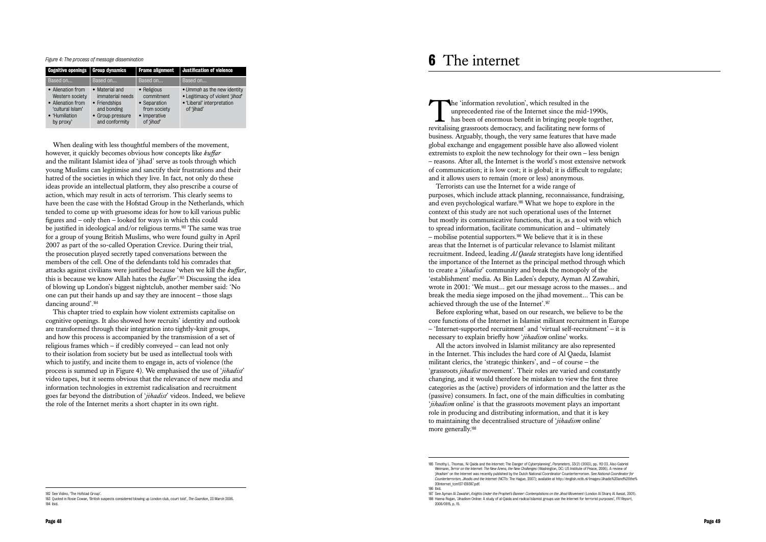| <b>Cognitive openings</b>                                                                                    | <b>Group dynamics</b>                                                                                    | <b>Frame alignment</b>                                                                  | <b>Justification of violence</b>                                                                           |
|--------------------------------------------------------------------------------------------------------------|----------------------------------------------------------------------------------------------------------|-----------------------------------------------------------------------------------------|------------------------------------------------------------------------------------------------------------|
| Based on                                                                                                     | Based on                                                                                                 | Based on                                                                                | Based on                                                                                                   |
| • Alienation from<br>Western society<br>• Alienation from<br>'cultural Islam'<br>• 'Humiliation<br>by proxy' | • Material and<br>immaterial needs<br>• Friendships<br>and bonding<br>• Group pressure<br>and conformity | • Religious<br>commitment<br>• Separation<br>from society<br>• Imperative<br>of 'jihad' | • Ummah as the new identity<br>• Legitimacy of violent 'jihad'<br>• 'Liberal' interpretation<br>of 'jihad' |

When dealing with less thoughtful members of the movement, however, it quickly becomes obvious how concepts like *kuffar* and the militant Islamist idea of 'jihad' serve as tools through which young Muslims can legitimise and sanctify their frustrations and their hatred of the societies in which they live. In fact, not only do these ideas provide an intellectual platform, they also prescribe a course of action, which may result in acts of terrorism. This clearly seems to have been the case with the Hofstad Group in the Netherlands, which tended to come up with gruesome ideas for how to kill various public figures and – only then – looked for ways in which this could be justified in ideological and/or religious terms.182 The same was true for a group of young British Muslims, who were found guilty in April 2007 as part of the so-called Operation Crevice. During their trial, the prosecution played secretly taped conversations between the members of the cell. One of the defendants told his comrades that attacks against civilians were justified because 'when we kill the *kuffar*, this is because we know Allah hates the *kuffar'* . <sup>183</sup> Discussing the idea of blowing up London's biggest nightclub, another member said: 'No one can put their hands up and say they are innocent – those slags dancing around'.<sup>184</sup>

The 'information revolution', which resulted in the unprecedented rise of the Internet since the mid-1990s, has been of enormous benefit in bringing people together, revitalising grassroots democracy, and facilitating new forms of business. Arguably, though, the very same features that have made global exchange and engagement possible have also allowed violent extremists to exploit the new technology for their own – less benign – reasons. After all, the Internet is the world's most extensive network of communication; it is low cost; it is global; it is difficult to regulate; and it allows users to remain (more or less) anonymous.

This chapter tried to explain how violent extremists capitalise on cognitive openings. It also showed how recruits' identity and outlook are transformed through their integration into tightly-knit groups, and how this process is accompanied by the transmission of a set of religious frames which – if credibly conveyed – can lead not only to their isolation from society but be used as intellectual tools with which to justify, and incite them to engage in, acts of violence (the process is summed up in Figure 4). We emphasised the use of '*jihadist*' video tapes, but it seems obvious that the relevance of new media and information technologies in extremist radicalisation and recruitment goes far beyond the distribution of '*jihadist*' videos. Indeed, we believe the role of the Internet merits a short chapter in its own right.

Terrorists can use the Internet for a wide range of purposes, which include attack planning, reconnaissance, fundraising, and even psychological warfare.185 What we hope to explore in the context of this study are not such operational uses of the Internet but mostly its communicative functions, that is, as a tool with which to spread information, facilitate communication and – ultimately  $-$  mobilise potential supporters.<sup>186</sup> We believe that it is in these areas that the Internet is of particular relevance to Islamist militant recruitment. Indeed, leading *Al Qaeda* strategists have long identified the importance of the Internet as the principal method through which to create a '*jihadist*' community and break the monopoly of the 'establishment' media. As Bin Laden's deputy, Ayman Al Zawahiri, wrote in 2001: 'We must… get our message across to the masses… and break the media siege imposed on the jihad movement… This can be achieved through the use of the Internet'.<sup>187</sup>

Before exploring what, based on our research, we believe to be the core functions of the Internet in Islamist militant recruitment in Europe – 'Internet-supported recruitment' and 'virtual self-recruitment' – it is necessary to explain briefly how '*jihadism* online' works. All the actors involved in Islamist militancy are also represented in the Internet. This includes the hard core of Al Qaeda, Islamist militant clerics, the 'strategic thinkers', and – of course – the 'grassroots *jihadist* movement'. Their roles are varied and constantly changing, and it would therefore be mistaken to view the first three categories as the (active) providers of information and the latter as the (passive) consumers. In fact, one of the main difficulties in combating '*jihadism* online' is that the grassroots movement plays an important role in producing and distributing information, and that it is key to maintaining the decentralised structure of '*jihadism* online' more generally.<sup>188</sup>

#### *Figure 4: The process of message dissemination*

# **6** The internet

<sup>182</sup> See Vidino, 'The Hofstad Group'.

<sup>183</sup> Quoted in Rosie Cowan, 'British suspects considered blowing up London club, court told', *The Guardian*, 23 March 2006. 184 Ibid.

<sup>185</sup> Timothy L. Thomas, 'Al Qaida and the Internet: The Danger of Cyberplanning', *Parameters*, 33(2) (2003), pp. 112-23. Also Gabriel Weimann, Terror on the Internet: The New Arena, the New Challenges (Washington, DC: US Institute of Peace, 2006). A review of *finalism'* on the Internet was recently published by the Dutch National Coordinator Counterterr *Counterterrorism, Jihadis and the Internet* (NCTb: The Hague, 2007); available at http://english.nctb.nl/Images/Jihadis%20and%20the% 20Internet\_tcm127-139397.pdf. 186 Ibid.

<sup>187</sup> See Ayman Al Zawahiri, *Knights Under the Prophet's Banner: Contemplations on the Jihad Movement* (London Al Sharq Al Awsat, 2001). 188 Hanna Rogan, 'Jihadism Online: A study of al-Qaida and radical Islamist groups use the Internet for terrorist purposes', *FFI Report*, 2006/0915, p. 15.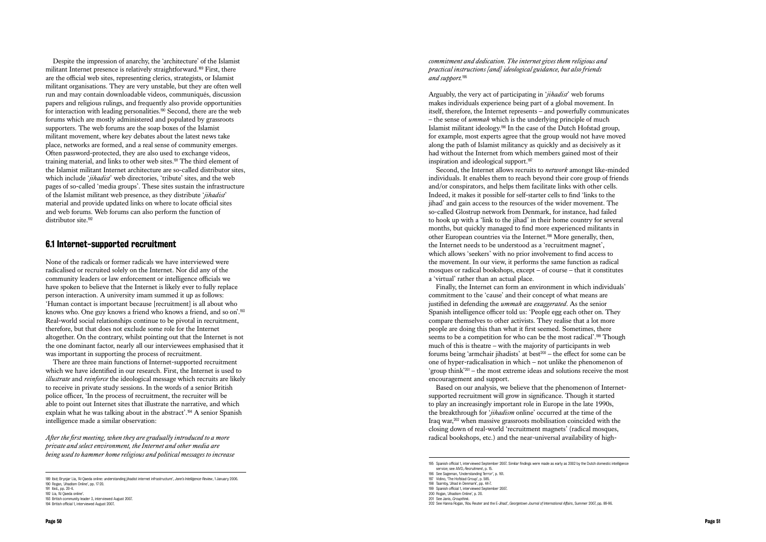Despite the impression of anarchy, the 'architecture' of the Islamist militant Internet presence is relatively straightforward.189 First, there are the official web sites, representing clerics, strategists, or Islamist militant organisations. They are very unstable, but they are often well run and may contain downloadable videos, communiqués, discussion papers and religious rulings, and frequently also provide opportunities for interaction with leading personalities.190 Second, there are the web forums which are mostly administered and populated by grassroots supporters. The web forums are the soap boxes of the Islamist militant movement, where key debates about the latest news take place, networks are formed, and a real sense of community emerges. Often password-protected, they are also used to exchange videos, training material, and links to other web sites.191 The third element of the Islamist militant Internet architecture are so-called distributor sites, which include *'iihadist'* web directories, 'tribute' sites, and the web pages of so-called 'media groups'. These sites sustain the infrastructure of the Islamist militant web presence, as they distribute '*jihadist*' material and provide updated links on where to locate official sites and web forums. Web forums can also perform the function of distributor site.<sup>192</sup>

## 6.1 Internet-supported recruitment

None of the radicals or former radicals we have interviewed were radicalised or recruited solely on the Internet. Nor did any of the community leaders or law enforcement or intelligence officials we have spoken to believe that the Internet is likely ever to fully replace person interaction. A university imam summed it up as follows: 'Human contact is important because [recruitment] is all about who knows who. One guy knows a friend who knows a friend, and so on'.<sup>193</sup> Real-world social relationships continue to be pivotal in recruitment, therefore, but that does not exclude some role for the Internet altogether. On the contrary, whilst pointing out that the Internet is not the one dominant factor, nearly all our interviewees emphasised that it was important in supporting the process of recruitment.

There are three main functions of Internet-supported recruitment which we have identified in our research. First, the Internet is used to *illustrate* and *reinforce* the ideological message which recruits are likely to receive in private study sessions. In the words of a senior British police officer, 'In the process of recruitment, the recruiter will be able to point out Internet sites that illustrate the narrative, and which explain what he was talking about in the abstract'.194 A senior Spanish intelligence made a similar observation:

*After the first meeting, when they are gradually introduced to a more private and select environment, the Internet and other media are being used to hammer home religious and political messages to increase* 

#### *commitment and dedication. The internet gives them religious and practical instructions [and] ideological guidance, but also friends and support.*<sup>195</sup>

Arguably, the very act of participating in '*jihadist*' web forums makes individuals experience being part of a global movement. In itself, therefore, the Internet represents – and powerfully communicates – the sense of *ummah* which is the underlying principle of much Islamist militant ideology.196 In the case of the Dutch Hofstad group, for example, most experts agree that the group would not have moved along the path of Islamist militancy as quickly and as decisively as it had without the Internet from which members gained most of their inspiration and ideological support.<sup>197</sup>

Second, the Internet allows recruits to *network* amongst like-minded individuals. It enables them to reach beyond their core group of friends and/or conspirators, and helps them facilitate links with other cells. Indeed, it makes it possible for self-starter cells to find 'links to the jihad' and gain access to the resources of the wider movement. The so-called Glostrup network from Denmark, for instance, had failed to hook up with a 'link to the jihad' in their home country for several months, but quickly managed to find more experienced militants in other European countries via the Internet.198 More generally, then, the Internet needs to be understood as a 'recruitment magnet', which allows 'seekers' with no prior involvement to find access to the movement. In our view, it performs the same function as radical mosques or radical bookshops, except – of course – that it constitutes a 'virtual' rather than an actual place.

Finally, the Internet can form an environment in which individuals' commitment to the 'cause' and their concept of what means are justified in defending the *ummah* are *exaggerated*. As the senior Spanish intelligence officer told us: 'People egg each other on. They compare themselves to other activists. They realise that a lot more people are doing this than what it first seemed. Sometimes, there seems to be a competition for who can be the most radical'.<sup>199</sup> Though much of this is theatre – with the majority of participants in web forums being 'armchair jihadists' at best $200$  – the effect for some can be one of hyper-radicalisation in which – not unlike the phenomenon of 'group think'201 – the most extreme ideas and solutions receive the most encouragement and support.

Based on our analysis, we believe that the phenomenon of Internetsupported recruitment will grow in significance. Though it started to play an increasingly important role in Europe in the late 1990s, the breakthrough for '*jihadism* online' occurred at the time of the Iraq war,202 when massive grassroots mobilisation coincided with the closing down of real-world 'recruitment magnets' (radical mosques, radical bookshops, etc.) and the near-universal availability of high-

<sup>189</sup> Ibid; Brynjar Lia, 'Al-Qaeda online: understanding jihadist internet infrastructure', *Jane's Intelligence Review*, 1 January 2006. 190 Rogan, 'Jihadism Online', pp. 17-20.

<sup>191</sup> Ibid., pp. 20-4.

<sup>192</sup> Lia, 'Al Qaeda online'. 193 British community leader 3, interviewed August 2007.

<sup>194</sup> British official 1, interviewed August 2007.

<sup>195</sup> Spanish official 1, interviewed September 2007. Similar findings were made as early as 2002 by the Dutch domestic intelligence service; see AIVD, *Recruitment*, p. 15.

<sup>196</sup> See Sageman, 'Understanding Terror', p. 161. 197 Vidino, 'The Hofstad Group', p. 585.

<sup>198</sup> Taarnby, 'Jihad in Denmark', pp. 44-7.

<sup>199</sup> Spanish official 1, interviewed September 2007.

<sup>200</sup> Rogan, 'Jihadism Online', p. 20.

<sup>201</sup> See Janis, *Groupthink*.

<sup>202</sup> See Hanna Rogan, 'Abu Reuter and the E-Jihad', *Georgetown Journal of International Affairs*, Summer 2007, pp. 89-96.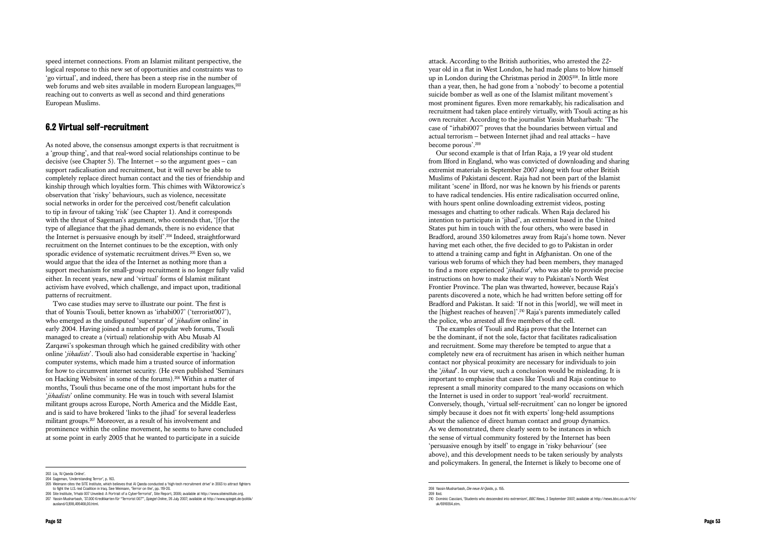speed internet connections. From an Islamist militant perspective, the logical response to this new set of opportunities and constraints was to 'go virtual', and indeed, there has been a steep rise in the number of web forums and web sites available in modern European languages,  $203$ reaching out to converts as well as second and third generations European Muslims.

# 6.2 Virtual self-recruitment

As noted above, the consensus amongst experts is that recruitment is a 'group thing', and that real-word social relationships continue to be decisive (see Chapter 5). The Internet – so the argument goes – can support radicalisation and recruitment, but it will never be able to completely replace direct human contact and the ties of friendship and kinship through which loyalties form. This chimes with Wiktorowicz's observation that 'risky' behaviours, such as violence, necessitate social networks in order for the perceived cost/benefit calculation to tip in favour of taking 'risk' (see Chapter 1). And it corresponds with the thrust of Sageman's argument, who contends that, '[f] or the type of allegiance that the jihad demands, there is no evidence that the Internet is persuasive enough by itself'.204 Indeed, straightforward recruitment on the Internet continues to be the exception, with only sporadic evidence of systematic recruitment drives.<sup>205</sup> Even so, we would argue that the idea of the Internet as nothing more than a support mechanism for small-group recruitment is no longer fully valid either. In recent years, new and 'virtual' forms of Islamist militant activism have evolved, which challenge, and impact upon, traditional patterns of recruitment.

Two case studies may serve to illustrate our point. The first is that of Younis Tsouli, better known as 'irhabi007' ('terrorist007'), who emerged as the undisputed 'superstar' of '*jihadism* online' in early 2004. Having joined a number of popular web forums, Tsouli managed to create a (virtual) relationship with Abu Musab Al Zarqawi's spokesman through which he gained credibility with other online '*jihadists*'. Tsouli also had considerable expertise in 'hacking' computer systems, which made him a trusted source of information for how to circumvent internet security. (He even published 'Seminars on Hacking Websites' in some of the forums).206 Within a matter of months, Tsouli thus became one of the most important hubs for the '*jihadists*' online community. He was in touch with several Islamist militant groups across Europe, North America and the Middle East, and is said to have brokered 'links to the jihad' for several leaderless militant groups.207 Moreover, as a result of his involvement and prominence within the online movement, he seems to have concluded at some point in early 2005 that he wanted to participate in a suicide

attack. According to the British authorities, who arrested the 22 year old in a flat in West London, he had made plans to blow himself up in London during the Christmas period in 2005208. In little more than a year, then, he had gone from a 'nobody' to become a potential suicide bomber as well as one of the Islamist militant movement's most prominent figures. Even more remarkably, his radicalisation and recruitment had taken place entirely virtually, with Tsouli acting as his own recruiter. According to the journalist Yassin Musharbash: 'The case of "irhabi007" proves that the boundaries between virtual and actual terrorism – between Internet jihad and real attacks – have become porous'.<sup>209</sup>

Our second example is that of Irfan Raja, a 19 year old student from Ilford in England, who was convicted of downloading and sharing extremist materials in September 2007 along with four other British Muslims of Pakistani descent. Raja had not been part of the Islamist militant 'scene' in Ilford, nor was he known by his friends or parents to have radical tendencies. His entire radicalisation occurred online, with hours spent online downloading extremist videos, posting messages and chatting to other radicals. When Raja declared his intention to participate in 'jihad', an extremist based in the United States put him in touch with the four others, who were based in Bradford, around 350 kilometres away from Raja's home town. Never having met each other, the five decided to go to Pakistan in order to attend a training camp and fight in Afghanistan. On one of the various web forums of which they had been members, they managed to find a more experienced '*jihadist*', who was able to provide precise instructions on how to make their way to Pakistan's North West Frontier Province. The plan was thwarted, however, because Raja's parents discovered a note, which he had written before setting off for Bradford and Pakistan. It said: 'If not in this [world], we will meet in the [highest reaches of heaven]'.210 Raja's parents immediately called the police, who arrested all five members of the cell.

The examples of Tsouli and Raja prove that the Internet can be the dominant, if not the sole, factor that facilitates radicalisation and recruitment. Some may therefore be tempted to argue that a completely new era of recruitment has arisen in which neither human contact nor physical proximity are necessary for individuals to join the '*jihad*'. In our view, such a conclusion would be misleading. It is important to emphasise that cases like Tsouli and Raja continue to represent a small minority compared to the many occasions on which the Internet is used in order to support 'real-world' recruitment. Conversely, though, 'virtual self-recruitment' can no longer be ignored simply because it does not fit with experts' long-held assumptions about the salience of direct human contact and group dynamics. As we demonstrated, there clearly seem to be instances in which the sense of virtual community fostered by the Internet has been 'persuasive enough by itself' to engage in 'risky behaviour' (see above), and this development needs to be taken seriously by analysts and policymakers. In general, the Internet is likely to become one of

<sup>203</sup> Lia, 'Al Qaeda Online'.

<sup>204</sup> Sageman, 'Understanding Terror', p. 163.

<sup>205</sup> Weimann cites the SITE Institute, which believes that Al Qaeda conducted a 'high-tech recruitment drive' in 2003 to attract fighters to fight the U.S.-led Coalition in Iraq. See Weimann, 'Terror on the', pp. 119-20. 206 Site Institute, 'Irhabi 007 Unveiled: A Portrait of a Cyber-Terrorist', Site Report, 2006; available at http://www.siteinstitute.org.

<sup>207</sup> Yassin Musharbash, '37.000 Kreditkarten für "Terrorist 007"', *Spiegel Online*, 26 July 2007; available at http://www.spiegel.de/politik/ ausland/0,1518,495468,00.html.

<sup>208</sup> Yassin Musharbash, *Die neue Al-Qaida*, p. 155.

<sup>209</sup> Ibid. 210 Dominic Casciani, 'Students who descended into extremism', *BBC News*, 3 September 2007; available at http://news.bbc.co.uk/1/hi/ uk/6916554.stm.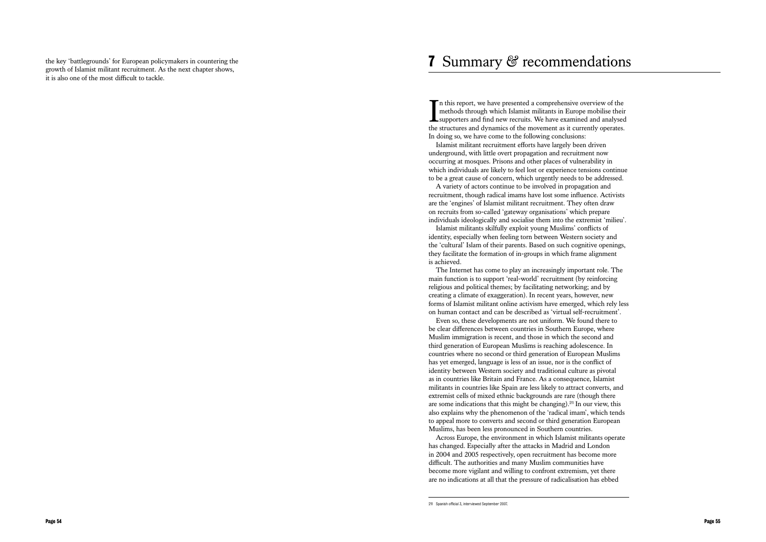**7 Summarry & recommendations**<br> **T**n this report, we have presented a comprehensive overview of the methods through which Islamis in illiants in Europe mobilise their the methods through which Islamis militants in Europe

the key 'battlegrounds' for European policymakers in countering the growth of Islamist militant recruitment. As the next chapter shows, it is also one of the most difficult to tackle.

I n this report, we have presented a comprehensive overview of the methods through which Islamist militants in Europe mobilise their supporters and find new recruits. We have examined and analysed the structures and dynamics of the movement as it currently operates. In doing so, we have come to the following conclusions:

Islamist militant recruitment efforts have largely been driven underground, with little overt propagation and recruitment now occurring at mosques. Prisons and other places of vulnerability in which individuals are likely to feel lost or experience tensions continue to be a great cause of concern, which urgently needs to be addressed.

A variety of actors continue to be involved in propagation and recruitment, though radical imams have lost some influence. Activists are the 'engines' of Islamist militant recruitment. They often draw on recruits from so-called 'gateway organisations' which prepare individuals ideologically and socialise them into the extremist 'milieu'.

Islamist militants skilfully exploit young Muslims' conflicts of identity, especially when feeling torn between Western society and the 'cultural' Islam of their parents. Based on such cognitive openings, they facilitate the formation of in-groups in which frame alignment is achieved.

The Internet has come to play an increasingly important role. The main function is to support 'real-world' recruitment (by reinforcing religious and political themes; by facilitating networking; and by creating a climate of exaggeration). In recent years, however, new forms of Islamist militant online activism have emerged, which rely less on human contact and can be described as 'virtual self-recruitment'.

Even so, these developments are not uniform. We found there to be clear differences between countries in Southern Europe, where Muslim immigration is recent, and those in which the second and third generation of European Muslims is reaching adolescence. In countries where no second or third generation of European Muslims has yet emerged, language is less of an issue, nor is the conflict of identity between Western society and traditional culture as pivotal as in countries like Britain and France. As a consequence, Islamist militants in countries like Spain are less likely to attract converts, and extremist cells of mixed ethnic backgrounds are rare (though there are some indications that this might be changing).211 In our view, this also explains why the phenomenon of the 'radical imam', which tends to appeal more to converts and second or third generation European Muslims, has been less pronounced in Southern countries.

Across Europe, the environment in which Islamist militants operate has changed. Especially after the attacks in Madrid and London in 2004 and 2005 respectively, open recruitment has become more difficult. The authorities and many Muslim communities have become more vigilant and willing to confront extremism, yet there are no indications at all that the pressure of radicalisation has ebbed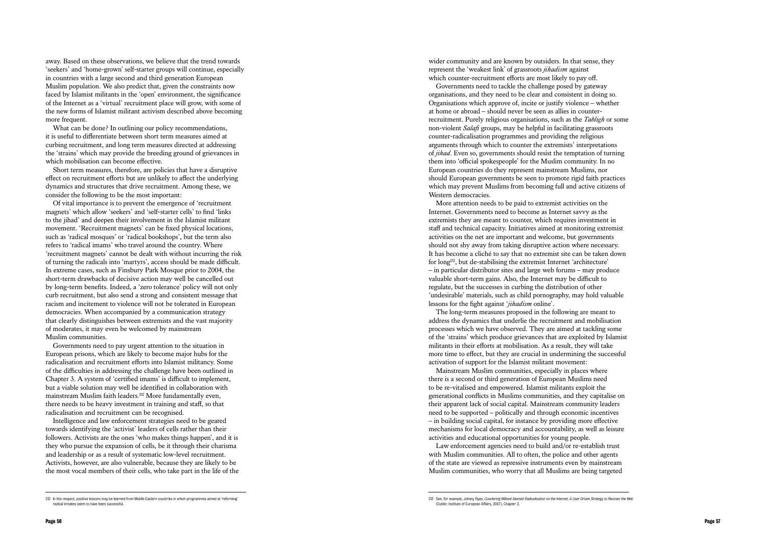away. Based on these observations, we believe that the trend towards 'seekers' and 'home-grown' self-starter groups will continue, especially in countries with a large second and third generation European Muslim population. We also predict that, given the constraints now faced by Islamist militants in the 'open' environment, the significance of the Internet as a 'virtual' recruitment place will grow, with some of the new forms of Islamist militant activism described above becoming more frequent.

What can be done? In outlining our policy recommendations, it is useful to differentiate between short term measures aimed at curbing recruitment, and long term measures directed at addressing the 'strains' which may provide the breeding ground of grievances in which mobilisation can become effective.

Short term measures, therefore, are policies that have a disruptive effect on recruitment efforts but are unlikely to affect the underlying dynamics and structures that drive recruitment. Among these, we consider the following to be the most important:

Of vital importance is to prevent the emergence of 'recruitment magnets' which allow 'seekers' and 'self-starter cells' to find 'links to the jihad' and deepen their involvement in the Islamist militant movement. 'Recruitment magnets' can be fixed physical locations, such as 'radical mosques' or 'radical bookshops', but the term also refers to 'radical imams' who travel around the country. Where 'recruitment magnets' cannot be dealt with without incurring the risk of turning the radicals into 'martyrs', access should be made difficult. In extreme cases, such as Finsbury Park Mosque prior to 2004, the short-term drawbacks of decisive action may well be cancelled out by long-term benefits. Indeed, a 'zero tolerance' policy will not only curb recruitment, but also send a strong and consistent message that racism and incitement to violence will not be tolerated in European democracies. When accompanied by a communication strategy that clearly distinguishes between extremists and the vast majority of moderates, it may even be welcomed by mainstream Muslim communities.

Governments need to pay urgent attention to the situation in European prisons, which are likely to become major hubs for the radicalisation and recruitment efforts into Islamist militancy. Some of the difficulties in addressing the challenge have been outlined in Chapter 3. A system of 'certified imams' is difficult to implement, but a viable solution may well be identified in collaboration with mainstream Muslim faith leaders.<sup>212</sup> More fundamentally even, there needs to be heavy investment in training and staff, so that radicalisation and recruitment can be recognised.

Intelligence and law enforcement strategies need to be geared towards identifying the 'activist' leaders of cells rather than their followers. Activists are the ones 'who makes things happen', and it is they who pursue the expansion of cells, be it through their charisma and leadership or as a result of systematic low-level recruitment. Activists, however, are also vulnerable, because they are likely to be the most vocal members of their cells, who take part in the life of the

wider community and are known by outsiders. In that sense, they represent the 'weakest link' of grassroots *jihadism* against which counter-recruitment efforts are most likely to pay off.

Governments need to tackle the challenge posed by gateway organisations, and they need to be clear and consistent in doing so. Organisations which approve of, incite or justify violence – whether at home or abroad – should never be seen as allies in counterrecruitment. Purely religious organisations, such as the *Tabligh* or some non-violent *Salafi* groups, may be helpful in facilitating grassroots counter-radicalisation programmes and providing the religious arguments through which to counter the extremists' interpretations of *jihad*. Even so, governments should resist the temptation of turning them into 'official spokespeople' for the Muslim community. In no European countries do they represent mainstream Muslims, nor should European governments be seen to promote rigid faith practices which may prevent Muslims from becoming full and active citizens of Western democracies.

More attention needs to be paid to extremist activities on the Internet. Governments need to become as Internet savvy as the extremists they are meant to counter, which requires investment in staff and technical capacity. Initiatives aimed at monitoring extremist activities on the net are important and welcome, but governments should not shy away from taking disruptive action where necessary. It has become a cliché to say that no extremist site can be taken down for long213, but de-stabilising the extremist Internet 'architecture' – in particular distributor sites and large web forums – may produce valuable short-term gains. Also, the Internet may be difficult to regulate, but the successes in curbing the distribution of other 'undesirable' materials, such as child pornography, may hold valuable lessons for the fight against '*jihadism* online'.

The long-term measures proposed in the following are meant to address the dynamics that underlie the recruitment and mobilisation processes which we have observed. They are aimed at tackling some of the 'strains' which produce grievances that are exploited by Islamist militants in their efforts at mobilisation. As a result, they will take more time to effect, but they are crucial in undermining the successful activation of support for the Islamist militant movement:

Mainstream Muslim communities, especially in places where there is a second or third generation of European Muslims need to be re-vitalised and empowered. Islamist militants exploit the generational conflicts in Muslims communities, and they capitalise on their apparent lack of social capital. Mainstream community leaders need to be supported – politically and through economic incentives – in building social capital, for instance by providing more effective mechanisms for local democracy and accountability, as well as leisure activities and educational opportunities for young people.

Law enforcement agencies need to build and/or re-establish trust with Muslim communities. All to often, the police and other agents of the state are viewed as repressive instruments even by mainstream Muslim communities, who worry that all Muslims are being targeted

<sup>213</sup> See, for example, Johnny Ryan, Countering Militant Islamist Radicalisation on the Internet: A User Driven Strategy to Recover the Web (Dublin: Institute of European Affairs, 2007), Chapter 2.

<sup>212</sup> In this respect, positive lessons may be learned from Middle Eastern countries in which programmes aimed at 'reforming' radical inmates seem to have been successful.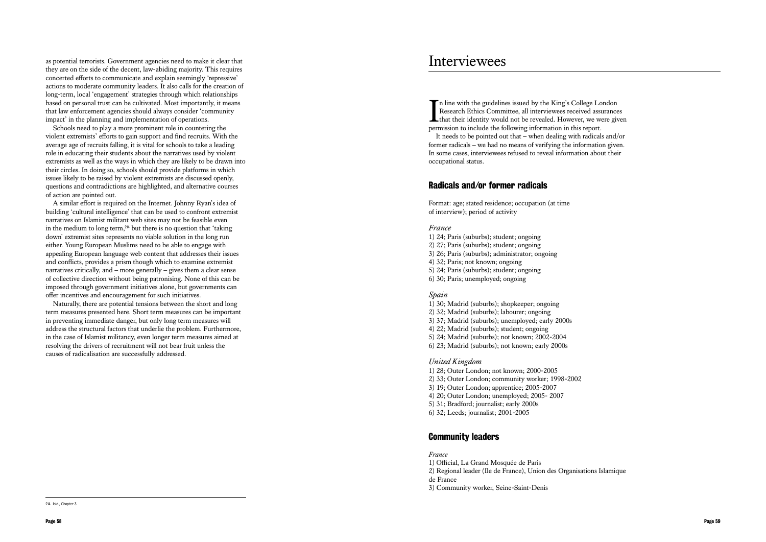as potential terrorists. Government agencies need to make it clear that they are on the side of the decent, law-abiding majority. This requires concerted efforts to communicate and explain seemingly 'repressive' actions to moderate community leaders. It also calls for the creation of long-term, local 'engagement' strategies through which relationships based on personal trust can be cultivated. Most importantly, it means that law enforcement agencies should always consider 'community impact' in the planning and implementation of operations.

Schools need to play a more prominent role in countering the violent extremists' efforts to gain support and find recruits. With the average age of recruits falling, it is vital for schools to take a leading role in educating their students about the narratives used by violent extremists as well as the ways in which they are likely to be drawn into their circles. In doing so, schools should provide platforms in which issues likely to be raised by violent extremists are discussed openly, questions and contradictions are highlighted, and alternative courses of action are pointed out.

I<sub>nerr</sub> n line with the guidelines issued by the King's College London Research Ethics Committee, all interviewees received assurances that their identity would not be revealed. However, we were given permission to include the following information in this report. It needs to be pointed out that – when dealing with radicals and/or former radicals – we had no means of verifying the information given. In some cases, interviewees refused to reveal information about their occupational status.

A similar effort is required on the Internet. Johnny Ryan's idea of building 'cultural intelligence' that can be used to confront extremist narratives on Islamist militant web sites may not be feasible even in the medium to long term,<sup>214</sup> but there is no question that 'taking' down' extremist sites represents no viable solution in the long run either. Young European Muslims need to be able to engage with appealing European language web content that addresses their issues and conflicts, provides a prism though which to examine extremist narratives critically, and – more generally – gives them a clear sense of collective direction without being patronising. None of this can be imposed through government initiatives alone, but governments can offer incentives and encouragement for such initiatives.

Naturally, there are potential tensions between the short and long term measures presented here. Short term measures can be important in preventing immediate danger, but only long term measures will address the structural factors that underlie the problem. Furthermore, in the case of Islamist militancy, even longer term measures aimed at resolving the drivers of recruitment will not bear fruit unless the causes of radicalisation are successfully addressed.

# Radicals and/or former radicals

Format: age; stated residence; occupation (at time of interview); period of activity

#### *France*

- 1) 24; Paris (suburbs); student; ongoing
- 2) 27; Paris (suburbs); student; ongoing
- 3) 26; Paris (suburbs); administrator; ongoing
- 4) 32; Paris; not known; ongoing
- 5) 24; Paris (suburbs); student; ongoing
- 6) 30; Paris; unemployed; ongoing

#### *Spain*

- 1) 30; Madrid (suburbs); shopkeeper; ongoing
- 2) 32; Madrid (suburbs); labourer; ongoing
- 3) 37; Madrid (suburbs); unemployed; early 2000s
- 4) 22; Madrid (suburbs); student; ongoing
- 5) 24; Madrid (suburbs); not known; 2002-2004
- 6) 23; Madrid (suburbs); not known; early 2000s

#### *United Kingdom*

- 1) 28; Outer London; not known; 2000-2005
- 2) 33; Outer London; community worker; 1998-2002
- 3) 19; Outer London; apprentice; 2005-2007
- 4) 20; Outer London; unemployed; 2005- 2007
- 5) 31; Bradford; journalist; early 2000s
- 6) 32; Leeds; journalist; 2001-2005

# Community leaders

#### *France*

- 1) Official, La Grand Mosquée de Paris
- 2) Regional leader (Ile de France), Union des Organisations Islamique
- de France
- 3) Community worker, Seine-Saint-Denis

# Interviewees

<sup>214</sup> Ibid., Chapter 3.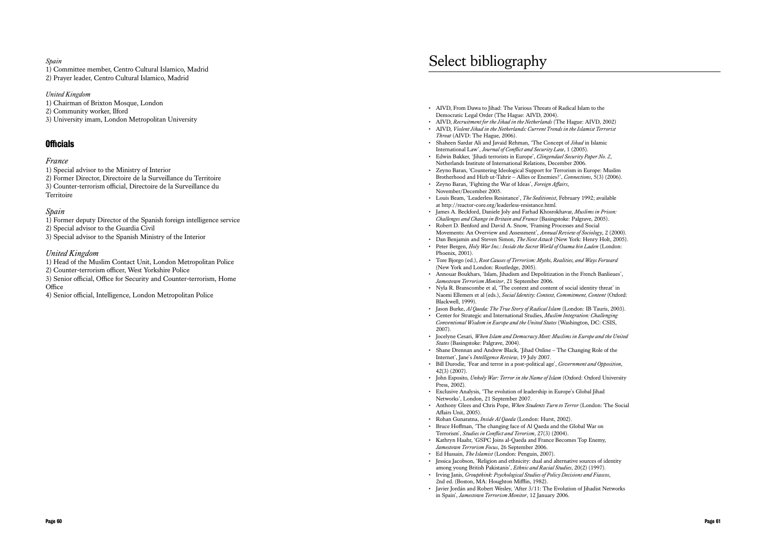#### *Spain*

1) Committee member, Centro Cultural Islamico, Madrid

2) Prayer leader, Centro Cultural Islamico, Madrid

#### *United Kingdom*

- 1) Special advisor to the Ministry of Interior
- 2) Former Director, Directoire de la Surveillance du Territoire
- 3) Counter-terrorism official, Directoire de la Surveillance du **Territoire**

- 1) Chairman of Brixton Mosque, London
- 2) Community worker, Ilford
- 3) University imam, London Metropolitan University

# **Officials**

### *France*

### *Spain*

- 1) Former deputy Director of the Spanish foreign intelligence service
- 2) Special advisor to the Guardia Civil
- 3) Special advisor to the Spanish Ministry of the Interior

### *United Kingdom*

- 1) Head of the Muslim Contact Unit, London Metropolitan Police
- 2) Counter-terrorism officer, West Yorkshire Police
- 3) Senior official, Office for Security and Counter-terrorism, Home **Office**
- 4) Senior official, Intelligence, London Metropolitan Police
- AIVD, From Dawa to Jihad: The Various Threats of Radical Islam to the Democratic Legal Order (The Hague: AIVD, 2004).
- AIVD, *Recruitment for the Jihad in the Netherlands* (The Hague: AIVD, 2002) • AIVD, *Violent Jihad in the Netherlands: Current Trends in the Islamist Terrorist Threat* (AIVD: The Hague, 2006).
- Shaheen Sardar Ali and Javaid Rehman, 'The Concept of *Jihad* in Islamic International Law', *Journal of Conflict and Security Law*, 1 (2005).
- Edwin Bakker, 'Jihadi terrorists in Europe', *Clingendael Security Paper No. 2*, Netherlands Institute of International Relations, December 2006. • Zeyno Baran, 'Countering Ideological Support for Terrorism in Europe: Muslim
- Brotherhood and Hizb ut-Tahrir Allies or Enemies?', *Connections*, 5(3) (2006).
- Zeyno Baran, 'Fighting the War of Ideas', *Foreign Affairs*, November/December 2005.
- Louis Beam, 'Leaderless Resistance', *The Seditionist*, February 1992; available at http://reactor-core.org/leaderless-resistance.html.
- James A. Beckford, Daniele Joly and Farhad Khosrokhavar, *Muslims in Prison: Challenges and Change in Britain and France* (Basingstoke: Palgrave, 2005).
- Robert D. Benford and David A. Snow, 'Framing Processes and Social Movements: An Overview and Assessment', *Annual Review of Sociology*, 2 (2000).
- Dan Benjamin and Steven Simon, *The Next Attack* (New York: Henry Holt, 2005). • Peter Bergen, *Holy War Inc.: Inside the Secret World of Osama bin Laden* (London: Phoenix, 2001).
- Tore Bjorgo (ed.), *Root Causes of Terrorism: Myths, Realities, and Ways Forward* (New York and London: Routledge, 2005).
- Annouar Boukhars, 'Islam, Jihadism and Depolitization in the French Banlieues', *Jamestown Terrorism Monitor*, 21 September 2006.
- Nyla R. Branscombe et al, 'The context and content of social identity threat' in Naomi Ellemers et al (eds.), *Social Identity: Context, Commitment, Content* (Oxford: Blackwell, 1999).
- Jason Burke, *Al Qaeda: The True Story of Radical Islam* (London: IB Tauris, 2003).
- Center for Strategic and International Studies, *Muslim Integration: Challenging Conventional Wisdom in Europe and the United States* (Washington, DC: CSIS, 2007).
- Jocelyne Cesari, *When Islam and Democracy Meet: Muslims in Europe and the United States* (Basingstoke: Palgrave, 2004).
- Shane Drennan and Andrew Black, 'Jihad Online The Changing Role of the Internet', Jane's *Intelligence Review*, 19 July 2007.
- Bill Durodie, 'Fear and terror in a post-political age', *Government and Opposition*, 42(3) (2007).
- John Esposito, *Unholy War: Terror in the Name of Islam* (Oxford: Oxford University Press, 2002).
- Exclusive Analysis, 'The evolution of leadership in Europe's Global Jihad Networks', London, 21 September 2007.
- Anthony Glees and Chris Pope, *When Students Turn to Terror* (London: The Social Affairs Unit, 2005).
- Rohan Gunaratna, *Inside Al Qaeda* (London: Hurst, 2002).
- Bruce Hoffman, 'The changing face of Al Qaeda and the Global War on Terrorism', *Studies in Conflict and Terorism*, 27(3) (2004).
- Kathryn Haahr, 'GSPC Joins al-Qaeda and France Becomes Top Enemy, *Jamestown Terrorism Focus*, 26 September 2006.
- Ed Hussain, *The Islamist* (London: Penguin, 2007).
- Jessica Jacobson, 'Religion and ethnicity: dual and alternative sources of identity among young British Pakistanis', *Ethnic and Racial Studies*, 20(2) (1997). • Irving Janis, *Groupthink: Psychological Studies of Policy Decisions and Fiascos*,
- 2nd ed. (Boston, MA: Houghton Mifflin, 1982).
- Javier Jordán and Robert Wesley, 'After 3/11: The Evolution of Jihadist Networks in Spain', *Jamestown Terrorism Monitor*, 12 January 2006.

# Select bibliography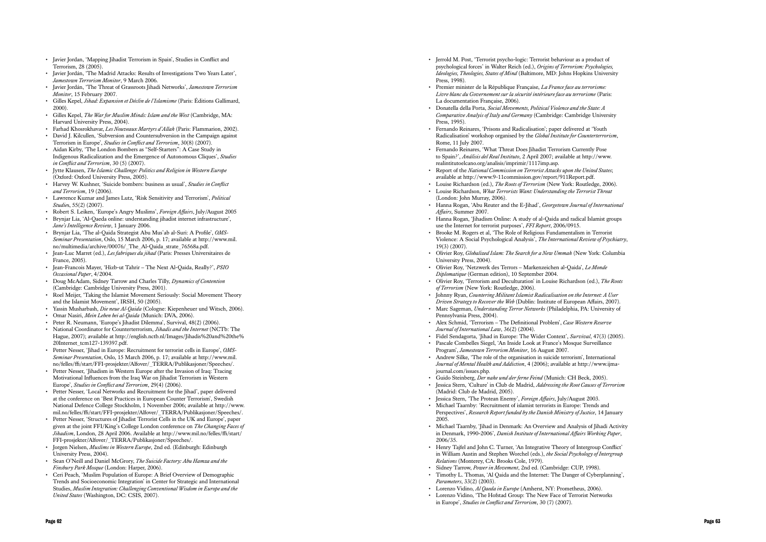- Terrorism, 28 (2005).
- Javier Jordán, 'The Madrid Attacks: Results of Investigations Two Years Later', *Jamestown Terrorism Monitor*, 9 March 2006.
- Javier Jordán, 'The Threat of Grassroots Jihadi Networks', *Jamestown Terrorism Monitor*, 15 February 2007.
- Gilles Kepel, *Jihad: Expansion et Déclin de l'Islamisme* (Paris: Éditions Gallimard, 2000).
- Gilles Kepel, *The War for Muslim Minds: Islam and the West* (Cambridge, MA: Harvard University Press, 2004).
- Farhad Khosrokhavar, *Les Nouveaux Martyrs d'Allah* (Paris: Flammarion, 2002).
- David J. Kilcullen, 'Subversion and Countersubversion in the Campaign against Terrorism in Europe', *Studies in Conflict and Terrorism*, 30(8) (2007).
- Aidan Kirby, 'The London Bombers as "Self-Starters": A Case Study in Indigenous Radicalization and the Emergence of Autonomous Cliques', *Studies in Conflict and Terrorism*, 30 (5) (2007).
- Jytte Klausen, *The Islamic Challenge: Politics and Religion in Western Europe* (Oxford: Oxford University Press, 2005).
- Harvey W. Kushner, 'Suicide bombers: business as usual', *Studies in Conflict and Terrorism*, 19 (2006).
- Lawrence Kuznar and James Lutz, 'Risk Sensitivity and Terrorism', *Political Studie*s, 55(2) (2007).
- Robert S. Leiken, 'Europe's Angry Muslims', *Foreign Affairs*, July/August 2005
- Brynjar Lia, 'Al-Qaeda online: understanding jihadist internet infrastructure', *Jane's Intelligence Review*, 1 January 2006.
- Brynjar Lia, 'The al-Qaida Strategist Abu Mus'ab al-Suri: A Profile', *OMS-Seminar Presentation*, Oslo, 15 March 2006, p. 17; available at http://www.mil. no/multimedia/archive/00076/\_The\_Al-Qaida\_strate\_76568a.pdf.
- Jean-Luc Marret (ed.), *Les fabriques du jihad* (Paris: Presses Universitaires de France, 2005).
- Jean-Francois Mayer, 'Hizb-ut Tahrir The Next Al-Qaida, Really?', *PSIO Occasional Paper*, 4/2004.
- Doug McAdam, Sidney Tarrow and Charles Tilly, *Dynamics of Contention* (Cambridge: Cambridge University Press, 2001).
- Roel Meijer, 'Taking the Islamist Movement Seriously: Social Movement Theory and the Islamist Movement', IRSH, 50 (2005).
- Yassin Musharbash, *Die neue Al-Qaida* (Cologne: Kiepenheuer und Witsch, 2006).
- Omar Nasiri, *Mein Leben bei al-Qaida* (Munich: DVA, 2006).
- Peter R. Neumann, 'Europe's Jihadist Dilemma', Survival, 48(2) (2006).
- National Coordinator for Counterterrorism, *Jihadis and the Internet* (NCTb: The Hague, 2007); available at http://english.nctb.nl/Images/Jihadis%20and%20the% 20Internet\_tcm127-139397.pdf.
- Petter Nesser, 'Jihad in Europe: Recruitment for terrorist cells in Europe', *OMS-Seminar Presentation*, Oslo, 15 March 2006, p. 17; available at http://www.mil. no/felles/ffi/start/FFI-prosjekter/Alfover/\_TERRA/Publikasjoner/Speeches/.
- Petter Nesser, 'Jihadism in Western Europe after the Invasion of Iraq: Tracing Motivational Influences from the Iraq War on Jihadist Terrorism in Western Europe', *Studies in Conflict and Terrorism*, 29(4) (2006).
- Page 62 Page 63 Javier Jordan, 'Mapping Jihadist Terrorism in Spain', Studies in Conflict and • Petter Nesser, 'Local Networks and Recruitment for the Jihad', paper delivered at the conference on 'Best Practices in European Counter Terrorism', Swedish National Defence College Stockholm, 1 November 2006; available at http://www. mil.no/felles/ffi/start/FFI-prosjekter/Alfover/\_TERRA/Publikasjoner/Speeches/.
- Petter Nesser, 'Structures of Iihadist Terrorist Cells in the UK and Europe', paper given at the joint FFI/King's College London conference on *The Changing Faces of Jihadism*, London, 28 April 2006. Available at http://www.mil.no/felles/ffi/start/ FFI-prosjekter/Alfover/\_TERRA/Publikasjoner/Speeches/.
- Jorgen Nielsen, *Muslims in Western Europe*, 2nd ed. (Edinburgh: Edinburgh University Press, 2004).
- Sean O'Neill and Daniel McGrory, *The Suicide Factory: Abu Hamza and the Finsbury Park Mosque* (London: Harper, 2006).
- Ceri Peach, 'Muslim Population of Europe: A Brief Overview of Demographic Trends and Socioeconomic Integration' in Center for Strategic and International Studies, *Muslim Integration: Challenging Conventional Wisdom in Europe and the United States* (Washington, DC: CSIS, 2007).
- Jerrold M. Post, 'Terrorist psycho-logic: Terrorist behaviour as a product of psychological forces' in Walter Reich (ed.), *Origins of Terrorism: Psychologies, Ideologies, Theologies, States of Mind* (Baltimore, MD: Johns Hopkins University Press, 1998).
- Premier minister de la République Française, *La France face au terrorisme: Livre blanc du Governement sur la sécurité intérieure face au terrorisme* (Paris: La documentation Française, 2006).
- Donatella della Porta, *Social Movements, Political Violence and the State: A Comparative Analyis of Italy and Germany* (Cambridge: Cambridge University Press, 1995).
- Fernando Reinares, 'Prisons and Radicalisation'; paper delivered at 'Youth Radicalisation' workshop organised by the *Global Institute for Counterterrorism*, Rome, 11 July 2007.
- Fernando Reinares, 'What Threat Does Jihadist Terrorism Currently Pose to Spain?', *Análisis del Real Instituto*, 2 April 2007; available at http://www. realintitutoelcano.org/analisis/imprimir/1117imp.asp.
- Report of the *National Commission on Terrorist Attacks upon the United States*; available at http://www.9-11commission.gov/report/911Report.pdf.
- Louise Richardson (ed.), *The Roots of Terrorism* (New York: Routledge, 2006).
- Louise Richardson, *What Terrorists Want: Understanding the Terrorist Threat* (London: John Murray, 2006).
- Hanna Rogan, 'Abu Reuter and the E-Jihad', *Georgetown Journal of International Affairs*, Summer 2007.
- Hanna Rogan, 'Jihadism Online: A study of al-Qaida and radical Islamist groups use the Internet for terrorist purposes', *FFI Report*, 2006/0915.
- Brooke M. Rogers et al, 'The Role of Religious Fundamentalism in Terrorist Violence: A Social Psychological Analysis', *The International Review of Psychiatry*, 19(3) (2007).
- Olivier Roy, *Globalized Islam: The Search for a New Ummah* (New York: Columbia University Press, 2004).
- Olivier Roy, 'Netzwerk des Terrors Markenzeichen al-Qaida', *Le Monde Diplomatique* (German edition), 10 September 2004.
- Olivier Roy, 'Terrorism and Deculturation' in Louise Richardson (ed.), *The Roots of Terrorism* (New York: Routledge, 2006).
- Johnny Ryan, *Countering Militant Islamist Radicalisation on the Internet: A User Driven Strategy to Recover the Web* (Dublin: Institute of European Affairs, 2007).
- Marc Sageman, *Understanding Terror Networks* (Philadelphia, PA: University of Pennsylvania Press, 2004).
- Alex Schmid, 'Terrorism The Definitional Problem', *Case Western Reserve Journal of International Law*, 36(2) (2004).
- Fidel Sendagorta, 'Jihad in Europe: The Wider Context', *Survival*, 47(3) (2005).
- Pascale Combelles Siegel, 'An Inside Look at France's Mosque Surveillance Program', *Jamestown Terrorism Monitor*, 16 August 2007.
- Andrew Silke, 'The role of the organisation in suicide terrorism', International *Journal of Mental Health and Addiction*, 4 (2006); available at http://www.ijmajournal.com/issues.php.
- Guido Steinberg, *Der nahe und der ferne Feind* (Munich: CH Beck, 2005).
- Jessica Stern, 'Culture' in Club de Madrid, *Addressing the Root Causes of Terrorism* (Madrid: Club de Madrid, 2005).
- Jessica Stern, 'The Protean Enemy', *Foreign Affairs*, July/August 2003.
- Michael Taarnby: 'Recruitment of islamist terrorists in Europe: Trends and Perspectives', *Research Report funded by the Danish Ministry of Justice*, 14 January 2005.
- Michael Taarnby, 'Jihad in Denmark: An Overview and Analysis of Jihadi Activity in Denmark, 1990-2006', *Danish Institute of International Affairs Working Paper*, 2006/35.
- Henry Tajfel and John C. Turner, 'An Integrative Theory of Intergroup Conflict' in William Austin and Stephen Worchel (eds.), *the Social Psychology of Intergroup Relations* (Monterey, CA: Brooks Cole, 1979).
- Sidney Tarrow, *Power in Movement*, 2nd ed. (Cambridge: CUP, 1998).
- Timothy L. Thomas, 'Al Qaida and the Internet: The Danger of Cyberplanning', *Parameters*, 33(2) (2003).
- Lorenzo Vidino, *Al Qaeda in Europe* (Amherst, NY: Prometheus, 2006).
- Lorenzo Vidino, 'The Hofstad Group: The New Face of Terrorist Networks in Europe', *Studies in Conflict and Terrorism*, 30 (7) (2007).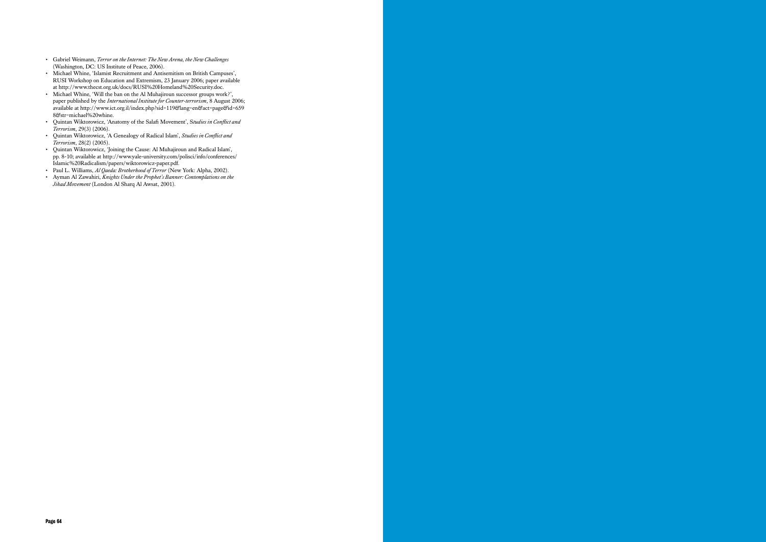- Gabriel Weimann, *Terror on the Internet: The New Arena, the New Challenges* (Washington, DC: US Institute of Peace, 2006).
- Michael Whine, 'Islamist Recruitment and Antisemitism on British Campuses', RUSI Workshop on Education and Extremism, 23 January 2006; paper available at http://www.thecst.org.uk/docs/RUSI%20Homeland%20Security.doc.
- Michael Whine, 'Will the ban on the Al Muhajiroun successor groups work?', paper published by the *International Institute for Counter-terrorism*, 8 August 2006; available at http://www.ict.org.il/index.php?sid=119&lang=en&act=page&id=659 8&str=michael%20whine.
- Quintan Wiktorowicz, 'Anatomy of the Salafi Movement', S*tudies in Conflict and Terrorism*, 29(3) (2006).
- Quintan Wiktorowicz, 'A Genealogy of Radical Islam', *Studies in Conflict and Terrorism*, 28(2) (2005).
- Quintan Wiktorowicz, 'Joining the Cause: Al Muhajiroun and Radical Islam', pp. 8-10; available at http://www.yale-university.com/polisci/info/conferences/ Islamic%20Radicalism/papers/wiktorowicz-paper.pdf.
- Paul L. Williams, *Al Qaeda: Brotherhood of Terror* (New York: Alpha, 2002).
- Ayman Al Zawahiri, *Knights Under the Prophet's Banner: Contemplations on the Jihad Movement* (London Al Sharq Al Awsat, 2001).